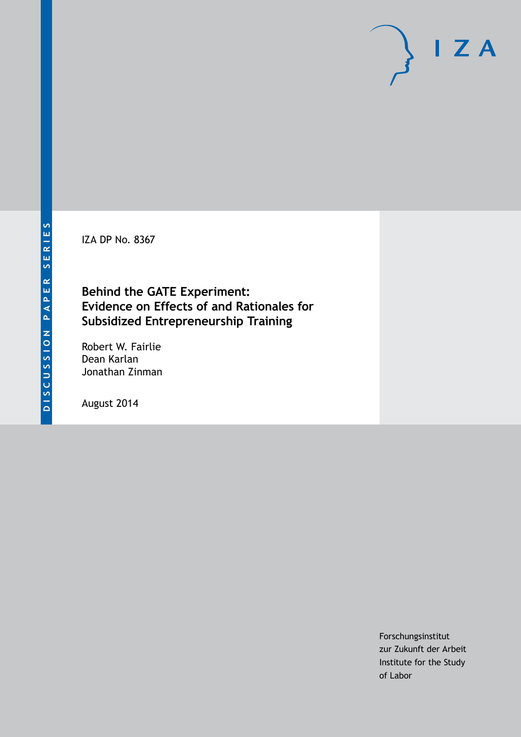IZA DP No. 8367

## **Behind the GATE Experiment: Evidence on Effects of and Rationales for Subsidized Entrepreneurship Training**

Robert W. Fairlie Dean Karlan Jonathan Zinman

August 2014

Forschungsinstitut zur Zukunft der Arbeit Institute for the Study of Labor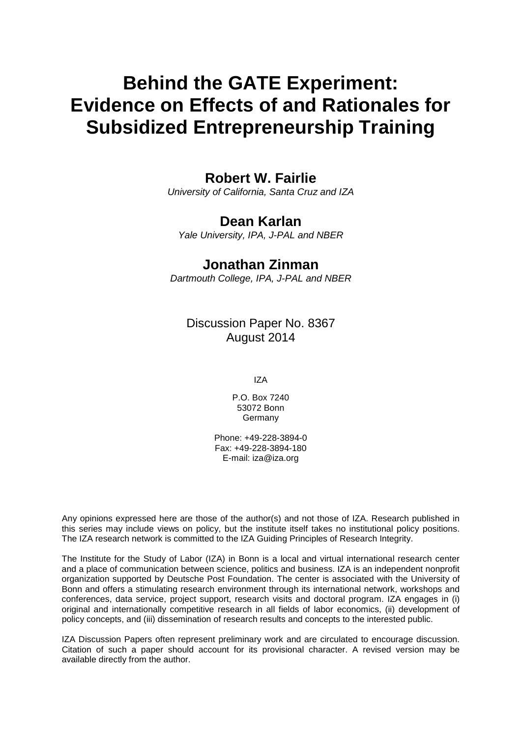# **Behind the GATE Experiment: Evidence on Effects of and Rationales for Subsidized Entrepreneurship Training**

## **Robert W. Fairlie**

*University of California, Santa Cruz and IZA*

## **Dean Karlan**

*Yale University, IPA, J-PAL and NBER*

## **Jonathan Zinman**

*Dartmouth College, IPA, J-PAL and NBER*

Discussion Paper No. 8367 August 2014

IZA

P.O. Box 7240 53072 Bonn Germany

Phone: +49-228-3894-0 Fax: +49-228-3894-180 E-mail: [iza@iza.org](mailto:iza@iza.org)

Any opinions expressed here are those of the author(s) and not those of IZA. Research published in this series may include views on policy, but the institute itself takes no institutional policy positions. The IZA research network is committed to the IZA Guiding Principles of Research Integrity.

The Institute for the Study of Labor (IZA) in Bonn is a local and virtual international research center and a place of communication between science, politics and business. IZA is an independent nonprofit organization supported by Deutsche Post Foundation. The center is associated with the University of Bonn and offers a stimulating research environment through its international network, workshops and conferences, data service, project support, research visits and doctoral program. IZA engages in (i) original and internationally competitive research in all fields of labor economics, (ii) development of policy concepts, and (iii) dissemination of research results and concepts to the interested public.

<span id="page-1-0"></span>IZA Discussion Papers often represent preliminary work and are circulated to encourage discussion. Citation of such a paper should account for its provisional character. A revised version may be available directly from the author.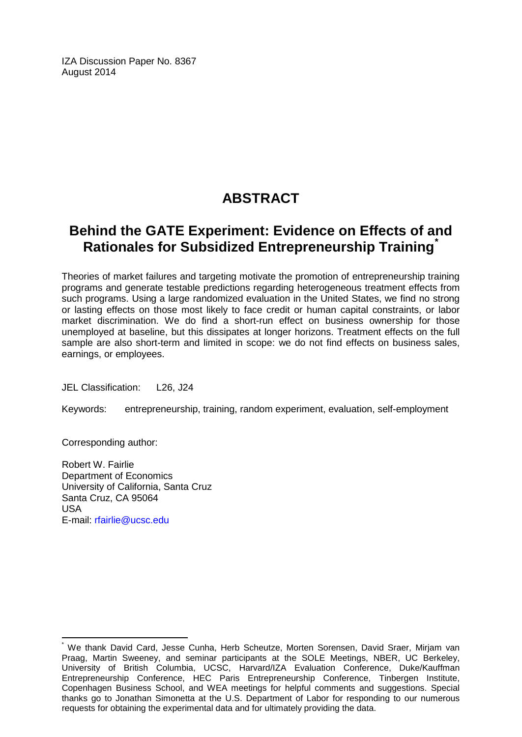IZA Discussion Paper No. 8367 August 2014

## **ABSTRACT**

## **Behind the GATE Experiment: Evidence on Effects of and Rationales for Subsidized Entrepreneurship Training[\\*](#page-1-0)**

Theories of market failures and targeting motivate the promotion of entrepreneurship training programs and generate testable predictions regarding heterogeneous treatment effects from such programs. Using a large randomized evaluation in the United States, we find no strong or lasting effects on those most likely to face credit or human capital constraints, or labor market discrimination. We do find a short-run effect on business ownership for those unemployed at baseline, but this dissipates at longer horizons. Treatment effects on the full sample are also short-term and limited in scope: we do not find effects on business sales, earnings, or employees.

JEL Classification: L26, J24

Keywords: entrepreneurship, training, random experiment, evaluation, self-employment

Corresponding author:

Robert W. Fairlie Department of Economics University of California, Santa Cruz Santa Cruz, CA 95064 USA E-mail: [rfairlie@ucsc.edu](mailto:rfairlie@ucsc.edu)

We thank David Card, Jesse Cunha, Herb Scheutze, Morten Sorensen, David Sraer, Mirjam van Praag, Martin Sweeney, and seminar participants at the SOLE Meetings, NBER, UC Berkeley, University of British Columbia, UCSC, Harvard/IZA Evaluation Conference, Duke/Kauffman Entrepreneurship Conference, HEC Paris Entrepreneurship Conference, Tinbergen Institute, Copenhagen Business School, and WEA meetings for helpful comments and suggestions. Special thanks go to Jonathan Simonetta at the U.S. Department of Labor for responding to our numerous requests for obtaining the experimental data and for ultimately providing the data.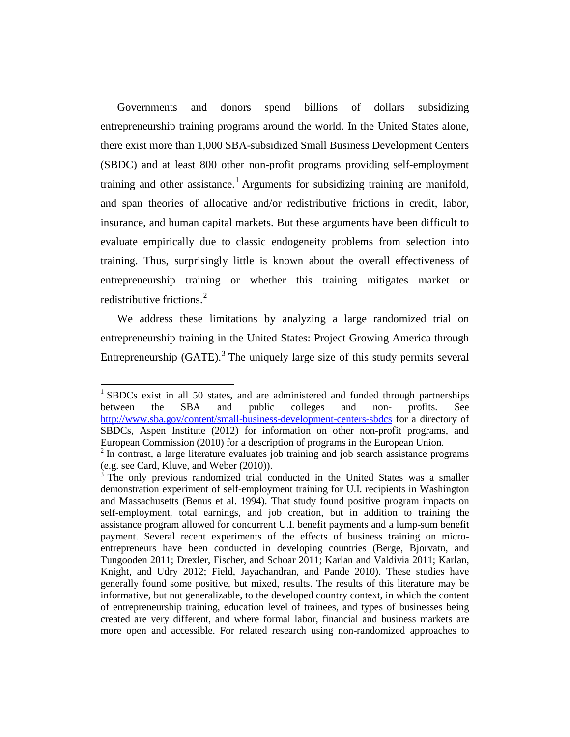Governments and donors spend billions of dollars subsidizing entrepreneurship training programs around the world. In the United States alone, there exist more than 1,000 SBA-subsidized Small Business Development Centers (SBDC) and at least 800 other non-profit programs providing self-employment training and other assistance.<sup>[1](#page-3-0)</sup> Arguments for subsidizing training are manifold, and span theories of allocative and/or redistributive frictions in credit, labor, insurance, and human capital markets. But these arguments have been difficult to evaluate empirically due to classic endogeneity problems from selection into training. Thus, surprisingly little is known about the overall effectiveness of entrepreneurship training or whether this training mitigates market or redistributive frictions.<sup>[2](#page-3-1)</sup>

We address these limitations by analyzing a large randomized trial on entrepreneurship training in the United States: Project Growing America through Entrepreneurship  $(GATE)$ .<sup>[3](#page-3-2)</sup> The uniquely large size of this study permits several

<span id="page-3-0"></span><sup>&</sup>lt;sup>1</sup> SBDCs exist in all 50 states, and are administered and funded through partnerships between the SBA and public colleges and non- profits. See <http://www.sba.gov/content/small-business-development-centers-sbdcs> for a directory of SBDCs, Aspen Institute (2012) for information on other non-profit programs, and European Commission (2010) for a description of programs in the European Union.

<span id="page-3-1"></span> $2$  In contrast, a large literature evaluates job training and job search assistance programs (e.g. see Card, Kluve, and Weber (2010)).

<span id="page-3-2"></span> $3$  The only previous randomized trial conducted in the United States was a smaller demonstration experiment of self-employment training for U.I. recipients in Washington and Massachusetts (Benus et al. 1994). That study found positive program impacts on self-employment, total earnings, and job creation, but in addition to training the assistance program allowed for concurrent U.I. benefit payments and a lump-sum benefit payment. Several recent experiments of the effects of business training on microentrepreneurs have been conducted in developing countries (Berge, Bjorvatn, and Tungooden 2011; Drexler, Fischer, and Schoar 2011; Karlan and Valdivia 2011; Karlan, Knight, and Udry 2012; Field, Jayachandran, and Pande 2010). These studies have generally found some positive, but mixed, results. The results of this literature may be informative, but not generalizable, to the developed country context, in which the content of entrepreneurship training, education level of trainees, and types of businesses being created are very different, and where formal labor, financial and business markets are more open and accessible. For related research using non-randomized approaches to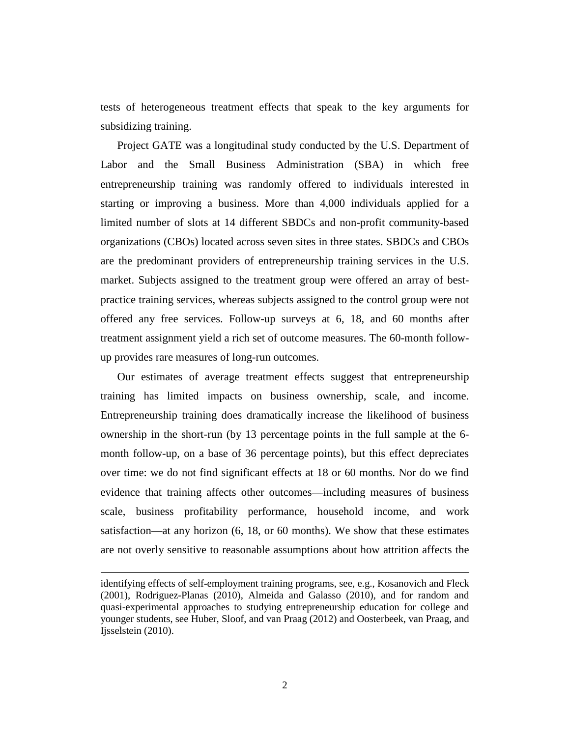tests of heterogeneous treatment effects that speak to the key arguments for subsidizing training.

Project GATE was a longitudinal study conducted by the U.S. Department of Labor and the Small Business Administration (SBA) in which free entrepreneurship training was randomly offered to individuals interested in starting or improving a business. More than 4,000 individuals applied for a limited number of slots at 14 different SBDCs and non-profit community-based organizations (CBOs) located across seven sites in three states. SBDCs and CBOs are the predominant providers of entrepreneurship training services in the U.S. market. Subjects assigned to the treatment group were offered an array of bestpractice training services, whereas subjects assigned to the control group were not offered any free services. Follow-up surveys at 6, 18, and 60 months after treatment assignment yield a rich set of outcome measures. The 60-month followup provides rare measures of long-run outcomes.

Our estimates of average treatment effects suggest that entrepreneurship training has limited impacts on business ownership, scale, and income. Entrepreneurship training does dramatically increase the likelihood of business ownership in the short-run (by 13 percentage points in the full sample at the 6 month follow-up, on a base of 36 percentage points), but this effect depreciates over time: we do not find significant effects at 18 or 60 months. Nor do we find evidence that training affects other outcomes—including measures of business scale, business profitability performance, household income, and work satisfaction—at any horizon (6, 18, or 60 months). We show that these estimates are not overly sensitive to reasonable assumptions about how attrition affects the

l

identifying effects of self-employment training programs, see, e.g., Kosanovich and Fleck (2001), Rodriguez-Planas (2010), Almeida and Galasso (2010), and for random and quasi-experimental approaches to studying entrepreneurship education for college and younger students, see Huber, Sloof, and van Praag (2012) and Oosterbeek, van Praag, and Ijsselstein (2010).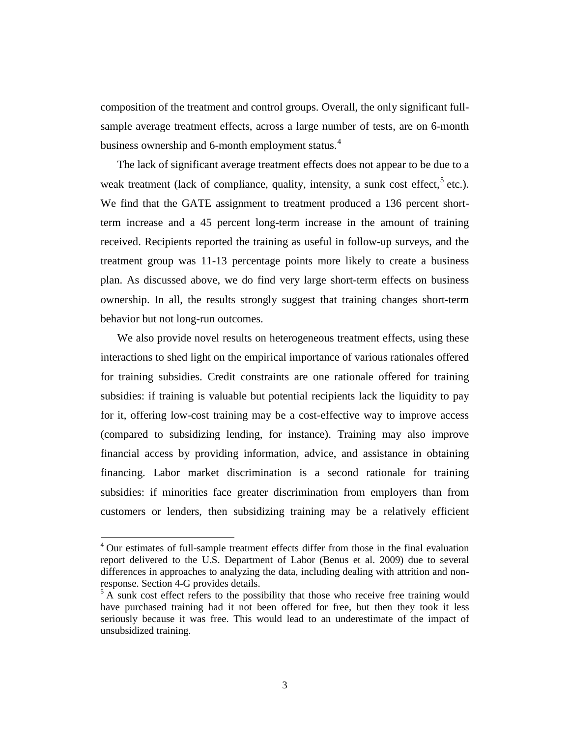composition of the treatment and control groups. Overall, the only significant fullsample average treatment effects, across a large number of tests, are on 6-month business ownership and 6-month employment status.<sup>[4](#page-5-0)</sup>

The lack of significant average treatment effects does not appear to be due to a weak treatment (lack of compliance, quality, intensity, a sunk cost effect,<sup>[5](#page-5-1)</sup> etc.). We find that the GATE assignment to treatment produced a 136 percent shortterm increase and a 45 percent long-term increase in the amount of training received. Recipients reported the training as useful in follow-up surveys, and the treatment group was 11-13 percentage points more likely to create a business plan. As discussed above, we do find very large short-term effects on business ownership. In all, the results strongly suggest that training changes short-term behavior but not long-run outcomes.

We also provide novel results on heterogeneous treatment effects, using these interactions to shed light on the empirical importance of various rationales offered for training subsidies. Credit constraints are one rationale offered for training subsidies: if training is valuable but potential recipients lack the liquidity to pay for it, offering low-cost training may be a cost-effective way to improve access (compared to subsidizing lending, for instance). Training may also improve financial access by providing information, advice, and assistance in obtaining financing. Labor market discrimination is a second rationale for training subsidies: if minorities face greater discrimination from employers than from customers or lenders, then subsidizing training may be a relatively efficient

l

<span id="page-5-0"></span><sup>&</sup>lt;sup>4</sup> Our estimates of full-sample treatment effects differ from those in the final evaluation report delivered to the U.S. Department of Labor (Benus et al. 2009) due to several differences in approaches to analyzing the data, including dealing with attrition and nonresponse. Section 4-G provides details. <sup>5</sup> A sunk cost effect refers to the possibility that those who receive free training would

<span id="page-5-1"></span>have purchased training had it not been offered for free, but then they took it less seriously because it was free. This would lead to an underestimate of the impact of unsubsidized training.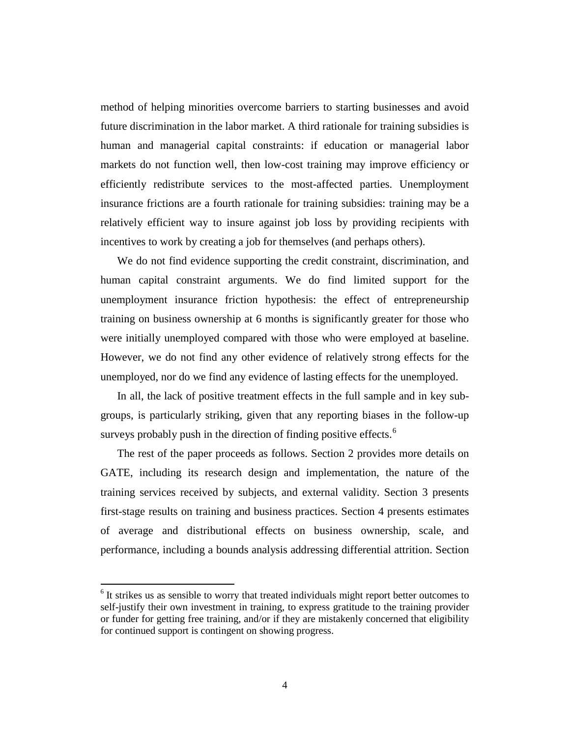method of helping minorities overcome barriers to starting businesses and avoid future discrimination in the labor market. A third rationale for training subsidies is human and managerial capital constraints: if education or managerial labor markets do not function well, then low-cost training may improve efficiency or efficiently redistribute services to the most-affected parties. Unemployment insurance frictions are a fourth rationale for training subsidies: training may be a relatively efficient way to insure against job loss by providing recipients with incentives to work by creating a job for themselves (and perhaps others).

We do not find evidence supporting the credit constraint, discrimination, and human capital constraint arguments. We do find limited support for the unemployment insurance friction hypothesis: the effect of entrepreneurship training on business ownership at 6 months is significantly greater for those who were initially unemployed compared with those who were employed at baseline. However, we do not find any other evidence of relatively strong effects for the unemployed, nor do we find any evidence of lasting effects for the unemployed.

In all, the lack of positive treatment effects in the full sample and in key subgroups, is particularly striking, given that any reporting biases in the follow-up surveys probably push in the direction of finding positive effects.<sup>[6](#page-6-0)</sup>

The rest of the paper proceeds as follows. Section 2 provides more details on GATE, including its research design and implementation, the nature of the training services received by subjects, and external validity. Section 3 presents first-stage results on training and business practices. Section 4 presents estimates of average and distributional effects on business ownership, scale, and performance, including a bounds analysis addressing differential attrition. Section

 $\overline{\phantom{a}}$ 

<span id="page-6-0"></span> $6$  It strikes us as sensible to worry that treated individuals might report better outcomes to self-justify their own investment in training, to express gratitude to the training provider or funder for getting free training, and/or if they are mistakenly concerned that eligibility for continued support is contingent on showing progress.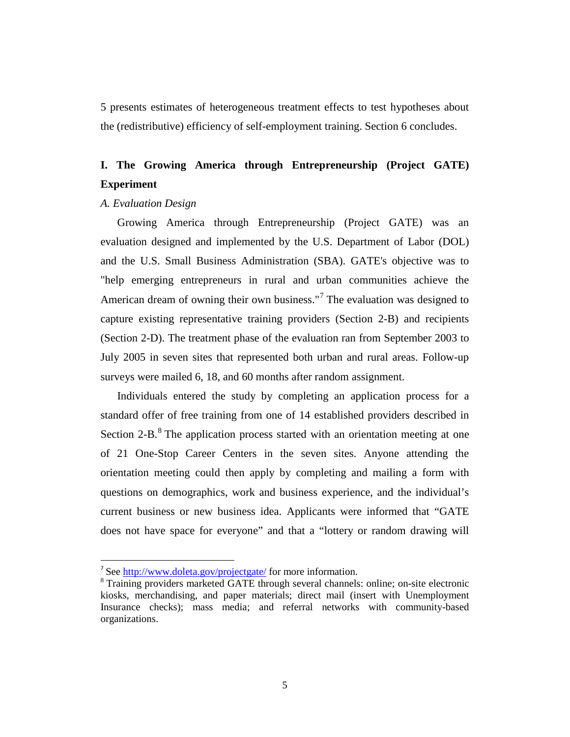5 presents estimates of heterogeneous treatment effects to test hypotheses about the (redistributive) efficiency of self-employment training. Section 6 concludes.

## **I. The Growing America through Entrepreneurship (Project GATE) Experiment**

#### *A. Evaluation Design*

Growing America through Entrepreneurship (Project GATE) was an evaluation designed and implemented by the U.S. Department of Labor (DOL) and the U.S. Small Business Administration (SBA). GATE's objective was to "help emerging entrepreneurs in rural and urban communities achieve the American dream of owning their own business."<sup>[7](#page-7-0)</sup> The evaluation was designed to capture existing representative training providers (Section 2-B) and recipients (Section 2-D). The treatment phase of the evaluation ran from September 2003 to July 2005 in seven sites that represented both urban and rural areas. Follow-up surveys were mailed 6, 18, and 60 months after random assignment.

Individuals entered the study by completing an application process for a standard offer of free training from one of 14 established providers described in Section 2-B.<sup>[8](#page-7-1)</sup> The application process started with an orientation meeting at one of 21 One-Stop Career Centers in the seven sites. Anyone attending the orientation meeting could then apply by completing and mailing a form with questions on demographics, work and business experience, and the individual's current business or new business idea. Applicants were informed that "GATE does not have space for everyone" and that a "lottery or random drawing will

<span id="page-7-0"></span> <sup>7</sup> See<http://www.doleta.gov/projectgate/> for more information.

<span id="page-7-1"></span><sup>&</sup>lt;sup>8</sup> Training providers marketed GATE through several channels: online; on-site electronic kiosks, merchandising, and paper materials; direct mail (insert with Unemployment Insurance checks); mass media; and referral networks with community-based organizations.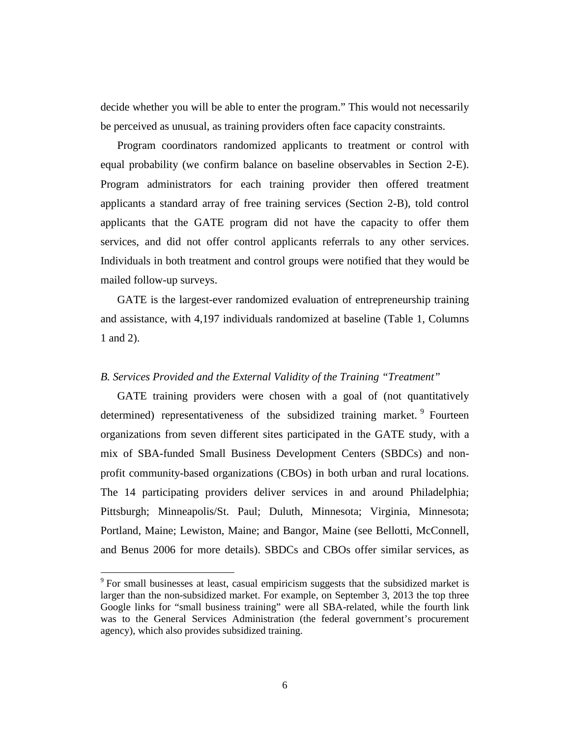decide whether you will be able to enter the program." This would not necessarily be perceived as unusual, as training providers often face capacity constraints.

Program coordinators randomized applicants to treatment or control with equal probability (we confirm balance on baseline observables in Section 2-E). Program administrators for each training provider then offered treatment applicants a standard array of free training services (Section 2-B), told control applicants that the GATE program did not have the capacity to offer them services, and did not offer control applicants referrals to any other services. Individuals in both treatment and control groups were notified that they would be mailed follow-up surveys.

GATE is the largest-ever randomized evaluation of entrepreneurship training and assistance, with 4,197 individuals randomized at baseline (Table 1, Columns 1 and 2).

#### *B. Services Provided and the External Validity of the Training "Treatment"*

GATE training providers were chosen with a goal of (not quantitatively determined) representativeness of the subsidized training market. <sup>[9](#page-8-0)</sup> Fourteen organizations from seven different sites participated in the GATE study, with a mix of SBA-funded Small Business Development Centers (SBDCs) and nonprofit community-based organizations (CBOs) in both urban and rural locations. The 14 participating providers deliver services in and around Philadelphia; Pittsburgh; Minneapolis/St. Paul; Duluth, Minnesota; Virginia, Minnesota; Portland, Maine; Lewiston, Maine; and Bangor, Maine (see Bellotti, McConnell, and Benus 2006 for more details). SBDCs and CBOs offer similar services, as

l

<span id="page-8-0"></span><sup>&</sup>lt;sup>9</sup> For small businesses at least, casual empiricism suggests that the subsidized market is larger than the non-subsidized market. For example, on September 3, 2013 the top three Google links for "small business training" were all SBA-related, while the fourth link was to the General Services Administration (the federal government's procurement agency), which also provides subsidized training.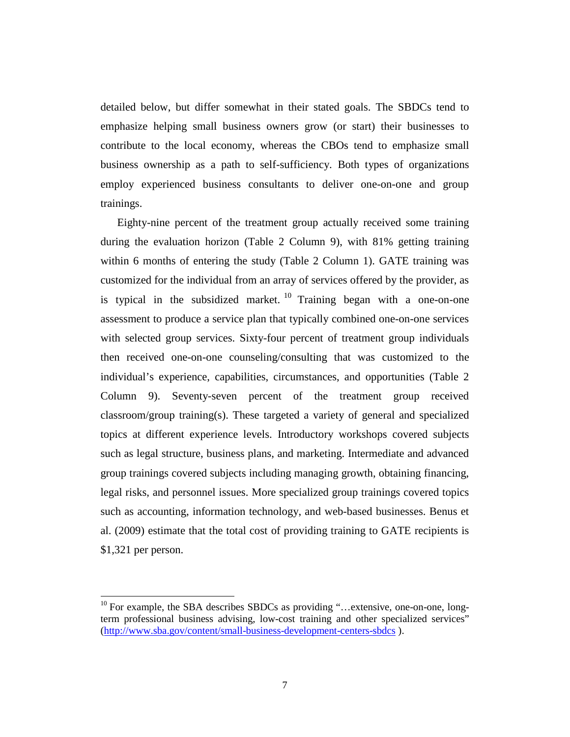detailed below, but differ somewhat in their stated goals. The SBDCs tend to emphasize helping small business owners grow (or start) their businesses to contribute to the local economy, whereas the CBOs tend to emphasize small business ownership as a path to self-sufficiency. Both types of organizations employ experienced business consultants to deliver one-on-one and group trainings.

Eighty-nine percent of the treatment group actually received some training during the evaluation horizon (Table 2 Column 9), with 81% getting training within 6 months of entering the study (Table 2 Column 1). GATE training was customized for the individual from an array of services offered by the provider, as is typical in the subsidized market.  $10$  Training began with a one-on-one assessment to produce a service plan that typically combined one-on-one services with selected group services. Sixty-four percent of treatment group individuals then received one-on-one counseling/consulting that was customized to the individual's experience, capabilities, circumstances, and opportunities (Table 2 Column 9). Seventy-seven percent of the treatment group received classroom/group training(s). These targeted a variety of general and specialized topics at different experience levels. Introductory workshops covered subjects such as legal structure, business plans, and marketing. Intermediate and advanced group trainings covered subjects including managing growth, obtaining financing, legal risks, and personnel issues. More specialized group trainings covered topics such as accounting, information technology, and web-based businesses. Benus et al. (2009) estimate that the total cost of providing training to GATE recipients is \$1,321 per person.

 $\overline{\phantom{a}}$ 

<span id="page-9-0"></span><sup>&</sup>lt;sup>10</sup> For example, the SBA describes SBDCs as providing "...extensive, one-on-one, longterm professional business advising, low-cost training and other specialized services" [\(http://www.sba.gov/content/small-business-development-centers-sbdcs](http://www.sba.gov/content/small-business-development-centers-sbdcs) ).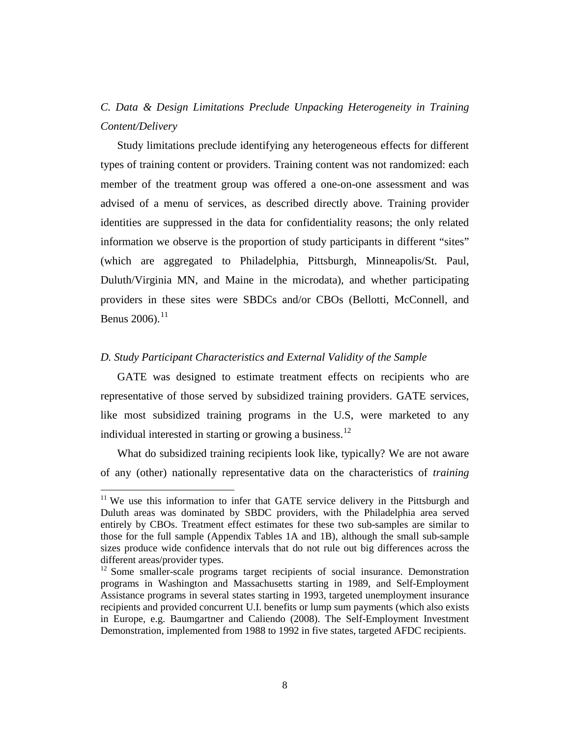## *C. Data & Design Limitations Preclude Unpacking Heterogeneity in Training Content/Delivery*

Study limitations preclude identifying any heterogeneous effects for different types of training content or providers. Training content was not randomized: each member of the treatment group was offered a one-on-one assessment and was advised of a menu of services, as described directly above. Training provider identities are suppressed in the data for confidentiality reasons; the only related information we observe is the proportion of study participants in different "sites" (which are aggregated to Philadelphia, Pittsburgh, Minneapolis/St. Paul, Duluth/Virginia MN, and Maine in the microdata), and whether participating providers in these sites were SBDCs and/or CBOs (Bellotti, McConnell, and Benus 2006).<sup>[11](#page-10-0)</sup>

#### *D. Study Participant Characteristics and External Validity of the Sample*

 $\overline{\phantom{a}}$ 

GATE was designed to estimate treatment effects on recipients who are representative of those served by subsidized training providers. GATE services, like most subsidized training programs in the U.S, were marketed to any individual interested in starting or growing a business.<sup>[12](#page-10-1)</sup>

What do subsidized training recipients look like, typically? We are not aware of any (other) nationally representative data on the characteristics of *training* 

<span id="page-10-0"></span> $11$  We use this information to infer that GATE service delivery in the Pittsburgh and Duluth areas was dominated by SBDC providers, with the Philadelphia area served entirely by CBOs. Treatment effect estimates for these two sub-samples are similar to those for the full sample (Appendix Tables 1A and 1B), although the small sub-sample sizes produce wide confidence intervals that do not rule out big differences across the different areas/provider types.

<span id="page-10-1"></span><sup>&</sup>lt;sup>12</sup> Some smaller-scale programs target recipients of social insurance. Demonstration programs in Washington and Massachusetts starting in 1989, and Self-Employment Assistance programs in several states starting in 1993, targeted unemployment insurance recipients and provided concurrent U.I. benefits or lump sum payments (which also exists in Europe, e.g. Baumgartner and Caliendo (2008). The Self-Employment Investment Demonstration, implemented from 1988 to 1992 in five states, targeted AFDC recipients.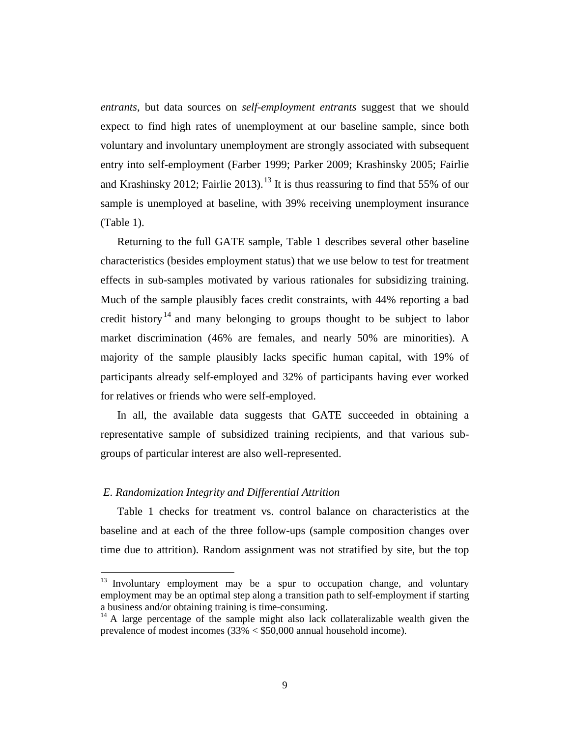*entrants*, but data sources on *self-employment entrants* suggest that we should expect to find high rates of unemployment at our baseline sample, since both voluntary and involuntary unemployment are strongly associated with subsequent entry into self-employment (Farber 1999; Parker 2009; Krashinsky 2005; Fairlie and Krashinsky 2012; Fairlie 20[13](#page-11-0)).<sup>13</sup> It is thus reassuring to find that 55% of our sample is unemployed at baseline, with 39% receiving unemployment insurance (Table 1).

Returning to the full GATE sample, Table 1 describes several other baseline characteristics (besides employment status) that we use below to test for treatment effects in sub-samples motivated by various rationales for subsidizing training. Much of the sample plausibly faces credit constraints, with 44% reporting a bad credit history<sup>[14](#page-11-1)</sup> and many belonging to groups thought to be subject to labor market discrimination (46% are females, and nearly 50% are minorities). A majority of the sample plausibly lacks specific human capital, with 19% of participants already self-employed and 32% of participants having ever worked for relatives or friends who were self-employed.

In all, the available data suggests that GATE succeeded in obtaining a representative sample of subsidized training recipients, and that various subgroups of particular interest are also well-represented.

#### *E. Randomization Integrity and Differential Attrition*

l

Table 1 checks for treatment vs. control balance on characteristics at the baseline and at each of the three follow-ups (sample composition changes over time due to attrition). Random assignment was not stratified by site, but the top

<span id="page-11-0"></span> $13$  Involuntary employment may be a spur to occupation change, and voluntary employment may be an optimal step along a transition path to self-employment if starting a business and/or obtaining training is time-consuming.

<span id="page-11-1"></span> $14$  A large percentage of the sample might also lack collateralizable wealth given the prevalence of modest incomes  $(33\% \leq $50,000$  annual household income).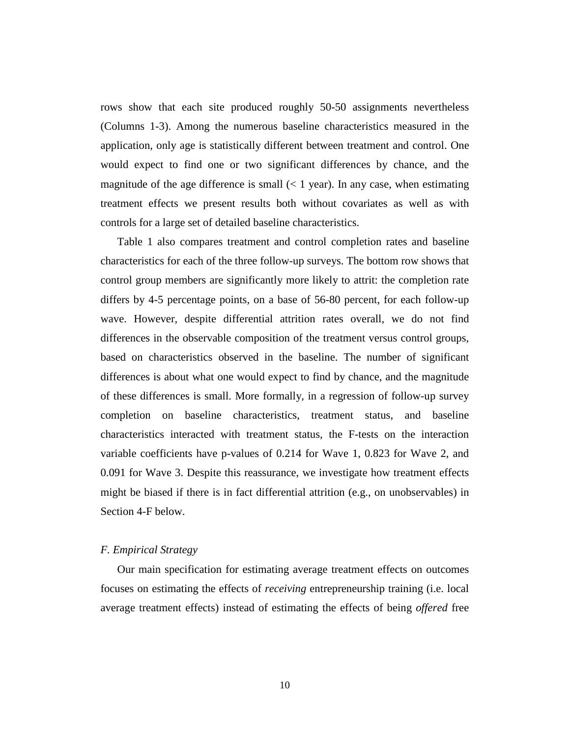rows show that each site produced roughly 50-50 assignments nevertheless (Columns 1-3). Among the numerous baseline characteristics measured in the application, only age is statistically different between treatment and control. One would expect to find one or two significant differences by chance, and the magnitude of the age difference is small  $(< 1$  year). In any case, when estimating treatment effects we present results both without covariates as well as with controls for a large set of detailed baseline characteristics.

Table 1 also compares treatment and control completion rates and baseline characteristics for each of the three follow-up surveys. The bottom row shows that control group members are significantly more likely to attrit: the completion rate differs by 4-5 percentage points, on a base of 56-80 percent, for each follow-up wave. However, despite differential attrition rates overall, we do not find differences in the observable composition of the treatment versus control groups, based on characteristics observed in the baseline. The number of significant differences is about what one would expect to find by chance, and the magnitude of these differences is small. More formally, in a regression of follow-up survey completion on baseline characteristics, treatment status, and baseline characteristics interacted with treatment status, the F-tests on the interaction variable coefficients have p-values of 0.214 for Wave 1, 0.823 for Wave 2, and 0.091 for Wave 3. Despite this reassurance, we investigate how treatment effects might be biased if there is in fact differential attrition (e.g., on unobservables) in Section 4-F below.

#### *F. Empirical Strategy*

Our main specification for estimating average treatment effects on outcomes focuses on estimating the effects of *receiving* entrepreneurship training (i.e. local average treatment effects) instead of estimating the effects of being *offered* free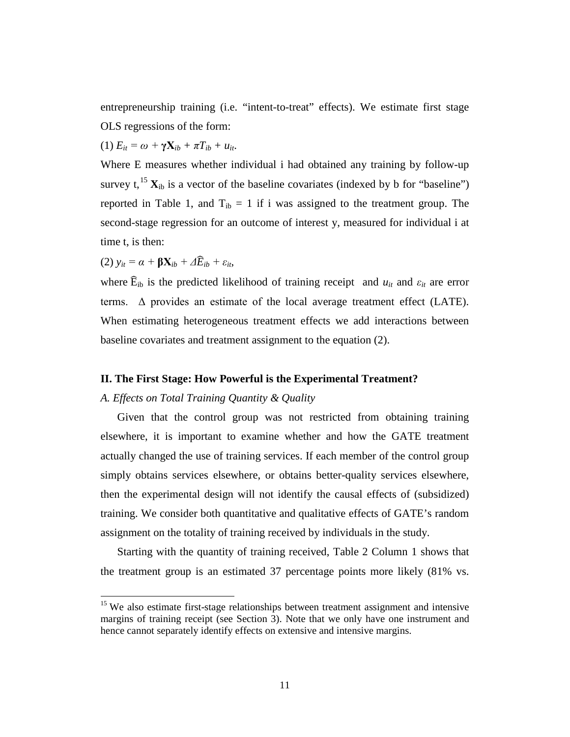entrepreneurship training (i.e. "intent-to-treat" effects). We estimate first stage OLS regressions of the form:

(1) 
$$
E_{it} = \omega + \gamma \mathbf{X}_{ib} + \pi T_{ib} + u_{it}.
$$

Where E measures whether individual i had obtained any training by follow-up survey t,  $^{15}$  $^{15}$  $^{15}$   $X_{ib}$  is a vector of the baseline covariates (indexed by b for "baseline") reported in Table 1, and  $T_{ib} = 1$  if i was assigned to the treatment group. The second-stage regression for an outcome of interest y, measured for individual i at time t, is then:

(2) *yit = α +* **βX***ib + ΔE*�*ib + εit*,

 $\overline{\phantom{a}}$ 

where  $\widehat{E}_{ib}$  is the predicted likelihood of training receipt and  $u_{it}$  and  $\varepsilon_{it}$  are error terms.  $\Delta$  provides an estimate of the local average treatment effect (LATE). When estimating heterogeneous treatment effects we add interactions between baseline covariates and treatment assignment to the equation (2).

#### **II. The First Stage: How Powerful is the Experimental Treatment?**

#### *A. Effects on Total Training Quantity & Quality*

Given that the control group was not restricted from obtaining training elsewhere, it is important to examine whether and how the GATE treatment actually changed the use of training services. If each member of the control group simply obtains services elsewhere, or obtains better-quality services elsewhere, then the experimental design will not identify the causal effects of (subsidized) training. We consider both quantitative and qualitative effects of GATE's random assignment on the totality of training received by individuals in the study.

Starting with the quantity of training received, Table 2 Column 1 shows that the treatment group is an estimated 37 percentage points more likely (81% vs.

<span id="page-13-0"></span><sup>&</sup>lt;sup>15</sup> We also estimate first-stage relationships between treatment assignment and intensive margins of training receipt (see Section 3). Note that we only have one instrument and hence cannot separately identify effects on extensive and intensive margins.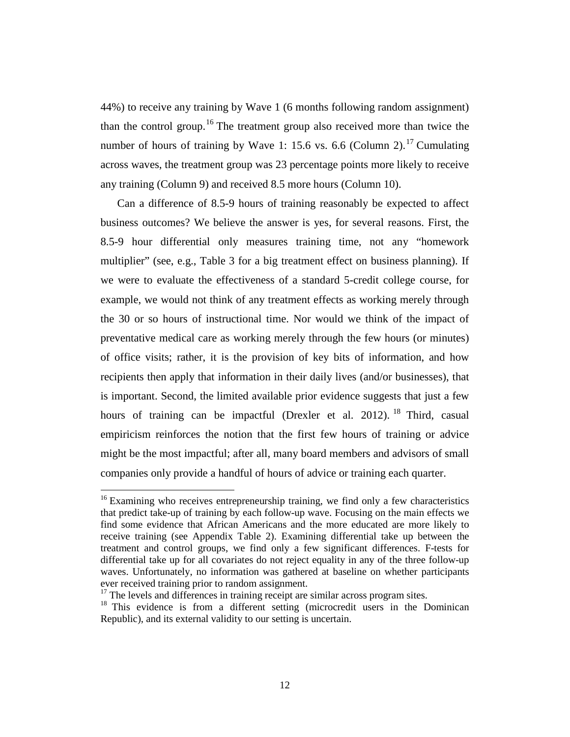44%) to receive any training by Wave 1 (6 months following random assignment) than the control group.<sup>[16](#page-14-0)</sup> The treatment group also received more than twice the number of hours of training by Wave 1: 15.6 vs. 6.6 (Column 2).<sup>[17](#page-14-1)</sup> Cumulating across waves, the treatment group was 23 percentage points more likely to receive any training (Column 9) and received 8.5 more hours (Column 10).

Can a difference of 8.5-9 hours of training reasonably be expected to affect business outcomes? We believe the answer is yes, for several reasons. First, the 8.5-9 hour differential only measures training time, not any "homework multiplier" (see, e.g., Table 3 for a big treatment effect on business planning). If we were to evaluate the effectiveness of a standard 5-credit college course, for example, we would not think of any treatment effects as working merely through the 30 or so hours of instructional time. Nor would we think of the impact of preventative medical care as working merely through the few hours (or minutes) of office visits; rather, it is the provision of key bits of information, and how recipients then apply that information in their daily lives (and/or businesses), that is important. Second, the limited available prior evidence suggests that just a few hours of training can be impactful (Drexler et al. 2012). <sup>[18](#page-14-2)</sup> Third, casual empiricism reinforces the notion that the first few hours of training or advice might be the most impactful; after all, many board members and advisors of small companies only provide a handful of hours of advice or training each quarter.

 $\overline{\phantom{a}}$ 

<span id="page-14-0"></span> $16$  Examining who receives entrepreneurship training, we find only a few characteristics that predict take-up of training by each follow-up wave. Focusing on the main effects we find some evidence that African Americans and the more educated are more likely to receive training (see Appendix Table 2). Examining differential take up between the treatment and control groups, we find only a few significant differences. F-tests for differential take up for all covariates do not reject equality in any of the three follow-up waves. Unfortunately, no information was gathered at baseline on whether participants ever received training prior to random assignment.

<sup>&</sup>lt;sup>17</sup> The levels and differences in training receipt are similar across program sites.

<span id="page-14-2"></span><span id="page-14-1"></span><sup>&</sup>lt;sup>18</sup> This evidence is from a different setting (microcredit users in the Dominican Republic), and its external validity to our setting is uncertain.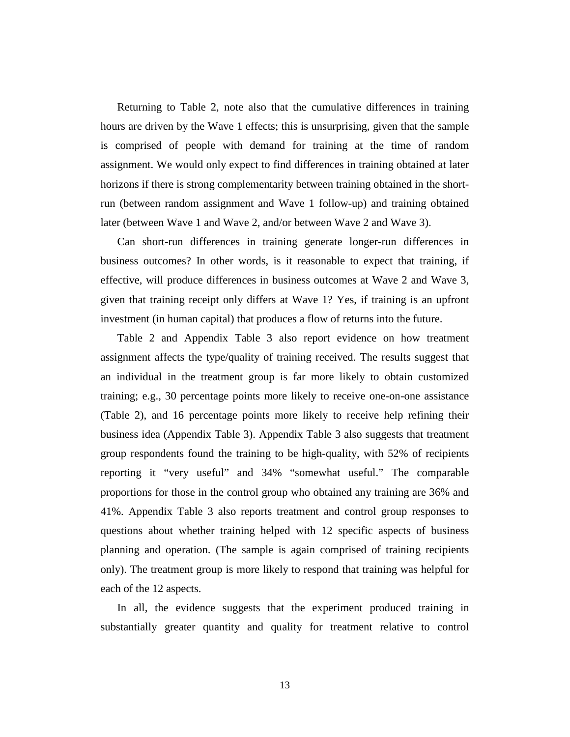Returning to Table 2, note also that the cumulative differences in training hours are driven by the Wave 1 effects; this is unsurprising, given that the sample is comprised of people with demand for training at the time of random assignment. We would only expect to find differences in training obtained at later horizons if there is strong complementarity between training obtained in the shortrun (between random assignment and Wave 1 follow-up) and training obtained later (between Wave 1 and Wave 2, and/or between Wave 2 and Wave 3).

Can short-run differences in training generate longer-run differences in business outcomes? In other words, is it reasonable to expect that training, if effective, will produce differences in business outcomes at Wave 2 and Wave 3, given that training receipt only differs at Wave 1? Yes, if training is an upfront investment (in human capital) that produces a flow of returns into the future.

Table 2 and Appendix Table 3 also report evidence on how treatment assignment affects the type/quality of training received. The results suggest that an individual in the treatment group is far more likely to obtain customized training; e.g., 30 percentage points more likely to receive one-on-one assistance (Table 2), and 16 percentage points more likely to receive help refining their business idea (Appendix Table 3). Appendix Table 3 also suggests that treatment group respondents found the training to be high-quality, with 52% of recipients reporting it "very useful" and 34% "somewhat useful." The comparable proportions for those in the control group who obtained any training are 36% and 41%. Appendix Table 3 also reports treatment and control group responses to questions about whether training helped with 12 specific aspects of business planning and operation. (The sample is again comprised of training recipients only). The treatment group is more likely to respond that training was helpful for each of the 12 aspects.

In all, the evidence suggests that the experiment produced training in substantially greater quantity and quality for treatment relative to control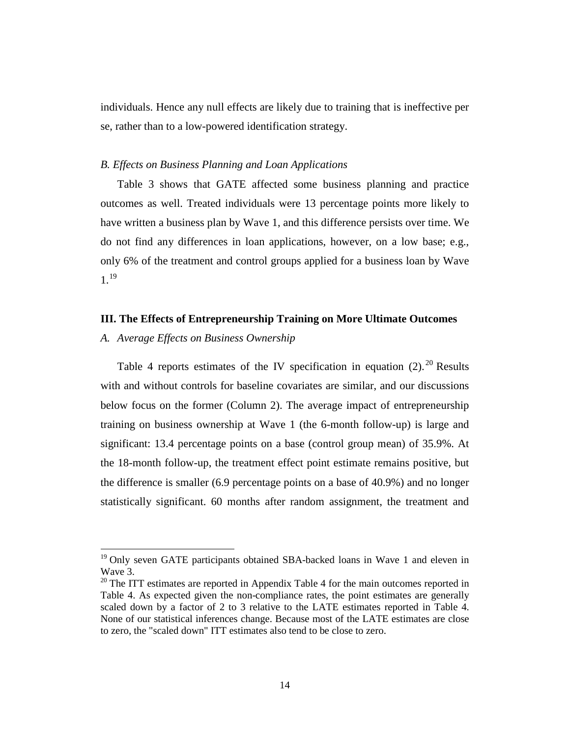individuals. Hence any null effects are likely due to training that is ineffective per se, rather than to a low-powered identification strategy.

#### *B. Effects on Business Planning and Loan Applications*

Table 3 shows that GATE affected some business planning and practice outcomes as well. Treated individuals were 13 percentage points more likely to have written a business plan by Wave 1, and this difference persists over time. We do not find any differences in loan applications, however, on a low base; e.g., only 6% of the treatment and control groups applied for a business loan by Wave  $1^{19}$  $1^{19}$  $1^{19}$ 

#### **III. The Effects of Entrepreneurship Training on More Ultimate Outcomes**

#### *A. Average Effects on Business Ownership*

 $\overline{\phantom{a}}$ 

Table 4 reports estimates of the IV specification in equation  $(2)$ .<sup>[20](#page-16-1)</sup> Results with and without controls for baseline covariates are similar, and our discussions below focus on the former (Column 2). The average impact of entrepreneurship training on business ownership at Wave 1 (the 6-month follow-up) is large and significant: 13.4 percentage points on a base (control group mean) of 35.9%. At the 18-month follow-up, the treatment effect point estimate remains positive, but the difference is smaller (6.9 percentage points on a base of 40.9%) and no longer statistically significant. 60 months after random assignment, the treatment and

<span id="page-16-0"></span> $19$  Only seven GATE participants obtained SBA-backed loans in Wave 1 and eleven in Wave 3.

<span id="page-16-1"></span> $20$  The ITT estimates are reported in Appendix Table 4 for the main outcomes reported in Table 4. As expected given the non-compliance rates, the point estimates are generally scaled down by a factor of 2 to 3 relative to the LATE estimates reported in Table 4. None of our statistical inferences change. Because most of the LATE estimates are close to zero, the "scaled down" ITT estimates also tend to be close to zero.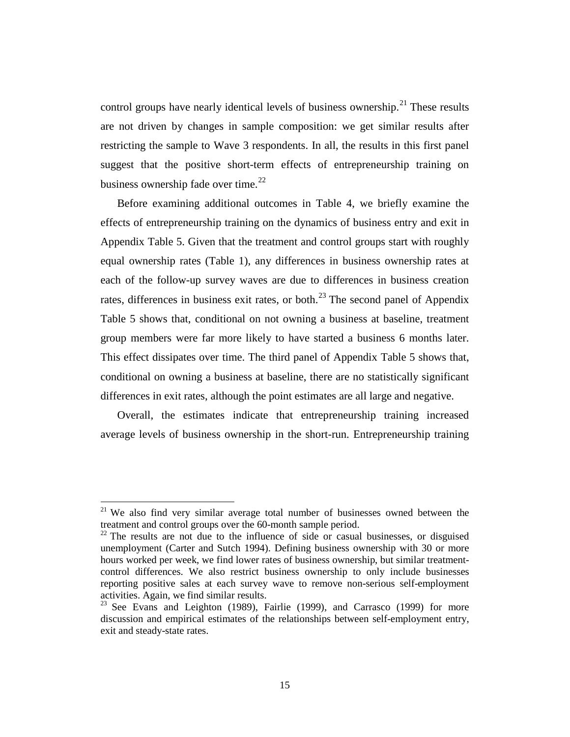control groups have nearly identical levels of business ownership.<sup>[21](#page-17-0)</sup> These results are not driven by changes in sample composition: we get similar results after restricting the sample to Wave 3 respondents. In all, the results in this first panel suggest that the positive short-term effects of entrepreneurship training on business ownership fade over time. $^{22}$  $^{22}$  $^{22}$ 

Before examining additional outcomes in Table 4, we briefly examine the effects of entrepreneurship training on the dynamics of business entry and exit in Appendix Table 5. Given that the treatment and control groups start with roughly equal ownership rates (Table 1), any differences in business ownership rates at each of the follow-up survey waves are due to differences in business creation rates, differences in business exit rates, or both.<sup>[23](#page-17-2)</sup> The second panel of Appendix Table 5 shows that, conditional on not owning a business at baseline, treatment group members were far more likely to have started a business 6 months later. This effect dissipates over time. The third panel of Appendix Table 5 shows that, conditional on owning a business at baseline, there are no statistically significant differences in exit rates, although the point estimates are all large and negative.

Overall, the estimates indicate that entrepreneurship training increased average levels of business ownership in the short-run. Entrepreneurship training

 $\overline{\phantom{a}}$ 

<span id="page-17-0"></span> $21$  We also find very similar average total number of businesses owned between the treatment and control groups over the 60-month sample period.

<span id="page-17-1"></span> $22$  The results are not due to the influence of side or casual businesses, or disguised unemployment (Carter and Sutch 1994). Defining business ownership with 30 or more hours worked per week, we find lower rates of business ownership, but similar treatmentcontrol differences. We also restrict business ownership to only include businesses reporting positive sales at each survey wave to remove non-serious self-employment activities. Again, we find similar results.

<span id="page-17-2"></span> $23$  See Evans and Leighton (1989), Fairlie (1999), and Carrasco (1999) for more discussion and empirical estimates of the relationships between self-employment entry, exit and steady-state rates.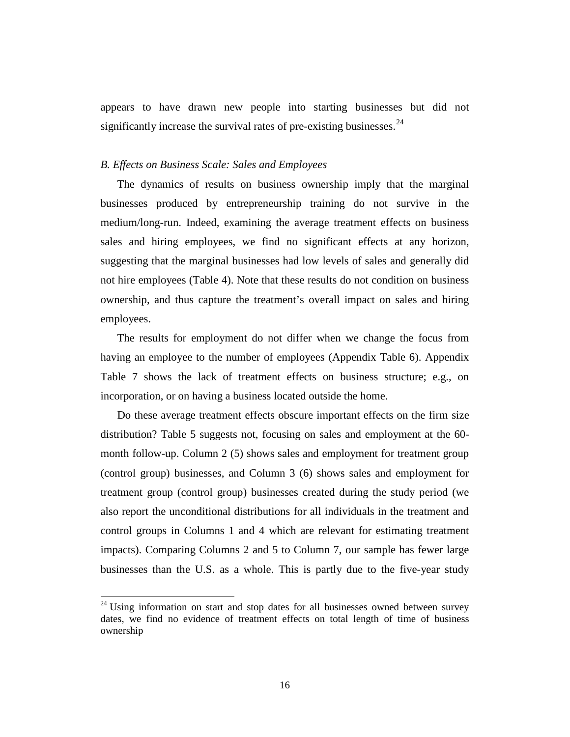appears to have drawn new people into starting businesses but did not significantly increase the survival rates of pre-existing businesses.  $24$ 

#### *B. Effects on Business Scale: Sales and Employees*

The dynamics of results on business ownership imply that the marginal businesses produced by entrepreneurship training do not survive in the medium/long-run. Indeed, examining the average treatment effects on business sales and hiring employees, we find no significant effects at any horizon, suggesting that the marginal businesses had low levels of sales and generally did not hire employees (Table 4). Note that these results do not condition on business ownership, and thus capture the treatment's overall impact on sales and hiring employees.

The results for employment do not differ when we change the focus from having an employee to the number of employees (Appendix Table 6). Appendix Table 7 shows the lack of treatment effects on business structure; e.g., on incorporation, or on having a business located outside the home.

Do these average treatment effects obscure important effects on the firm size distribution? Table 5 suggests not, focusing on sales and employment at the 60 month follow-up. Column 2 (5) shows sales and employment for treatment group (control group) businesses, and Column 3 (6) shows sales and employment for treatment group (control group) businesses created during the study period (we also report the unconditional distributions for all individuals in the treatment and control groups in Columns 1 and 4 which are relevant for estimating treatment impacts). Comparing Columns 2 and 5 to Column 7, our sample has fewer large businesses than the U.S. as a whole. This is partly due to the five-year study

 $\overline{\phantom{a}}$ 

<span id="page-18-0"></span> $24$  Using information on start and stop dates for all businesses owned between survey dates, we find no evidence of treatment effects on total length of time of business ownership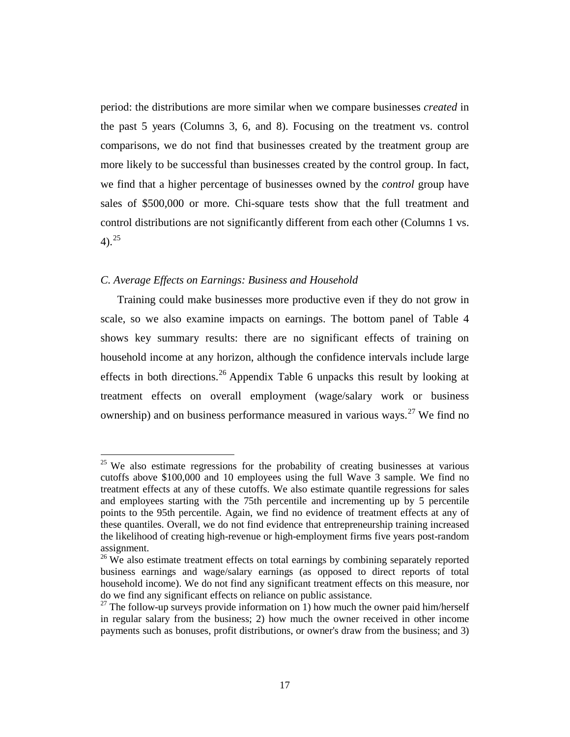period: the distributions are more similar when we compare businesses *created* in the past 5 years (Columns 3, 6, and 8). Focusing on the treatment vs. control comparisons, we do not find that businesses created by the treatment group are more likely to be successful than businesses created by the control group. In fact, we find that a higher percentage of businesses owned by the *control* group have sales of \$500,000 or more. Chi-square tests show that the full treatment and control distributions are not significantly different from each other (Columns 1 vs. 4). [25](#page-19-0)

#### *C. Average Effects on Earnings: Business and Household*

 $\overline{\phantom{a}}$ 

Training could make businesses more productive even if they do not grow in scale, so we also examine impacts on earnings. The bottom panel of Table 4 shows key summary results: there are no significant effects of training on household income at any horizon, although the confidence intervals include large effects in both directions.<sup>[26](#page-19-1)</sup> Appendix Table 6 unpacks this result by looking at treatment effects on overall employment (wage/salary work or business ownership) and on business performance measured in various ways.<sup>[27](#page-19-2)</sup> We find no

<span id="page-19-0"></span> $25$  We also estimate regressions for the probability of creating businesses at various cutoffs above \$100,000 and 10 employees using the full Wave 3 sample. We find no treatment effects at any of these cutoffs. We also estimate quantile regressions for sales and employees starting with the 75th percentile and incrementing up by 5 percentile points to the 95th percentile. Again, we find no evidence of treatment effects at any of these quantiles. Overall, we do not find evidence that entrepreneurship training increased the likelihood of creating high-revenue or high-employment firms five years post-random assignment.

<span id="page-19-1"></span> $26$  We also estimate treatment effects on total earnings by combining separately reported business earnings and wage/salary earnings (as opposed to direct reports of total household income). We do not find any significant treatment effects on this measure, nor do we find any significant effects on reliance on public assistance.

<span id="page-19-2"></span><sup>&</sup>lt;sup>27</sup> The follow-up surveys provide information on 1) how much the owner paid him/herself in regular salary from the business; 2) how much the owner received in other income payments such as bonuses, profit distributions, or owner's draw from the business; and 3)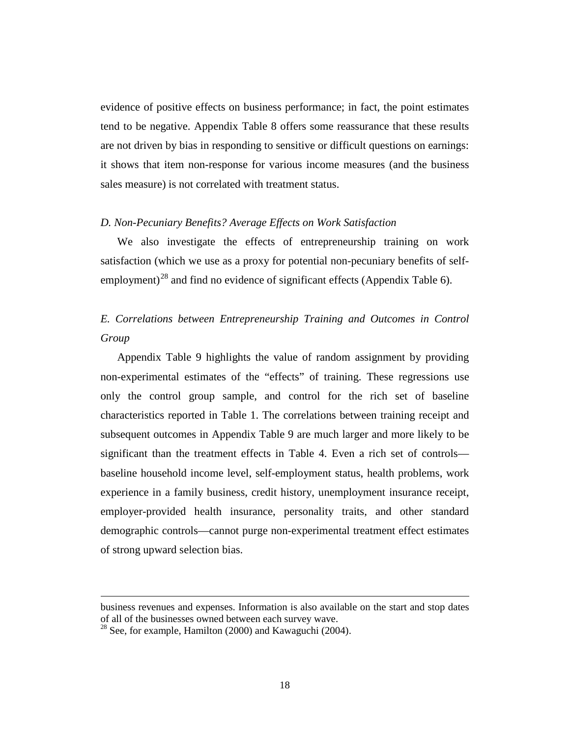evidence of positive effects on business performance; in fact, the point estimates tend to be negative. Appendix Table 8 offers some reassurance that these results are not driven by bias in responding to sensitive or difficult questions on earnings: it shows that item non-response for various income measures (and the business sales measure) is not correlated with treatment status.

#### *D. Non-Pecuniary Benefits? Average Effects on Work Satisfaction*

We also investigate the effects of entrepreneurship training on work satisfaction (which we use as a proxy for potential non-pecuniary benefits of self-employment)<sup>[28](#page-20-0)</sup> and find no evidence of significant effects (Appendix Table 6).

## *E. Correlations between Entrepreneurship Training and Outcomes in Control Group*

Appendix Table 9 highlights the value of random assignment by providing non-experimental estimates of the "effects" of training. These regressions use only the control group sample, and control for the rich set of baseline characteristics reported in Table 1. The correlations between training receipt and subsequent outcomes in Appendix Table 9 are much larger and more likely to be significant than the treatment effects in Table 4. Even a rich set of controls baseline household income level, self-employment status, health problems, work experience in a family business, credit history, unemployment insurance receipt, employer-provided health insurance, personality traits, and other standard demographic controls—cannot purge non-experimental treatment effect estimates of strong upward selection bias.

 $\overline{\phantom{a}}$ 

business revenues and expenses. Information is also available on the start and stop dates of all of the businesses owned between each survey wave.

<span id="page-20-0"></span> $28$  See, for example, Hamilton (2000) and Kawaguchi (2004).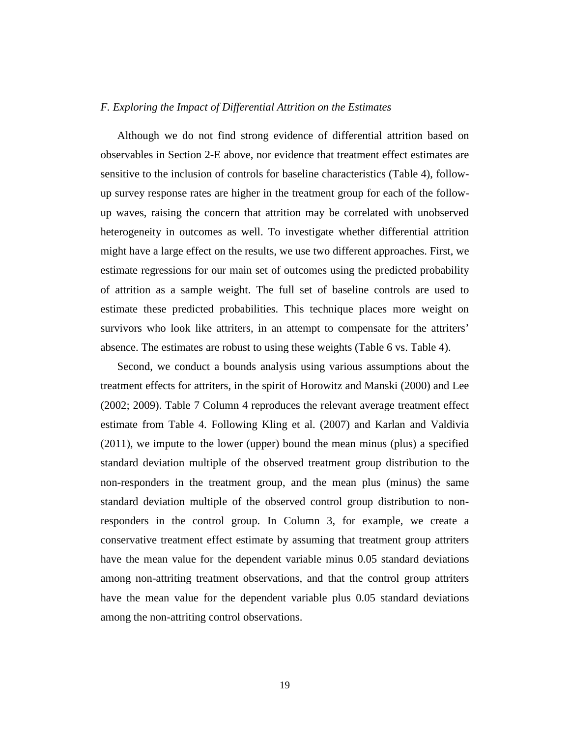#### *F. Exploring the Impact of Differential Attrition on the Estimates*

Although we do not find strong evidence of differential attrition based on observables in Section 2-E above, nor evidence that treatment effect estimates are sensitive to the inclusion of controls for baseline characteristics (Table 4), followup survey response rates are higher in the treatment group for each of the followup waves, raising the concern that attrition may be correlated with unobserved heterogeneity in outcomes as well. To investigate whether differential attrition might have a large effect on the results, we use two different approaches. First, we estimate regressions for our main set of outcomes using the predicted probability of attrition as a sample weight. The full set of baseline controls are used to estimate these predicted probabilities. This technique places more weight on survivors who look like attriters, in an attempt to compensate for the attriters' absence. The estimates are robust to using these weights (Table 6 vs. Table 4).

Second, we conduct a bounds analysis using various assumptions about the treatment effects for attriters, in the spirit of Horowitz and Manski (2000) and Lee (2002; 2009). Table 7 Column 4 reproduces the relevant average treatment effect estimate from Table 4. Following Kling et al. (2007) and Karlan and Valdivia (2011), we impute to the lower (upper) bound the mean minus (plus) a specified standard deviation multiple of the observed treatment group distribution to the non-responders in the treatment group, and the mean plus (minus) the same standard deviation multiple of the observed control group distribution to nonresponders in the control group. In Column 3, for example, we create a conservative treatment effect estimate by assuming that treatment group attriters have the mean value for the dependent variable minus 0.05 standard deviations among non-attriting treatment observations, and that the control group attriters have the mean value for the dependent variable plus 0.05 standard deviations among the non-attriting control observations.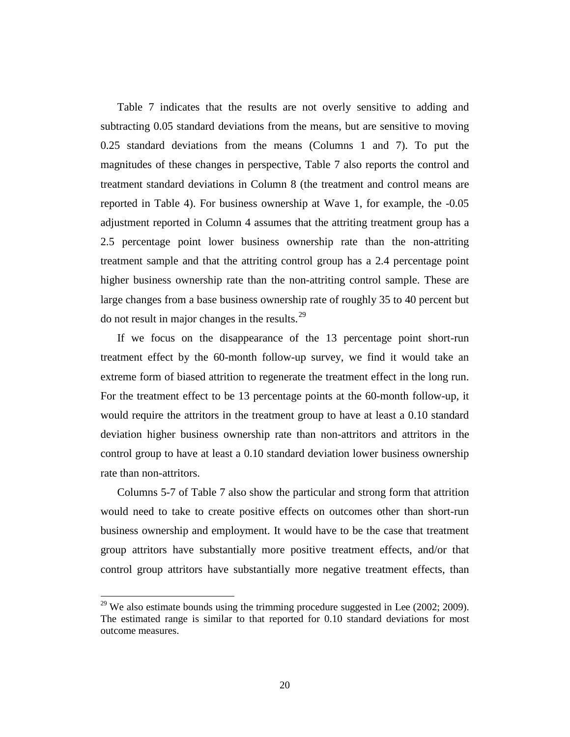Table 7 indicates that the results are not overly sensitive to adding and subtracting 0.05 standard deviations from the means, but are sensitive to moving 0.25 standard deviations from the means (Columns 1 and 7). To put the magnitudes of these changes in perspective, Table 7 also reports the control and treatment standard deviations in Column 8 (the treatment and control means are reported in Table 4). For business ownership at Wave 1, for example, the -0.05 adjustment reported in Column 4 assumes that the attriting treatment group has a 2.5 percentage point lower business ownership rate than the non-attriting treatment sample and that the attriting control group has a 2.4 percentage point higher business ownership rate than the non-attriting control sample. These are large changes from a base business ownership rate of roughly 35 to 40 percent but do not result in major changes in the results. $^{29}$  $^{29}$  $^{29}$ 

If we focus on the disappearance of the 13 percentage point short-run treatment effect by the 60-month follow-up survey, we find it would take an extreme form of biased attrition to regenerate the treatment effect in the long run. For the treatment effect to be 13 percentage points at the 60-month follow-up, it would require the attritors in the treatment group to have at least a 0.10 standard deviation higher business ownership rate than non-attritors and attritors in the control group to have at least a 0.10 standard deviation lower business ownership rate than non-attritors.

Columns 5-7 of Table 7 also show the particular and strong form that attrition would need to take to create positive effects on outcomes other than short-run business ownership and employment. It would have to be the case that treatment group attritors have substantially more positive treatment effects, and/or that control group attritors have substantially more negative treatment effects, than

 $\overline{\phantom{a}}$ 

<span id="page-22-0"></span> $29$  We also estimate bounds using the trimming procedure suggested in Lee (2002; 2009). The estimated range is similar to that reported for 0.10 standard deviations for most outcome measures.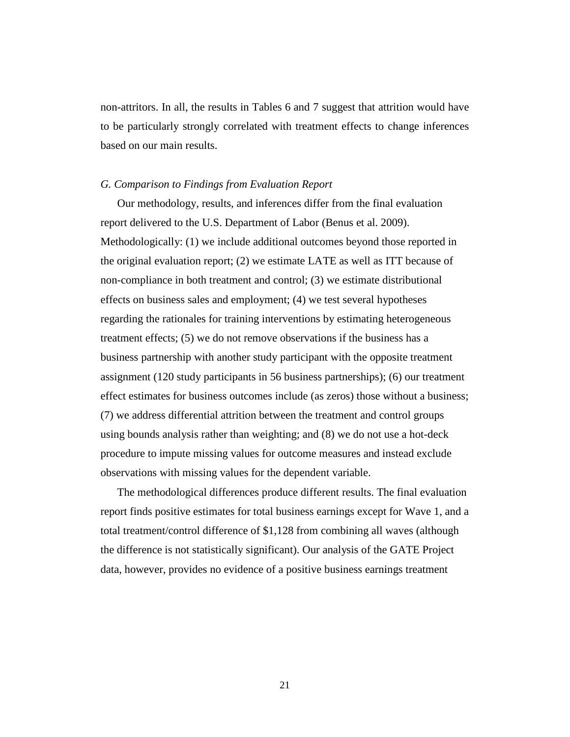non-attritors. In all, the results in Tables 6 and 7 suggest that attrition would have to be particularly strongly correlated with treatment effects to change inferences based on our main results.

#### *G. Comparison to Findings from Evaluation Report*

Our methodology, results, and inferences differ from the final evaluation report delivered to the U.S. Department of Labor (Benus et al. 2009). Methodologically: (1) we include additional outcomes beyond those reported in the original evaluation report; (2) we estimate LATE as well as ITT because of non-compliance in both treatment and control; (3) we estimate distributional effects on business sales and employment; (4) we test several hypotheses regarding the rationales for training interventions by estimating heterogeneous treatment effects; (5) we do not remove observations if the business has a business partnership with another study participant with the opposite treatment assignment (120 study participants in 56 business partnerships); (6) our treatment effect estimates for business outcomes include (as zeros) those without a business; (7) we address differential attrition between the treatment and control groups using bounds analysis rather than weighting; and (8) we do not use a hot-deck procedure to impute missing values for outcome measures and instead exclude observations with missing values for the dependent variable.

The methodological differences produce different results. The final evaluation report finds positive estimates for total business earnings except for Wave 1, and a total treatment/control difference of \$1,128 from combining all waves (although the difference is not statistically significant). Our analysis of the GATE Project data, however, provides no evidence of a positive business earnings treatment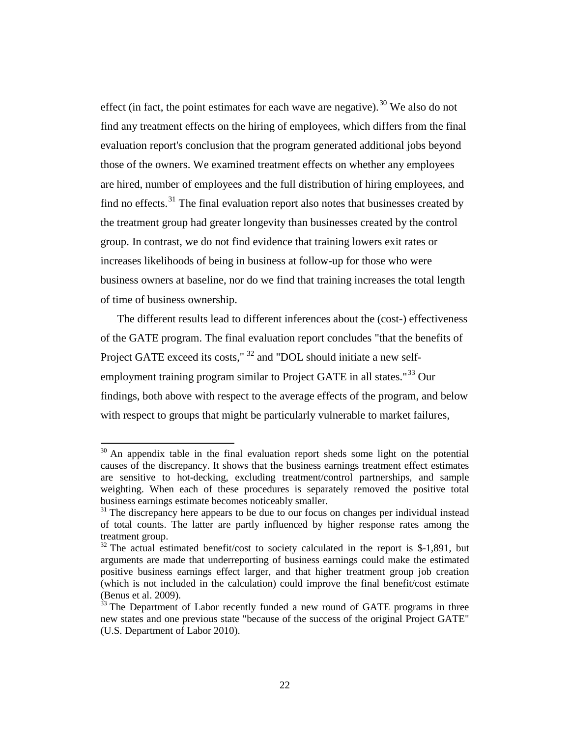effect (in fact, the point estimates for each wave are negative).<sup>[30](#page-24-0)</sup> We also do not find any treatment effects on the hiring of employees, which differs from the final evaluation report's conclusion that the program generated additional jobs beyond those of the owners. We examined treatment effects on whether any employees are hired, number of employees and the full distribution of hiring employees, and find no effects.<sup>[31](#page-24-1)</sup> The final evaluation report also notes that businesses created by the treatment group had greater longevity than businesses created by the control group. In contrast, we do not find evidence that training lowers exit rates or increases likelihoods of being in business at follow-up for those who were business owners at baseline, nor do we find that training increases the total length of time of business ownership.

The different results lead to different inferences about the (cost-) effectiveness of the GATE program. The final evaluation report concludes "that the benefits of Project GATE exceed its costs," <sup>[32](#page-24-2)</sup> and "DOL should initiate a new self-employment training program similar to Project GATE in all states."<sup>[33](#page-24-3)</sup> Our findings, both above with respect to the average effects of the program, and below with respect to groups that might be particularly vulnerable to market failures,

<span id="page-24-0"></span> $30$  An appendix table in the final evaluation report sheds some light on the potential causes of the discrepancy. It shows that the business earnings treatment effect estimates are sensitive to hot-decking, excluding treatment/control partnerships, and sample weighting. When each of these procedures is separately removed the positive total business earnings estimate becomes noticeably smaller.

<span id="page-24-1"></span> $31$  The discrepancy here appears to be due to our focus on changes per individual instead of total counts. The latter are partly influenced by higher response rates among the treatment group.

<span id="page-24-2"></span> $32$  The actual estimated benefit/cost to society calculated in the report is \$-1,891, but arguments are made that underreporting of business earnings could make the estimated positive business earnings effect larger, and that higher treatment group job creation (which is not included in the calculation) could improve the final benefit/cost estimate

<span id="page-24-3"></span> $33$  The Department of Labor recently funded a new round of GATE programs in three new states and one previous state "because of the success of the original Project GATE" (U.S. Department of Labor 2010).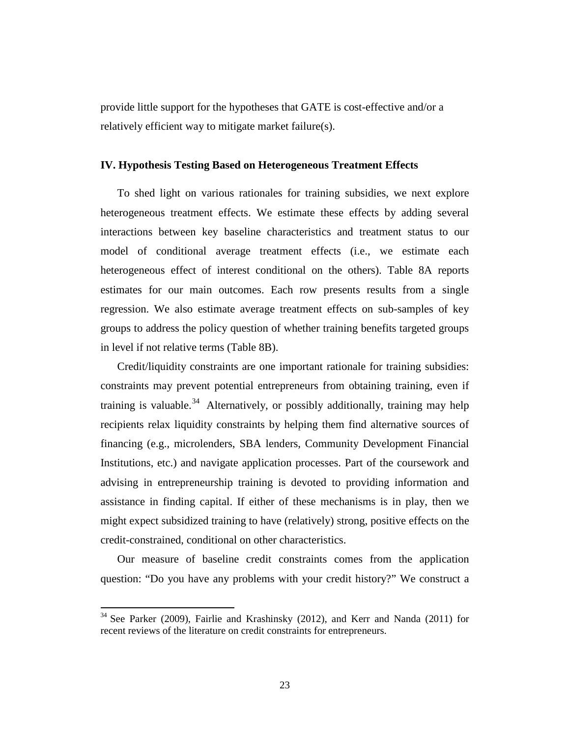provide little support for the hypotheses that GATE is cost-effective and/or a relatively efficient way to mitigate market failure(s).

#### **IV. Hypothesis Testing Based on Heterogeneous Treatment Effects**

To shed light on various rationales for training subsidies, we next explore heterogeneous treatment effects. We estimate these effects by adding several interactions between key baseline characteristics and treatment status to our model of conditional average treatment effects (i.e., we estimate each heterogeneous effect of interest conditional on the others). Table 8A reports estimates for our main outcomes. Each row presents results from a single regression. We also estimate average treatment effects on sub-samples of key groups to address the policy question of whether training benefits targeted groups in level if not relative terms (Table 8B).

Credit/liquidity constraints are one important rationale for training subsidies: constraints may prevent potential entrepreneurs from obtaining training, even if training is valuable.<sup>34</sup> Alternatively, or possibly additionally, training may help recipients relax liquidity constraints by helping them find alternative sources of financing (e.g., microlenders, SBA lenders, Community Development Financial Institutions, etc.) and navigate application processes. Part of the coursework and advising in entrepreneurship training is devoted to providing information and assistance in finding capital. If either of these mechanisms is in play, then we might expect subsidized training to have (relatively) strong, positive effects on the credit-constrained, conditional on other characteristics.

Our measure of baseline credit constraints comes from the application question: "Do you have any problems with your credit history?" We construct a

l

<span id="page-25-0"></span> $34$  See Parker (2009), Fairlie and Krashinsky (2012), and Kerr and Nanda (2011) for recent reviews of the literature on credit constraints for entrepreneurs.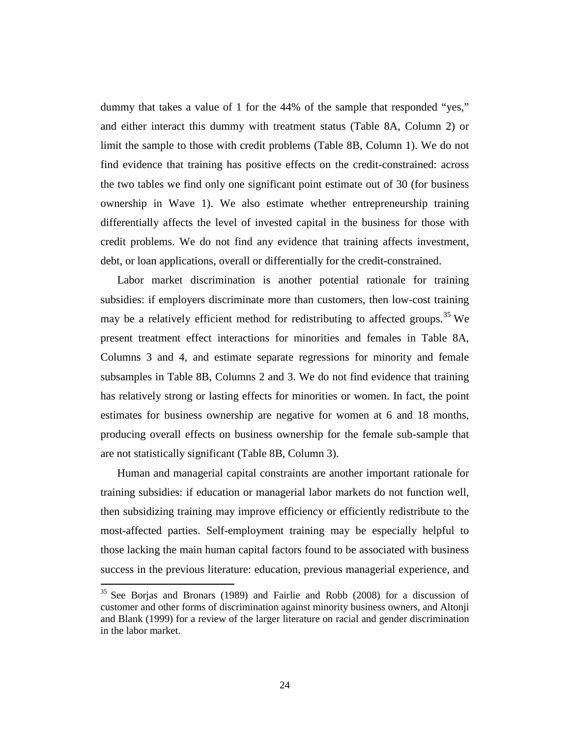dummy that takes a value of 1 for the 44% of the sample that responded "yes," and either interact this dummy with treatment status (Table 8A, Column 2) or limit the sample to those with credit problems (Table 8B, Column 1). We do not find evidence that training has positive effects on the credit-constrained: across the two tables we find only one significant point estimate out of 30 (for business ownership in Wave 1). We also estimate whether entrepreneurship training differentially affects the level of invested capital in the business for those with credit problems. We do not find any evidence that training affects investment, debt, or loan applications, overall or differentially for the credit-constrained.

Labor market discrimination is another potential rationale for training subsidies: if employers discriminate more than customers, then low-cost training may be a relatively efficient method for redistributing to affected groups.<sup>[35](#page-26-0)</sup> We present treatment effect interactions for minorities and females in Table 8A, Columns 3 and 4, and estimate separate regressions for minority and female subsamples in Table 8B, Columns 2 and 3. We do not find evidence that training has relatively strong or lasting effects for minorities or women. In fact, the point estimates for business ownership are negative for women at 6 and 18 months, producing overall effects on business ownership for the female sub-sample that are not statistically significant (Table 8B, Column 3).

Human and managerial capital constraints are another important rationale for training subsidies: if education or managerial labor markets do not function well, then subsidizing training may improve efficiency or efficiently redistribute to the most-affected parties. Self-employment training may be especially helpful to those lacking the main human capital factors found to be associated with business success in the previous literature: education, previous managerial experience, and

 $\overline{\phantom{a}}$ 

<span id="page-26-0"></span> $35$  See Borjas and Bronars (1989) and Fairlie and Robb (2008) for a discussion of customer and other forms of discrimination against minority business owners, and Altonji and Blank (1999) for a review of the larger literature on racial and gender discrimination in the labor market.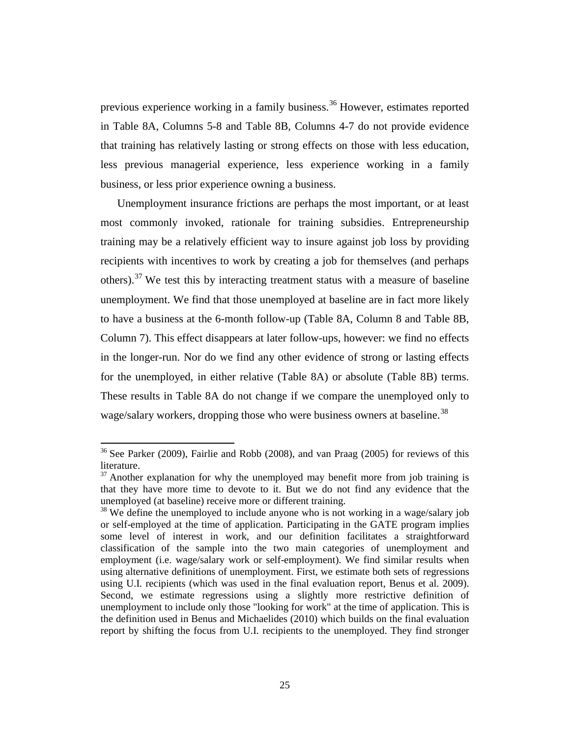previous experience working in a family business.[36](#page-27-0) However, estimates reported in Table 8A, Columns 5-8 and Table 8B, Columns 4-7 do not provide evidence that training has relatively lasting or strong effects on those with less education, less previous managerial experience, less experience working in a family business, or less prior experience owning a business.

Unemployment insurance frictions are perhaps the most important, or at least most commonly invoked, rationale for training subsidies. Entrepreneurship training may be a relatively efficient way to insure against job loss by providing recipients with incentives to work by creating a job for themselves (and perhaps others).<sup>[37](#page-27-1)</sup> We test this by interacting treatment status with a measure of baseline unemployment. We find that those unemployed at baseline are in fact more likely to have a business at the 6-month follow-up (Table 8A, Column 8 and Table 8B, Column 7). This effect disappears at later follow-ups, however: we find no effects in the longer-run. Nor do we find any other evidence of strong or lasting effects for the unemployed, in either relative (Table 8A) or absolute (Table 8B) terms. These results in Table 8A do not change if we compare the unemployed only to wage/salary workers, dropping those who were business owners at baseline.<sup>[38](#page-27-2)</sup>

<span id="page-27-0"></span><sup>&</sup>lt;sup>36</sup> See Parker (2009), Fairlie and Robb (2008), and van Praag (2005) for reviews of this literature.

<span id="page-27-1"></span> $37$  Another explanation for why the unemployed may benefit more from job training is that they have more time to devote to it. But we do not find any evidence that the unemployed (at baseline) receive more or different training.

<span id="page-27-2"></span><sup>&</sup>lt;sup>38</sup> We define the unemployed to include anyone who is not working in a wage/salary job or self-employed at the time of application. Participating in the GATE program implies some level of interest in work, and our definition facilitates a straightforward classification of the sample into the two main categories of unemployment and employment (i.e. wage/salary work or self-employment). We find similar results when using alternative definitions of unemployment. First, we estimate both sets of regressions using U.I. recipients (which was used in the final evaluation report, Benus et al. 2009). Second, we estimate regressions using a slightly more restrictive definition of unemployment to include only those "looking for work" at the time of application. This is the definition used in Benus and Michaelides (2010) which builds on the final evaluation report by shifting the focus from U.I. recipients to the unemployed. They find stronger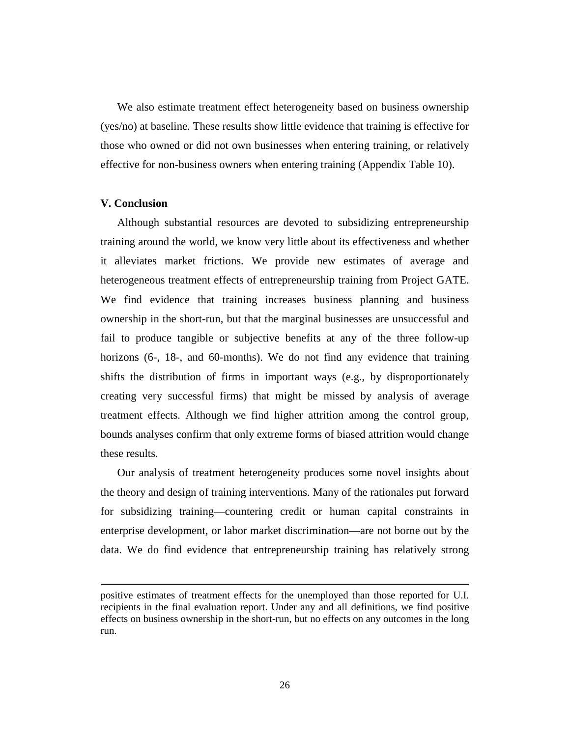We also estimate treatment effect heterogeneity based on business ownership (yes/no) at baseline. These results show little evidence that training is effective for those who owned or did not own businesses when entering training, or relatively effective for non-business owners when entering training (Appendix Table 10).

#### **V. Conclusion**

 $\overline{\phantom{a}}$ 

Although substantial resources are devoted to subsidizing entrepreneurship training around the world, we know very little about its effectiveness and whether it alleviates market frictions. We provide new estimates of average and heterogeneous treatment effects of entrepreneurship training from Project GATE. We find evidence that training increases business planning and business ownership in the short-run, but that the marginal businesses are unsuccessful and fail to produce tangible or subjective benefits at any of the three follow-up horizons (6-, 18-, and 60-months). We do not find any evidence that training shifts the distribution of firms in important ways (e.g., by disproportionately creating very successful firms) that might be missed by analysis of average treatment effects. Although we find higher attrition among the control group, bounds analyses confirm that only extreme forms of biased attrition would change these results.

Our analysis of treatment heterogeneity produces some novel insights about the theory and design of training interventions. Many of the rationales put forward for subsidizing training—countering credit or human capital constraints in enterprise development, or labor market discrimination—are not borne out by the data. We do find evidence that entrepreneurship training has relatively strong

positive estimates of treatment effects for the unemployed than those reported for U.I. recipients in the final evaluation report. Under any and all definitions, we find positive effects on business ownership in the short-run, but no effects on any outcomes in the long run.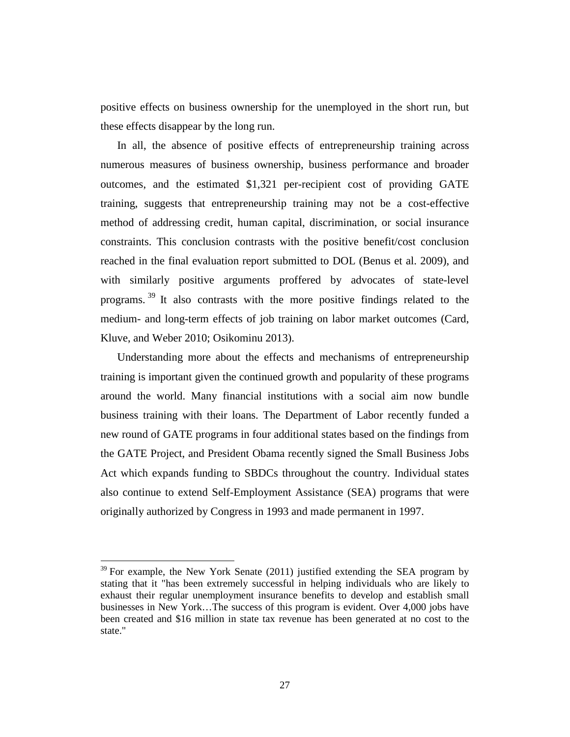positive effects on business ownership for the unemployed in the short run, but these effects disappear by the long run.

In all, the absence of positive effects of entrepreneurship training across numerous measures of business ownership, business performance and broader outcomes, and the estimated \$1,321 per-recipient cost of providing GATE training, suggests that entrepreneurship training may not be a cost-effective method of addressing credit, human capital, discrimination, or social insurance constraints. This conclusion contrasts with the positive benefit/cost conclusion reached in the final evaluation report submitted to DOL (Benus et al. 2009), and with similarly positive arguments proffered by advocates of state-level programs.<sup>[39](#page-29-0)</sup> It also contrasts with the more positive findings related to the medium- and long-term effects of job training on labor market outcomes (Card, Kluve, and Weber 2010; Osikominu 2013).

Understanding more about the effects and mechanisms of entrepreneurship training is important given the continued growth and popularity of these programs around the world. Many financial institutions with a social aim now bundle business training with their loans. The Department of Labor recently funded a new round of GATE programs in four additional states based on the findings from the GATE Project, and President Obama recently signed the Small Business Jobs Act which expands funding to SBDCs throughout the country. Individual states also continue to extend Self-Employment Assistance (SEA) programs that were originally authorized by Congress in 1993 and made permanent in 1997.

 $\overline{\phantom{a}}$ 

<span id="page-29-0"></span> $39$  For example, the New York Senate (2011) justified extending the SEA program by stating that it "has been extremely successful in helping individuals who are likely to exhaust their regular unemployment insurance benefits to develop and establish small businesses in New York…The success of this program is evident. Over 4,000 jobs have been created and \$16 million in state tax revenue has been generated at no cost to the state."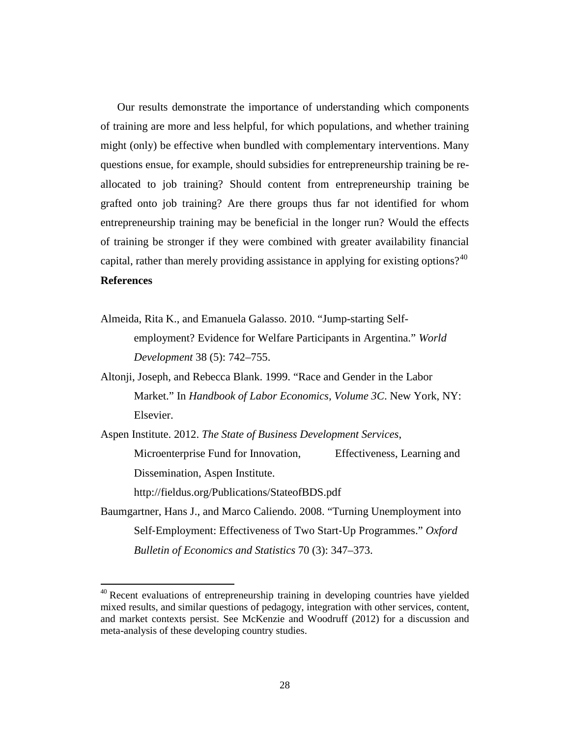Our results demonstrate the importance of understanding which components of training are more and less helpful, for which populations, and whether training might (only) be effective when bundled with complementary interventions. Many questions ensue, for example, should subsidies for entrepreneurship training be reallocated to job training? Should content from entrepreneurship training be grafted onto job training? Are there groups thus far not identified for whom entrepreneurship training may be beneficial in the longer run? Would the effects of training be stronger if they were combined with greater availability financial capital, rather than merely providing assistance in applying for existing options?<sup>[40](#page-30-0)</sup> **References**

- Almeida, Rita K., and Emanuela Galasso. 2010. "Jump-starting Selfemployment? Evidence for Welfare Participants in Argentina." *World Development* 38 (5): 742–755.
- Altonji, Joseph, and Rebecca Blank. 1999. "Race and Gender in the Labor Market." In *Handbook of Labor Economics, Volume 3C*. New York, NY: Elsevier.

Aspen Institute. 2012. *The State of Business Development Services*, Microenterprise Fund for Innovation, Effectiveness, Learning and Dissemination, Aspen Institute. http://fieldus.org/Publications/StateofBDS.pdf

Baumgartner, Hans J., and Marco Caliendo. 2008. "Turning Unemployment into Self‐Employment: Effectiveness of Two Start‐Up Programmes." *Oxford Bulletin of Economics and Statistics* 70 (3): 347–373.

 $\overline{\phantom{a}}$ 

<span id="page-30-0"></span><sup>&</sup>lt;sup>40</sup> Recent evaluations of entrepreneurship training in developing countries have yielded mixed results, and similar questions of pedagogy, integration with other services, content, and market contexts persist. See McKenzie and Woodruff (2012) for a discussion and meta-analysis of these developing country studies.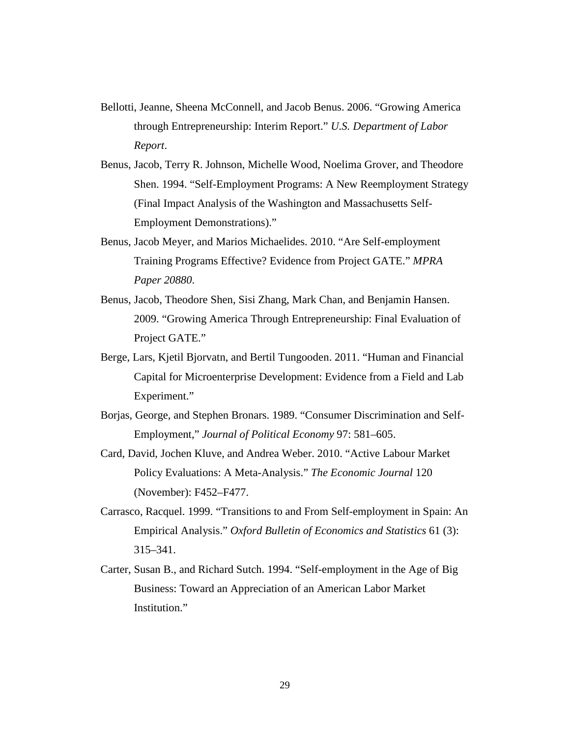- Bellotti, Jeanne, Sheena McConnell, and Jacob Benus. 2006. "Growing America through Entrepreneurship: Interim Report." *U.S. Department of Labor Report*.
- Benus, Jacob, Terry R. Johnson, Michelle Wood, Noelima Grover, and Theodore Shen. 1994. "Self-Employment Programs: A New Reemployment Strategy (Final Impact Analysis of the Washington and Massachusetts Self-Employment Demonstrations)."
- Benus, Jacob Meyer, and Marios Michaelides. 2010. "Are Self-employment Training Programs Effective? Evidence from Project GATE." *MPRA Paper 20880*.
- Benus, Jacob, Theodore Shen, Sisi Zhang, Mark Chan, and Benjamin Hansen. 2009. "Growing America Through Entrepreneurship: Final Evaluation of Project GATE."
- Berge, Lars, Kjetil Bjorvatn, and Bertil Tungooden. 2011. "Human and Financial Capital for Microenterprise Development: Evidence from a Field and Lab Experiment."
- Borjas, George, and Stephen Bronars. 1989. "Consumer Discrimination and Self-Employment," *Journal of Political Economy* 97: 581–605.
- Card, David, Jochen Kluve, and Andrea Weber. 2010. "Active Labour Market Policy Evaluations: A Meta-Analysis." *The Economic Journal* 120 (November): F452–F477.
- Carrasco, Racquel. 1999. "Transitions to and From Self-employment in Spain: An Empirical Analysis." *Oxford Bulletin of Economics and Statistics* 61 (3): 315–341.
- Carter, Susan B., and Richard Sutch. 1994. "Self-employment in the Age of Big Business: Toward an Appreciation of an American Labor Market Institution."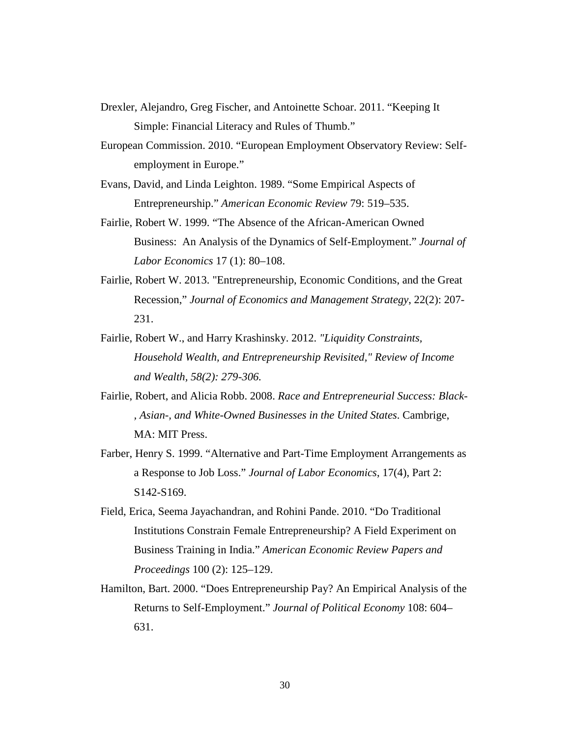- Drexler, Alejandro, Greg Fischer, and Antoinette Schoar. 2011. "Keeping It Simple: Financial Literacy and Rules of Thumb."
- European Commission. 2010. "European Employment Observatory Review: Selfemployment in Europe."
- Evans, David, and Linda Leighton. 1989. "Some Empirical Aspects of Entrepreneurship." *American Economic Review* 79: 519–535.
- Fairlie, Robert W. 1999. "The Absence of the African-American Owned Business: An Analysis of the Dynamics of Self-Employment." *Journal of Labor Economics* 17 (1): 80–108.
- Fairlie, Robert W. 2013. "Entrepreneurship, Economic Conditions, and the Great Recession," *Journal of Economics and Management Strategy*, 22(2): 207- 231.
- Fairlie, Robert W., and Harry Krashinsky. 2012. *"Liquidity Constraints, Household Wealth, and Entrepreneurship Revisited," Review of Income and Wealth, 58(2): 279-306.*
- Fairlie, Robert, and Alicia Robb. 2008. *Race and Entrepreneurial Success: Black- , Asian-, and White-Owned Businesses in the United States*. Cambrige, MA: MIT Press.
- Farber, Henry S. 1999. "Alternative and Part-Time Employment Arrangements as a Response to Job Loss." *Journal of Labor Economics*, 17(4), Part 2: S142-S169.
- Field, Erica, Seema Jayachandran, and Rohini Pande. 2010. "Do Traditional Institutions Constrain Female Entrepreneurship? A Field Experiment on Business Training in India." *American Economic Review Papers and Proceedings* 100 (2): 125–129.
- Hamilton, Bart. 2000. "Does Entrepreneurship Pay? An Empirical Analysis of the Returns to Self-Employment." *Journal of Political Economy* 108: 604– 631.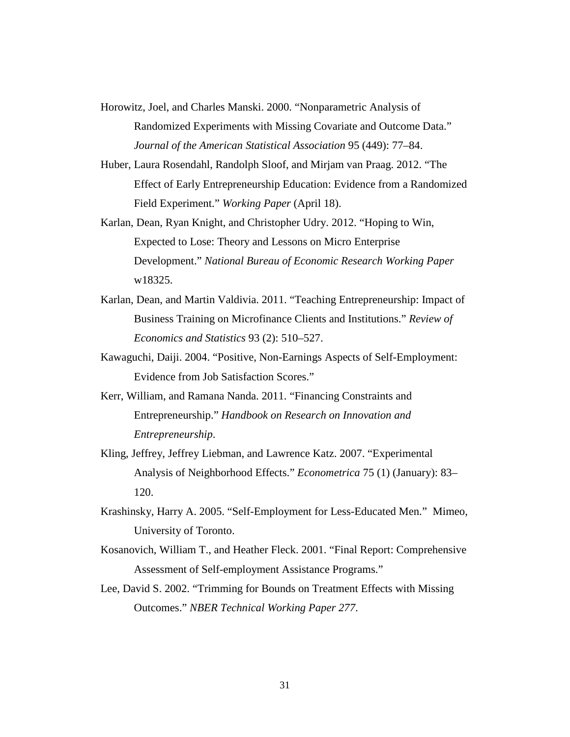Horowitz, Joel, and Charles Manski. 2000. "Nonparametric Analysis of Randomized Experiments with Missing Covariate and Outcome Data." *Journal of the American Statistical Association* 95 (449): 77–84.

- Huber, Laura Rosendahl, Randolph Sloof, and Mirjam van Praag. 2012. "The Effect of Early Entrepreneurship Education: Evidence from a Randomized Field Experiment." *Working Paper* (April 18).
- Karlan, Dean, Ryan Knight, and Christopher Udry. 2012. "Hoping to Win, Expected to Lose: Theory and Lessons on Micro Enterprise Development." *National Bureau of Economic Research Working Paper* w18325.
- Karlan, Dean, and Martin Valdivia. 2011. "Teaching Entrepreneurship: Impact of Business Training on Microfinance Clients and Institutions." *Review of Economics and Statistics* 93 (2): 510–527.
- Kawaguchi, Daiji. 2004. "Positive, Non-Earnings Aspects of Self-Employment: Evidence from Job Satisfaction Scores."
- Kerr, William, and Ramana Nanda. 2011. "Financing Constraints and Entrepreneurship." *Handbook on Research on Innovation and Entrepreneurship*.
- Kling, Jeffrey, Jeffrey Liebman, and Lawrence Katz. 2007. "Experimental Analysis of Neighborhood Effects." *Econometrica* 75 (1) (January): 83– 120.
- Krashinsky, Harry A. 2005. "Self-Employment for Less-Educated Men." Mimeo, University of Toronto.
- Kosanovich, William T., and Heather Fleck. 2001. "Final Report: Comprehensive Assessment of Self-employment Assistance Programs."
- Lee, David S. 2002. "Trimming for Bounds on Treatment Effects with Missing Outcomes." *NBER Technical Working Paper 277*.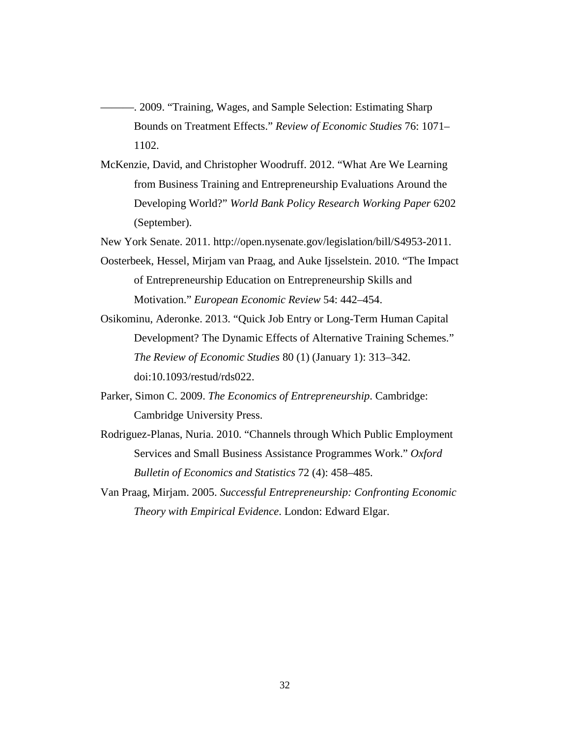-. 2009. "Training, Wages, and Sample Selection: Estimating Sharp Bounds on Treatment Effects." *Review of Economic Studies* 76: 1071– 1102.

McKenzie, David, and Christopher Woodruff. 2012. "What Are We Learning from Business Training and Entrepreneurship Evaluations Around the Developing World?" *World Bank Policy Research Working Paper* 6202 (September).

New York Senate. 2011. http://open.nysenate.gov/legislation/bill/S4953-2011.

- Oosterbeek, Hessel, Mirjam van Praag, and Auke Ijsselstein. 2010. "The Impact of Entrepreneurship Education on Entrepreneurship Skills and Motivation." *European Economic Review* 54: 442–454.
- Osikominu, Aderonke. 2013. "Quick Job Entry or Long-Term Human Capital Development? The Dynamic Effects of Alternative Training Schemes." *The Review of Economic Studies* 80 (1) (January 1): 313–342. doi:10.1093/restud/rds022.
- Parker, Simon C. 2009. *The Economics of Entrepreneurship*. Cambridge: Cambridge University Press.
- Rodriguez-Planas, Nuria. 2010. "Channels through Which Public Employment Services and Small Business Assistance Programmes Work." *Oxford Bulletin of Economics and Statistics* 72 (4): 458–485.
- Van Praag, Mirjam. 2005. *Successful Entrepreneurship: Confronting Economic Theory with Empirical Evidence*. London: Edward Elgar.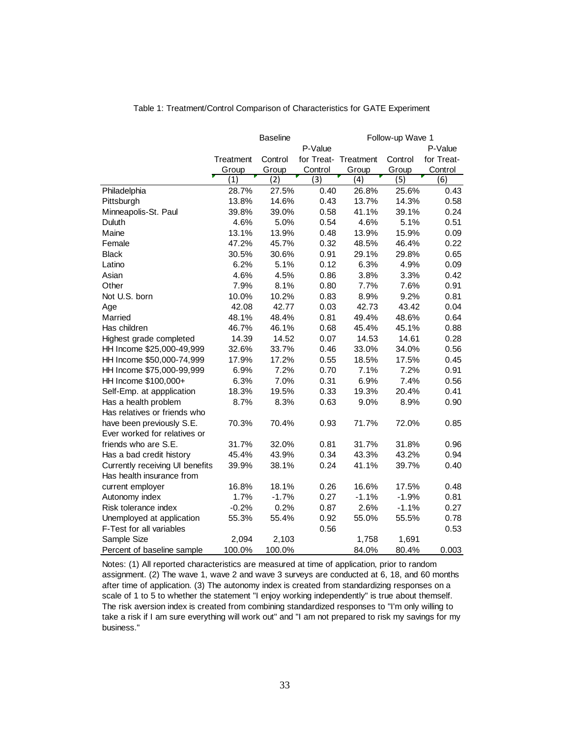|                                 |           | <b>Baseline</b> |                      | Follow-up Wave 1 |         |            |  |
|---------------------------------|-----------|-----------------|----------------------|------------------|---------|------------|--|
|                                 |           |                 | P-Value              |                  |         | P-Value    |  |
|                                 | Treatment | Control         | for Treat- Treatment |                  | Control | for Treat- |  |
|                                 | Group     | Group           | Control              | Group            | Group   | Control    |  |
|                                 | (1)       | (2)             | (3)                  | (4)              | (5)     | (6)        |  |
| Philadelphia                    | 28.7%     | 27.5%           | 0.40                 | 26.8%            | 25.6%   | 0.43       |  |
| Pittsburgh                      | 13.8%     | 14.6%           | 0.43                 | 13.7%            | 14.3%   | 0.58       |  |
| Minneapolis-St. Paul            | 39.8%     | 39.0%           | 0.58                 | 41.1%            | 39.1%   | 0.24       |  |
| Duluth                          | 4.6%      | 5.0%            | 0.54                 | 4.6%             | 5.1%    | 0.51       |  |
| Maine                           | 13.1%     | 13.9%           | 0.48                 | 13.9%            | 15.9%   | 0.09       |  |
| Female                          | 47.2%     | 45.7%           | 0.32                 | 48.5%            | 46.4%   | 0.22       |  |
| <b>Black</b>                    | 30.5%     | 30.6%           | 0.91                 | 29.1%            | 29.8%   | 0.65       |  |
| Latino                          | 6.2%      | 5.1%            | 0.12                 | 6.3%             | 4.9%    | 0.09       |  |
| Asian                           | 4.6%      | 4.5%            | 0.86                 | 3.8%             | 3.3%    | 0.42       |  |
| Other                           | 7.9%      | 8.1%            | 0.80                 | 7.7%             | 7.6%    | 0.91       |  |
| Not U.S. born                   | 10.0%     | 10.2%           | 0.83                 | 8.9%             | 9.2%    | 0.81       |  |
| Age                             | 42.08     | 42.77           | 0.03                 | 42.73            | 43.42   | 0.04       |  |
| Married                         | 48.1%     | 48.4%           | 0.81                 | 49.4%            | 48.6%   | 0.64       |  |
| Has children                    | 46.7%     | 46.1%           | 0.68                 | 45.4%            | 45.1%   | 0.88       |  |
| Highest grade completed         | 14.39     | 14.52           | 0.07                 | 14.53            | 14.61   | 0.28       |  |
| HH Income \$25,000-49,999       | 32.6%     | 33.7%           | 0.46                 | 33.0%            | 34.0%   | 0.56       |  |
| HH Income \$50,000-74,999       | 17.9%     | 17.2%           | 0.55                 | 18.5%            | 17.5%   | 0.45       |  |
| HH Income \$75,000-99,999       | 6.9%      | 7.2%            | 0.70                 | 7.1%             | 7.2%    | 0.91       |  |
| HH Income \$100,000+            | 6.3%      | 7.0%            | 0.31                 | 6.9%             | 7.4%    | 0.56       |  |
| Self-Emp. at appplication       | 18.3%     | 19.5%           | 0.33                 | 19.3%            | 20.4%   | 0.41       |  |
| Has a health problem            | 8.7%      | 8.3%            | 0.63                 | 9.0%             | 8.9%    | 0.90       |  |
| Has relatives or friends who    |           |                 |                      |                  |         |            |  |
| have been previously S.E.       | 70.3%     | 70.4%           | 0.93                 | 71.7%            | 72.0%   | 0.85       |  |
| Ever worked for relatives or    |           |                 |                      |                  |         |            |  |
| friends who are S.E.            | 31.7%     | 32.0%           | 0.81                 | 31.7%            | 31.8%   | 0.96       |  |
| Has a bad credit history        | 45.4%     | 43.9%           | 0.34                 | 43.3%            | 43.2%   | 0.94       |  |
| Currently receiving UI benefits | 39.9%     | 38.1%           | 0.24                 | 41.1%            | 39.7%   | 0.40       |  |
| Has health insurance from       |           |                 |                      |                  |         |            |  |
| current employer                | 16.8%     | 18.1%           | 0.26                 | 16.6%            | 17.5%   | 0.48       |  |
| Autonomy index                  | 1.7%      | $-1.7%$         | 0.27                 | $-1.1%$          | $-1.9%$ | 0.81       |  |
| Risk tolerance index            | $-0.2%$   | 0.2%            | 0.87                 | 2.6%             | $-1.1%$ | 0.27       |  |
| Unemployed at application       | 55.3%     | 55.4%           | 0.92                 | 55.0%            | 55.5%   | 0.78       |  |
| F-Test for all variables        |           |                 | 0.56                 |                  |         | 0.53       |  |
| Sample Size                     | 2,094     | 2,103           |                      | 1,758            | 1,691   |            |  |
| Percent of baseline sample      | 100.0%    | 100.0%          |                      | 84.0%            | 80.4%   | 0.003      |  |

Table 1: Treatment/Control Comparison of Characteristics for GATE Experiment

Notes: (1) All reported characteristics are measured at time of application, prior to random assignment. (2) The wave 1, wave 2 and wave 3 surveys are conducted at 6, 18, and 60 months after time of application. (3) The autonomy index is created from standardizing responses on a scale of 1 to 5 to whether the statement "I enjoy working independently" is true about themself. The risk aversion index is created from combining standardized responses to "I'm only willing to take a risk if I am sure everything will work out" and "I am not prepared to risk my savings for my business."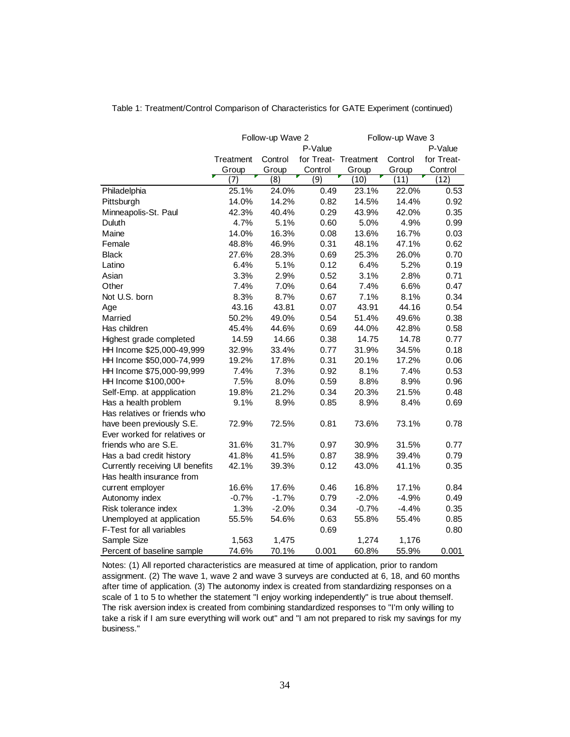|                                 |           | Follow-up Wave 2 |                  |                      | Follow-up Wave 3 |            |  |  |
|---------------------------------|-----------|------------------|------------------|----------------------|------------------|------------|--|--|
|                                 |           |                  | P-Value          |                      |                  | P-Value    |  |  |
|                                 | Treatment | Control          |                  | for Treat- Treatment | Control          | for Treat- |  |  |
|                                 | Group     | Group            | Control          | Group                | Group            | Control    |  |  |
|                                 | 7)        | $\overline{(8)}$ | $\overline{(9)}$ | (10)                 | (11)             | (12)       |  |  |
| Philadelphia                    | 25.1%     | 24.0%            | 0.49             | 23.1%                | 22.0%            | 0.53       |  |  |
| Pittsburgh                      | 14.0%     | 14.2%            | 0.82             | 14.5%                | 14.4%            | 0.92       |  |  |
| Minneapolis-St. Paul            | 42.3%     | 40.4%            | 0.29             | 43.9%                | 42.0%            | 0.35       |  |  |
| Duluth                          | 4.7%      | 5.1%             | 0.60             | 5.0%                 | 4.9%             | 0.99       |  |  |
| Maine                           | 14.0%     | 16.3%            | 0.08             | 13.6%                | 16.7%            | 0.03       |  |  |
| Female                          | 48.8%     | 46.9%            | 0.31             | 48.1%                | 47.1%            | 0.62       |  |  |
| <b>Black</b>                    | 27.6%     | 28.3%            | 0.69             | 25.3%                | 26.0%            | 0.70       |  |  |
| Latino                          | 6.4%      | 5.1%             | 0.12             | 6.4%                 | 5.2%             | 0.19       |  |  |
| Asian                           | 3.3%      | 2.9%             | 0.52             | 3.1%                 | 2.8%             | 0.71       |  |  |
| Other                           | 7.4%      | 7.0%             | 0.64             | 7.4%                 | 6.6%             | 0.47       |  |  |
| Not U.S. born                   | 8.3%      | 8.7%             | 0.67             | 7.1%                 | 8.1%             | 0.34       |  |  |
| Age                             | 43.16     | 43.81            | 0.07             | 43.91                | 44.16            | 0.54       |  |  |
| Married                         | 50.2%     | 49.0%            | 0.54             | 51.4%                | 49.6%            | 0.38       |  |  |
| Has children                    | 45.4%     | 44.6%            | 0.69             | 44.0%                | 42.8%            | 0.58       |  |  |
| Highest grade completed         | 14.59     | 14.66            | 0.38             | 14.75                | 14.78            | 0.77       |  |  |
| HH Income \$25,000-49,999       | 32.9%     | 33.4%            | 0.77             | 31.9%                | 34.5%            | 0.18       |  |  |
| HH Income \$50,000-74,999       | 19.2%     | 17.8%            | 0.31             | 20.1%                | 17.2%            | 0.06       |  |  |
| HH Income \$75,000-99,999       | 7.4%      | 7.3%             | 0.92             | 8.1%                 | 7.4%             | 0.53       |  |  |
| HH Income \$100,000+            | 7.5%      | 8.0%             | 0.59             | 8.8%                 | 8.9%             | 0.96       |  |  |
| Self-Emp. at appplication       | 19.8%     | 21.2%            | 0.34             | 20.3%                | 21.5%            | 0.48       |  |  |
| Has a health problem            | 9.1%      | 8.9%             | 0.85             | 8.9%                 | 8.4%             | 0.69       |  |  |
| Has relatives or friends who    |           |                  |                  |                      |                  |            |  |  |
| have been previously S.E.       | 72.9%     | 72.5%            | 0.81             | 73.6%                | 73.1%            | 0.78       |  |  |
| Ever worked for relatives or    |           |                  |                  |                      |                  |            |  |  |
| friends who are S.E.            | 31.6%     | 31.7%            | 0.97             | 30.9%                | 31.5%            | 0.77       |  |  |
| Has a bad credit history        | 41.8%     | 41.5%            | 0.87             | 38.9%                | 39.4%            | 0.79       |  |  |
| Currently receiving UI benefits | 42.1%     | 39.3%            | 0.12             | 43.0%                | 41.1%            | 0.35       |  |  |
| Has health insurance from       |           |                  |                  |                      |                  |            |  |  |
| current employer                | 16.6%     | 17.6%            | 0.46             | 16.8%                | 17.1%            | 0.84       |  |  |
| Autonomy index                  | $-0.7%$   | $-1.7%$          | 0.79             | $-2.0%$              | $-4.9%$          | 0.49       |  |  |
| Risk tolerance index            | 1.3%      | $-2.0%$          | 0.34             | $-0.7%$              | $-4.4%$          | 0.35       |  |  |
| Unemployed at application       | 55.5%     | 54.6%            | 0.63             | 55.8%                | 55.4%            | 0.85       |  |  |
| F-Test for all variables        |           |                  | 0.69             |                      |                  | 0.80       |  |  |
| Sample Size                     | 1,563     | 1,475            |                  | 1,274                | 1,176            |            |  |  |
| Percent of baseline sample      | 74.6%     | 70.1%            | 0.001            | 60.8%                | 55.9%            | 0.001      |  |  |

Table 1: Treatment/Control Comparison of Characteristics for GATE Experiment (continued)

Notes: (1) All reported characteristics are measured at time of application, prior to random assignment. (2) The wave 1, wave 2 and wave 3 surveys are conducted at 6, 18, and 60 months after time of application. (3) The autonomy index is created from standardizing responses on a scale of 1 to 5 to whether the statement "I enjoy working independently" is true about themself. The risk aversion index is created from combining standardized responses to "I'm only willing to take a risk if I am sure everything will work out" and "I am not prepared to risk my savings for my business."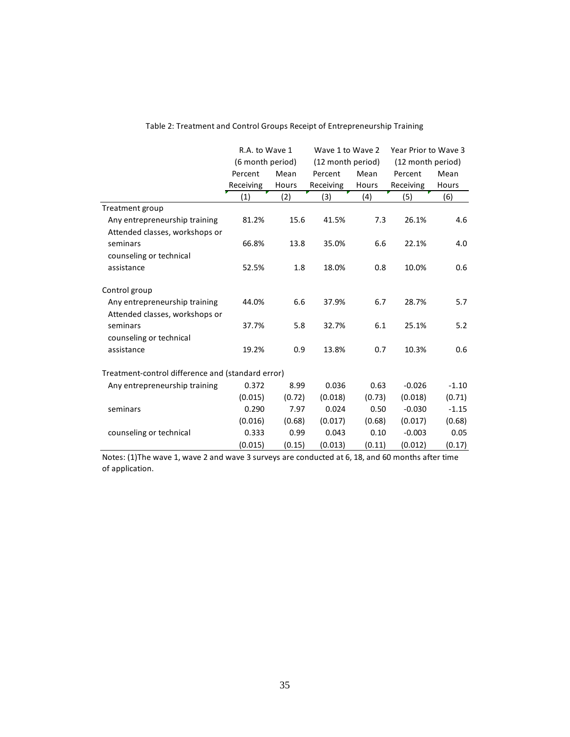|                                                   | R.A. to Wave 1    |        | Wave 1 to Wave 2  |        | Year Prior to Wave 3 |         |
|---------------------------------------------------|-------------------|--------|-------------------|--------|----------------------|---------|
|                                                   | (6 month period)  |        | (12 month period) |        | (12 month period)    |         |
|                                                   | Percent           | Mean   | Mean<br>Percent   |        | Percent              | Mean    |
|                                                   | Receiving         | Hours  | Receiving         | Hours  | Receiving            | Hours   |
|                                                   | $\left( 1\right)$ | (2)    | (3)               | (4)    | (5)                  | (6)     |
| Treatment group                                   |                   |        |                   |        |                      |         |
| Any entrepreneurship training                     | 81.2%             | 15.6   | 41.5%             | 7.3    | 26.1%                | 4.6     |
| Attended classes, workshops or                    |                   |        |                   |        |                      |         |
| seminars                                          | 66.8%             | 13.8   | 35.0%             | 6.6    | 22.1%                | 4.0     |
| counseling or technical                           |                   |        |                   |        |                      |         |
| assistance                                        | 52.5%             | 1.8    | 18.0%             | 0.8    | 10.0%                | 0.6     |
| Control group                                     |                   |        |                   |        |                      |         |
| Any entrepreneurship training                     | 44.0%             | 6.6    | 37.9%             | 6.7    | 28.7%                | 5.7     |
| Attended classes, workshops or                    |                   |        |                   |        |                      |         |
| seminars                                          | 37.7%             | 5.8    | 32.7%             | 6.1    | 25.1%                | 5.2     |
| counseling or technical                           |                   |        |                   |        |                      |         |
| assistance                                        | 19.2%             | 0.9    | 13.8%             | 0.7    | 10.3%                | 0.6     |
| Treatment-control difference and (standard error) |                   |        |                   |        |                      |         |
| Any entrepreneurship training                     | 0.372             | 8.99   | 0.036             | 0.63   | $-0.026$             | $-1.10$ |
|                                                   | (0.015)           | (0.72) | (0.018)           | (0.73) | (0.018)              | (0.71)  |
| seminars                                          | 0.290             | 7.97   | 0.024             | 0.50   | $-0.030$             | $-1.15$ |
|                                                   | (0.016)           | (0.68) | (0.017)           | (0.68) | (0.017)              | (0.68)  |
| counseling or technical                           | 0.333             | 0.99   | 0.043             | 0.10   | $-0.003$             | 0.05    |
|                                                   | (0.015)           | (0.15) | (0.013)           | (0.11) | (0.012)              | (0.17)  |

### Table 2: Treatment and Control Groups Receipt of Entrepreneurship Training

Notes: (1)The wave 1, wave 2 and wave 3 surveys are conducted at 6, 18, and 60 months after time of application.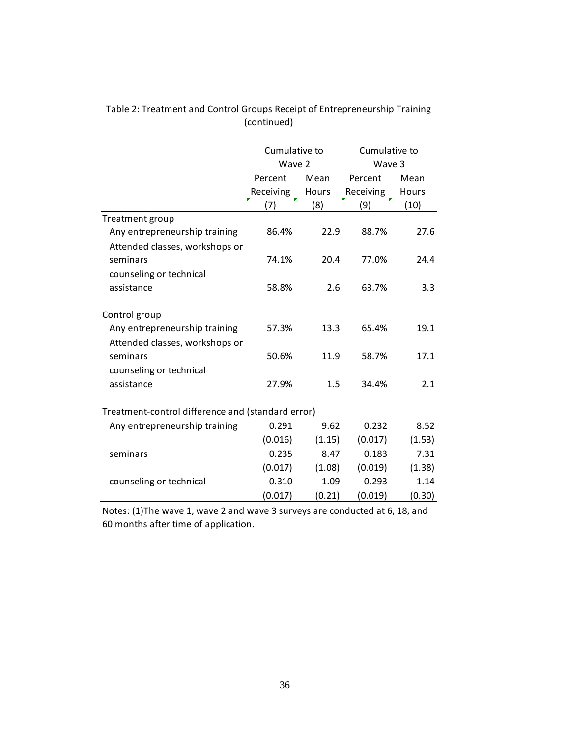|                                                   | Cumulative to |        | Cumulative to |        |  |
|---------------------------------------------------|---------------|--------|---------------|--------|--|
|                                                   | Wave 2        |        | Wave 3        |        |  |
|                                                   | Percent       | Mean   | Percent       | Mean   |  |
|                                                   | Receiving     | Hours  | Receiving     | Hours  |  |
|                                                   | (7)           | (8)    | (9)           | (10)   |  |
| Treatment group                                   |               |        |               |        |  |
| Any entrepreneurship training                     | 86.4%         | 22.9   | 88.7%         | 27.6   |  |
| Attended classes, workshops or                    |               |        |               |        |  |
| seminars                                          | 74.1%         | 20.4   | 77.0%         | 24.4   |  |
| counseling or technical                           |               |        |               |        |  |
| assistance                                        | 58.8%         | 2.6    | 63.7%         | 3.3    |  |
|                                                   |               |        |               |        |  |
| Control group                                     |               |        |               |        |  |
| Any entrepreneurship training                     | 57.3%         | 13.3   | 65.4%         | 19.1   |  |
| Attended classes, workshops or                    |               |        |               |        |  |
| seminars                                          | 50.6%         | 11.9   | 58.7%         | 17.1   |  |
| counseling or technical                           |               |        |               |        |  |
| assistance                                        | 27.9%         | 1.5    | 34.4%         | 2.1    |  |
|                                                   |               |        |               |        |  |
| Treatment-control difference and (standard error) |               |        |               |        |  |
| Any entrepreneurship training                     | 0.291         | 9.62   | 0.232         | 8.52   |  |
|                                                   | (0.016)       | (1.15) | (0.017)       | (1.53) |  |
| seminars                                          | 0.235         | 8.47   | 0.183         | 7.31   |  |
|                                                   | (0.017)       | (1.08) | (0.019)       | (1.38) |  |
| counseling or technical                           | 0.310         | 1.09   | 0.293         | 1.14   |  |
|                                                   | (0.017)       | (0.21) | (0.019)       | (0.30) |  |

### Table 2: Treatment and Control Groups Receipt of Entrepreneurship Training (continued)

Notes: (1)The wave 1, wave 2 and wave 3 surveys are conducted at 6, 18, and 60 months after time of application.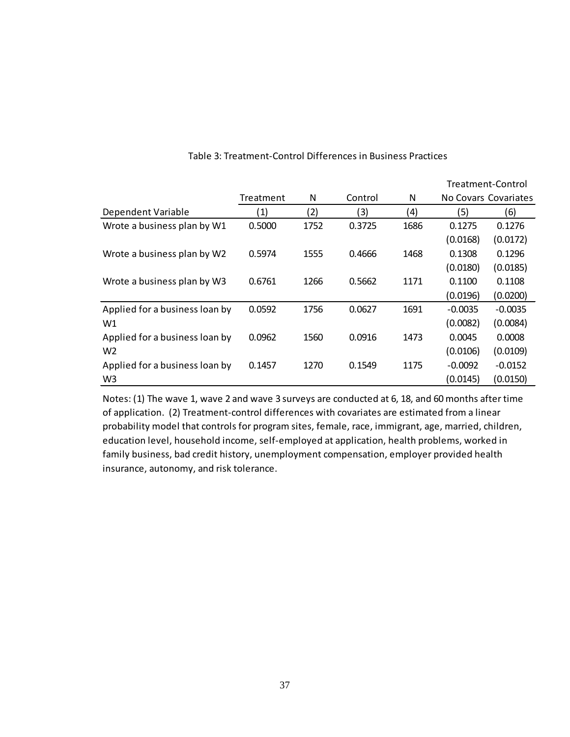|                                |           |      |         |      |           | Treatment-Control    |
|--------------------------------|-----------|------|---------|------|-----------|----------------------|
|                                | Treatment | N    | Control | N    |           | No Covars Covariates |
| Dependent Variable             | (1)       | (2)  | (3)     | (4)  | (5)       | (6)                  |
| Wrote a business plan by W1    | 0.5000    | 1752 | 0.3725  | 1686 | 0.1275    | 0.1276               |
|                                |           |      |         |      | (0.0168)  | (0.0172)             |
| Wrote a business plan by W2    | 0.5974    | 1555 | 0.4666  | 1468 | 0.1308    | 0.1296               |
|                                |           |      |         |      | (0.0180)  | (0.0185)             |
| Wrote a business plan by W3    | 0.6761    | 1266 | 0.5662  | 1171 | 0.1100    | 0.1108               |
|                                |           |      |         |      | (0.0196)  | (0.0200)             |
| Applied for a business loan by | 0.0592    | 1756 | 0.0627  | 1691 | $-0.0035$ | $-0.0035$            |
| W1                             |           |      |         |      | (0.0082)  | (0.0084)             |
| Applied for a business loan by | 0.0962    | 1560 | 0.0916  | 1473 | 0.0045    | 0.0008               |
| W <sub>2</sub>                 |           |      |         |      | (0.0106)  | (0.0109)             |
| Applied for a business loan by | 0.1457    | 1270 | 0.1549  | 1175 | $-0.0092$ | $-0.0152$            |
| W <sub>3</sub>                 |           |      |         |      | (0.0145)  | (0.0150)             |

#### Table 3: Treatment-Control Differences in Business Practices

Notes: (1) The wave 1, wave 2 and wave 3 surveys are conducted at 6, 18, and 60 months after time of application. (2) Treatment-control differences with covariates are estimated from a linear probability model that controls for program sites, female, race, immigrant, age, married, children, education level, household income, self-employed at application, health problems, worked in family business, bad credit history, unemployment compensation, employer provided health insurance, autonomy, and risk tolerance.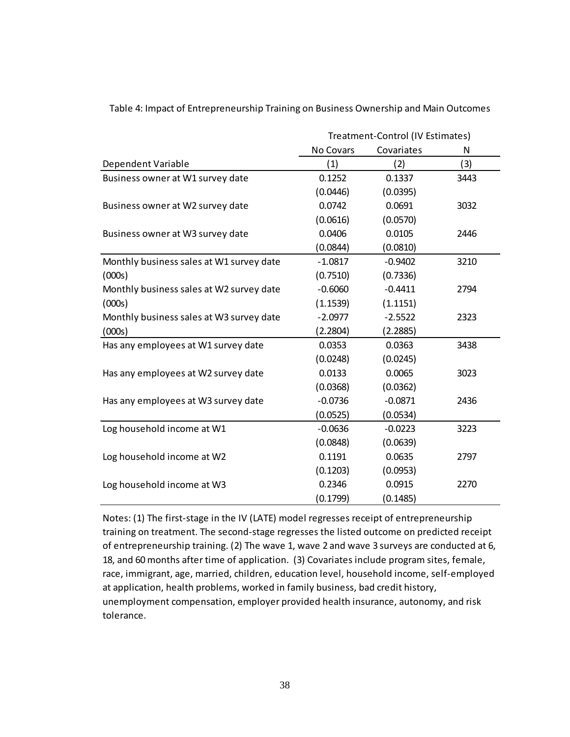|                                          | Treatment-Control (IV Estimates) |            |      |  |
|------------------------------------------|----------------------------------|------------|------|--|
|                                          | No Covars                        | Covariates | N    |  |
| Dependent Variable                       | (1)                              | (2)        | (3)  |  |
| Business owner at W1 survey date         | 0.1252                           | 0.1337     | 3443 |  |
|                                          | (0.0446)                         | (0.0395)   |      |  |
| Business owner at W2 survey date         | 0.0742                           | 0.0691     | 3032 |  |
|                                          | (0.0616)                         | (0.0570)   |      |  |
| Business owner at W3 survey date         | 0.0406                           | 0.0105     | 2446 |  |
|                                          | (0.0844)                         | (0.0810)   |      |  |
| Monthly business sales at W1 survey date | $-1.0817$                        | $-0.9402$  | 3210 |  |
| (000s)                                   | (0.7510)                         | (0.7336)   |      |  |
| Monthly business sales at W2 survey date | $-0.6060$                        | $-0.4411$  | 2794 |  |
| (000s)                                   | (1.1539)                         | (1.1151)   |      |  |
| Monthly business sales at W3 survey date | $-2.0977$                        | $-2.5522$  | 2323 |  |
| (000s)                                   | (2.2804)                         | (2.2885)   |      |  |
| Has any employees at W1 survey date      | 0.0353                           | 0.0363     | 3438 |  |
|                                          | (0.0248)                         | (0.0245)   |      |  |
| Has any employees at W2 survey date      | 0.0133                           | 0.0065     | 3023 |  |
|                                          | (0.0368)                         | (0.0362)   |      |  |
| Has any employees at W3 survey date      | $-0.0736$                        | $-0.0871$  | 2436 |  |
|                                          | (0.0525)                         | (0.0534)   |      |  |
| Log household income at W1               | $-0.0636$                        | $-0.0223$  | 3223 |  |
|                                          | (0.0848)                         | (0.0639)   |      |  |
| Log household income at W2               | 0.1191                           | 0.0635     | 2797 |  |
|                                          | (0.1203)                         | (0.0953)   |      |  |
| Log household income at W3               | 0.2346                           | 0.0915     | 2270 |  |
|                                          | (0.1799)                         | (0.1485)   |      |  |

Table 4: Impact of Entrepreneurship Training on Business Ownership and Main Outcomes

Notes: (1) The first-stage in the IV (LATE) model regresses receipt of entrepreneurship training on treatment. The second-stage regresses the listed outcome on predicted receipt of entrepreneurship training. (2) The wave 1, wave 2 and wave 3 surveys are conducted at 6, 18, and 60 months after time of application. (3) Covariates include program sites, female, race, immigrant, age, married, children, education level, household income, self-employed at application, health problems, worked in family business, bad credit history, unemployment compensation, employer provided health insurance, autonomy, and risk tolerance.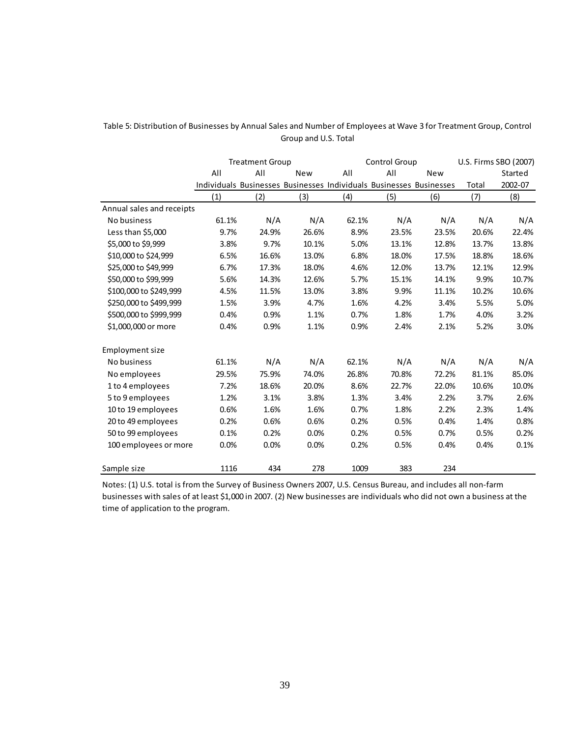|                           | <b>Treatment Group</b> |       |            |       | Control Group                                                       |       |       | U.S. Firms SBO (2007) |  |
|---------------------------|------------------------|-------|------------|-------|---------------------------------------------------------------------|-------|-------|-----------------------|--|
|                           | All                    | All   | <b>New</b> | All   | All<br><b>New</b>                                                   |       |       | Started               |  |
|                           |                        |       |            |       | Individuals Businesses Businesses Individuals Businesses Businesses |       | Total | 2002-07               |  |
|                           | (1)                    | (2)   | (3)        | (4)   | (5)                                                                 | (6)   | (7)   | (8)                   |  |
| Annual sales and receipts |                        |       |            |       |                                                                     |       |       |                       |  |
| No business               | 61.1%                  | N/A   | N/A        | 62.1% | N/A                                                                 | N/A   | N/A   | N/A                   |  |
| Less than \$5,000         | 9.7%                   | 24.9% | 26.6%      | 8.9%  | 23.5%                                                               | 23.5% | 20.6% | 22.4%                 |  |
| \$5,000 to \$9,999        | 3.8%                   | 9.7%  | 10.1%      | 5.0%  | 13.1%                                                               | 12.8% | 13.7% | 13.8%                 |  |
| \$10,000 to \$24,999      | 6.5%                   | 16.6% | 13.0%      | 6.8%  | 18.0%                                                               | 17.5% | 18.8% | 18.6%                 |  |
| \$25,000 to \$49,999      | 6.7%                   | 17.3% | 18.0%      | 4.6%  | 12.0%                                                               | 13.7% | 12.1% | 12.9%                 |  |
| \$50,000 to \$99,999      | 5.6%                   | 14.3% | 12.6%      | 5.7%  | 15.1%                                                               | 14.1% | 9.9%  | 10.7%                 |  |
| \$100,000 to \$249,999    | 4.5%                   | 11.5% | 13.0%      | 3.8%  | 9.9%                                                                | 11.1% | 10.2% | 10.6%                 |  |
| \$250,000 to \$499,999    | 1.5%                   | 3.9%  | 4.7%       | 1.6%  | 4.2%                                                                | 3.4%  | 5.5%  | 5.0%                  |  |
| \$500,000 to \$999,999    | 0.4%                   | 0.9%  | 1.1%       | 0.7%  | 1.8%                                                                | 1.7%  | 4.0%  | 3.2%                  |  |
| \$1,000,000 or more       | 0.4%                   | 0.9%  | 1.1%       | 0.9%  | 2.4%                                                                | 2.1%  | 5.2%  | 3.0%                  |  |
| <b>Employment size</b>    |                        |       |            |       |                                                                     |       |       |                       |  |
| No business               | 61.1%                  | N/A   | N/A        | 62.1% | N/A                                                                 | N/A   | N/A   | N/A                   |  |
| No employees              | 29.5%                  | 75.9% | 74.0%      | 26.8% | 70.8%                                                               | 72.2% | 81.1% | 85.0%                 |  |
| 1 to 4 employees          | 7.2%                   | 18.6% | 20.0%      | 8.6%  | 22.7%                                                               | 22.0% | 10.6% | 10.0%                 |  |
| 5 to 9 employees          | 1.2%                   | 3.1%  | 3.8%       | 1.3%  | 3.4%                                                                | 2.2%  | 3.7%  | 2.6%                  |  |
| 10 to 19 employees        | 0.6%                   | 1.6%  | 1.6%       | 0.7%  | 1.8%                                                                | 2.2%  | 2.3%  | 1.4%                  |  |
| 20 to 49 employees        | 0.2%                   | 0.6%  | 0.6%       | 0.2%  | 0.5%                                                                | 0.4%  | 1.4%  | 0.8%                  |  |
| 50 to 99 employees        | 0.1%                   | 0.2%  | 0.0%       | 0.2%  | 0.5%                                                                | 0.7%  | 0.5%  | 0.2%                  |  |
| 100 employees or more     | 0.0%                   | 0.0%  | 0.0%       | 0.2%  | 0.5%                                                                | 0.4%  | 0.4%  | 0.1%                  |  |
| Sample size               | 1116                   | 434   | 278        | 1009  | 383                                                                 | 234   |       |                       |  |

#### Table 5: Distribution of Businesses by Annual Sales and Number of Employees at Wave 3 for Treatment Group, Control Group and U.S. Total

Notes: (1) U.S. total is from the Survey of Business Owners 2007, U.S. Census Bureau, and includes all non-farm businesses with sales of at least \$1,000 in 2007. (2) New businesses are individuals who did not own a business at the time of application to the program.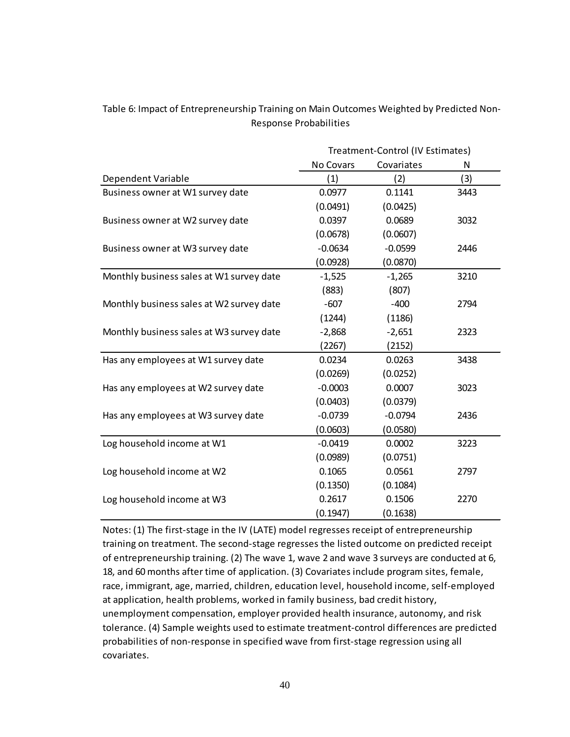|                                          | Treatment-Control (IV Estimates) |            |      |  |
|------------------------------------------|----------------------------------|------------|------|--|
|                                          | No Covars                        | Covariates | N    |  |
| Dependent Variable                       | (1)                              | (2)        | (3)  |  |
| Business owner at W1 survey date         | 0.0977                           | 0.1141     | 3443 |  |
|                                          | (0.0491)                         | (0.0425)   |      |  |
| Business owner at W2 survey date         | 0.0397                           | 0.0689     | 3032 |  |
|                                          | (0.0678)                         | (0.0607)   |      |  |
| Business owner at W3 survey date         | $-0.0634$                        | $-0.0599$  | 2446 |  |
|                                          | (0.0928)                         | (0.0870)   |      |  |
| Monthly business sales at W1 survey date | $-1,525$                         | $-1,265$   | 3210 |  |
|                                          | (883)                            | (807)      |      |  |
| Monthly business sales at W2 survey date | $-607$                           | $-400$     | 2794 |  |
|                                          | (1244)                           | (1186)     |      |  |
| Monthly business sales at W3 survey date | $-2,868$                         | $-2,651$   | 2323 |  |
|                                          | (2267)                           | (2152)     |      |  |
| Has any employees at W1 survey date      | 0.0234                           | 0.0263     | 3438 |  |
|                                          | (0.0269)                         | (0.0252)   |      |  |
| Has any employees at W2 survey date      | $-0.0003$                        | 0.0007     | 3023 |  |
|                                          | (0.0403)                         | (0.0379)   |      |  |
| Has any employees at W3 survey date      | $-0.0739$                        | $-0.0794$  | 2436 |  |
|                                          | (0.0603)                         | (0.0580)   |      |  |
| Log household income at W1               | $-0.0419$                        | 0.0002     | 3223 |  |
|                                          | (0.0989)                         | (0.0751)   |      |  |
| Log household income at W2               | 0.1065                           | 0.0561     | 2797 |  |
|                                          | (0.1350)                         | (0.1084)   |      |  |
| Log household income at W3               | 0.2617                           | 0.1506     | 2270 |  |
|                                          | (0.1947)                         | (0.1638)   |      |  |

### Table 6: Impact of Entrepreneurship Training on Main Outcomes Weighted by Predicted Non-Response Probabilities

Notes: (1) The first-stage in the IV (LATE) model regresses receipt of entrepreneurship training on treatment. The second-stage regresses the listed outcome on predicted receipt of entrepreneurship training. (2) The wave 1, wave 2 and wave 3 surveys are conducted at 6, 18, and 60 months after time of application. (3) Covariates include program sites, female, race, immigrant, age, married, children, education level, household income, self-employed at application, health problems, worked in family business, bad credit history, unemployment compensation, employer provided health insurance, autonomy, and risk tolerance. (4) Sample weights used to estimate treatment-control differences are predicted probabilities of non-response in specified wave from first-stage regression using all covariates.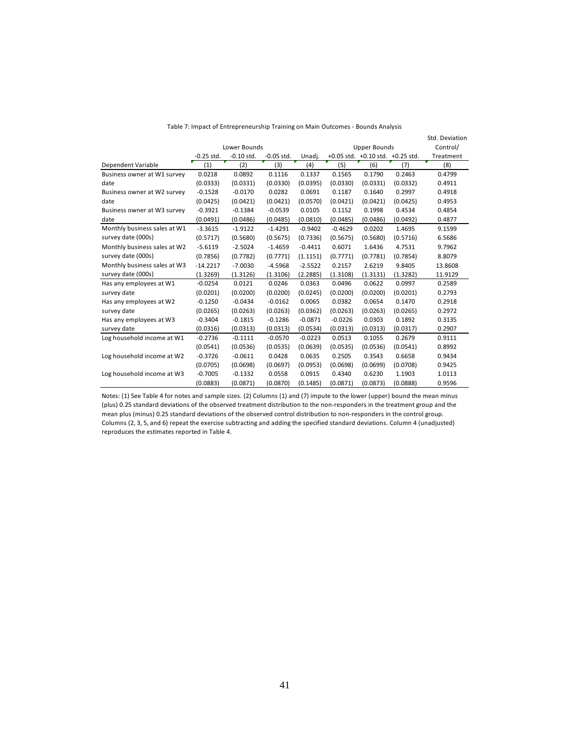|                              |              |              |              |           |           |                     |                                        | Std. Deviation |
|------------------------------|--------------|--------------|--------------|-----------|-----------|---------------------|----------------------------------------|----------------|
|                              |              | Lower Bounds |              |           |           | <b>Upper Bounds</b> |                                        | Control/       |
|                              | $-0.25$ std. | $-0.10$ std. | $-0.05$ std. | Unadj.    |           |                     | $+0.05$ std. $+0.10$ std. $+0.25$ std. | Treatment      |
| Dependent Variable           | (1)          | (2)          | (3)          | (4)       | (5)       | (6)                 | (7)                                    | (8)            |
| Business owner at W1 survey  | 0.0218       | 0.0892       | 0.1116       | 0.1337    | 0.1565    | 0.1790              | 0.2463                                 | 0.4799         |
| date                         | (0.0333)     | (0.0331)     | (0.0330)     | (0.0395)  | (0.0330)  | (0.0331)            | (0.0332)                               | 0.4911         |
| Business owner at W2 survey  | $-0.1528$    | $-0.0170$    | 0.0282       | 0.0691    | 0.1187    | 0.1640              | 0.2997                                 | 0.4918         |
| date                         | (0.0425)     | (0.0421)     | (0.0421)     | (0.0570)  | (0.0421)  | (0.0421)            | (0.0425)                               | 0.4953         |
| Business owner at W3 survey  | $-0.3921$    | $-0.1384$    | $-0.0539$    | 0.0105    | 0.1152    | 0.1998              | 0.4534                                 | 0.4854         |
| date                         | (0.0491)     | (0.0486)     | (0.0485)     | (0.0810)  | (0.0485)  | (0.0486)            | (0.0492)                               | 0.4877         |
| Monthly business sales at W1 | $-3.3615$    | $-1.9122$    | $-1.4291$    | $-0.9402$ | $-0.4629$ | 0.0202              | 1.4695                                 | 9.1599         |
| survey date (000s)           | (0.5717)     | (0.5680)     | (0.5675)     | (0.7336)  | (0.5675)  | (0.5680)            | (0.5716)                               | 6.5686         |
| Monthly business sales at W2 | $-5.6119$    | $-2.5024$    | $-1.4659$    | $-0.4411$ | 0.6071    | 1.6436              | 4.7531                                 | 9.7962         |
| survey date (000s)           | (0.7856)     | (0.7782)     | (0.7771)     | (1.1151)  | (0.7771)  | (0.7781)            | (0.7854)                               | 8.8079         |
| Monthly business sales at W3 | $-14.2217$   | $-7.0030$    | $-4.5968$    | $-2.5522$ | 0.2157    | 2.6219              | 9.8405                                 | 13.8608        |
| survey date (000s)           | (1.3269)     | (1.3126)     | (1.3106)     | (2.2885)  | (1.3108)  | (1.3131)            | (1.3282)                               | 11.9129        |
| Has any employees at W1      | $-0.0254$    | 0.0121       | 0.0246       | 0.0363    | 0.0496    | 0.0622              | 0.0997                                 | 0.2589         |
| survey date                  | (0.0201)     | (0.0200)     | (0.0200)     | (0.0245)  | (0.0200)  | (0.0200)            | (0.0201)                               | 0.2793         |
| Has any employees at W2      | $-0.1250$    | $-0.0434$    | $-0.0162$    | 0.0065    | 0.0382    | 0.0654              | 0.1470                                 | 0.2918         |
| survey date                  | (0.0265)     | (0.0263)     | (0.0263)     | (0.0362)  | (0.0263)  | (0.0263)            | (0.0265)                               | 0.2972         |
| Has any employees at W3      | $-0.3404$    | $-0.1815$    | $-0.1286$    | $-0.0871$ | $-0.0226$ | 0.0303              | 0.1892                                 | 0.3135         |
| survey date                  | (0.0316)     | (0.0313)     | (0.0313)     | (0.0534)  | (0.0313)  | (0.0313)            | (0.0317)                               | 0.2907         |
| Log household income at W1   | $-0.2736$    | $-0.1111$    | $-0.0570$    | $-0.0223$ | 0.0513    | 0.1055              | 0.2679                                 | 0.9111         |
|                              | (0.0541)     | (0.0536)     | (0.0535)     | (0.0639)  | (0.0535)  | (0.0536)            | (0.0541)                               | 0.8992         |
| Log household income at W2   | $-0.3726$    | $-0.0611$    | 0.0428       | 0.0635    | 0.2505    | 0.3543              | 0.6658                                 | 0.9434         |
|                              | (0.0705)     | (0.0698)     | (0.0697)     | (0.0953)  | (0.0698)  | (0.0699)            | (0.0708)                               | 0.9425         |
| Log household income at W3   | $-0.7005$    | $-0.1332$    | 0.0558       | 0.0915    | 0.4340    | 0.6230              | 1.1903                                 | 1.0113         |
|                              | (0.0883)     | (0.0871)     | (0.0870)     | (0.1485)  | (0.0871)  | (0.0873)            | (0.0888)                               | 0.9596         |

| Table 7: Impact of Entrepreneurship Training on Main Outcomes - Bounds Analysis |  |  |  |
|---------------------------------------------------------------------------------|--|--|--|
|---------------------------------------------------------------------------------|--|--|--|

Notes: (1) See Table 4 for notes and sample sizes. (2) Columns (1) and (7) impute to the lower (upper) bound the mean minus (plus) 0.25 standard deviations of the observed treatment distribution to the non-responders in the treatment group and the mean plus (minus) 0.25 standard deviations of the observed control distribution to non-responders in the control group. Columns (2, 3, 5, and 6) repeat the exercise subtracting and adding the specified standard deviations. Column 4 (unadjusted) reproduces the estimates reported in Table 4.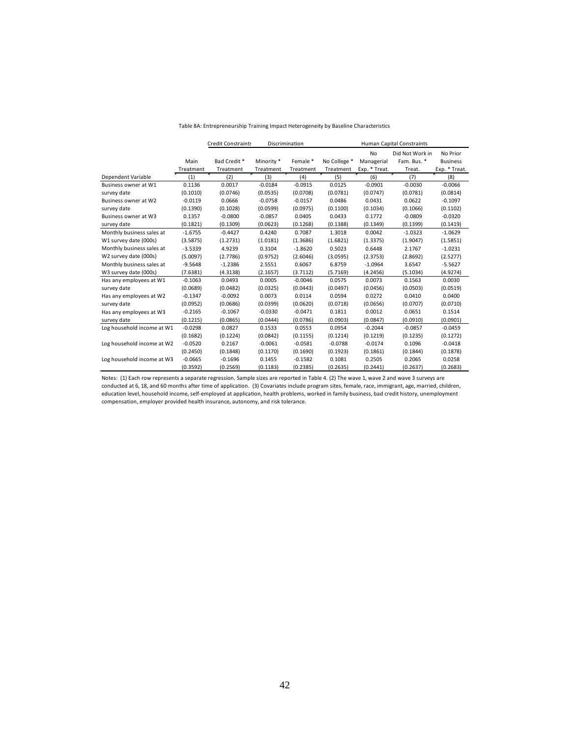|                            |           | <b>Credit Constraints</b> |            | Discrimination |              | <b>Human Capital Constraints</b> |                 |                 |
|----------------------------|-----------|---------------------------|------------|----------------|--------------|----------------------------------|-----------------|-----------------|
|                            |           |                           |            |                |              | <b>No</b>                        | Did Not Work in | No Prior        |
|                            | Main      | Bad Credit*               | Minority * | Female *       | No College * | Managerial                       | Fam. Bus. *     | <b>Business</b> |
|                            | Treatment | Treatment                 | Treatment  | Treatment      | Treatment    | Exp. * Treat.                    | Treat.          | Exp. * Treat.   |
| Dependent Variable         | (1)       | (2)                       | (3)        | (4)            | (5)          | (6)                              | (7)             | (8)             |
| Business owner at W1       | 0.1136    | 0.0017                    | $-0.0184$  | $-0.0915$      | 0.0125       | $-0.0901$                        | $-0.0030$       | $-0.0066$       |
| survey date                | (0.1010)  | (0.0746)                  | (0.0535)   | (0.0708)       | (0.0781)     | (0.0747)                         | (0.0781)        | (0.0814)        |
| Business owner at W2       | $-0.0119$ | 0.0666                    | $-0.0758$  | $-0.0157$      | 0.0486       | 0.0431                           | 0.0622          | $-0.1097$       |
| survey date                | (0.1390)  | (0.1028)                  | (0.0599)   | (0.0975)       | (0.1100)     | (0.1034)                         | (0.1066)        | (0.1102)        |
| Business owner at W3       | 0.1357    | $-0.0800$                 | $-0.0857$  | 0.0405         | 0.0433       | 0.1772                           | $-0.0809$       | $-0.0320$       |
| survey date                | (0.1821)  | (0.1309)                  | (0.0623)   | (0.1268)       | (0.1388)     | (0.1349)                         | (0.1399)        | (0.1419)        |
| Monthly business sales at  | $-1.6755$ | $-0.4427$                 | 0.4240     | 0.7087         | 1.3018       | 0.0042                           | $-1.0323$       | $-1.0629$       |
| W1 survey date (000s)      | (3.5875)  | (1.2731)                  | (1.0181)   | (1.3686)       | (1.6821)     | (1.3375)                         | (1.9047)        | (1.5851)        |
| Monthly business sales at  | $-3.5339$ | 4.9239                    | 0.3104     | $-1.8620$      | 0.5023       | 0.6448                           | 2.1767          | $-1.0231$       |
| W2 survey date (000s)      | (5.0097)  | (2.7786)                  | (0.9752)   | (2.6046)       | (3.0595)     | (2.3753)                         | (2.8692)        | (2.5277)        |
| Monthly business sales at  | $-9.5648$ | $-1.2386$                 | 2.5551     | 0.6067         | 6.8759       | $-1.0964$                        | 3.6547          | $-5.5627$       |
| W3 survey date (000s)      | (7.6381)  | (4.3138)                  | (2.1657)   | (3.7112)       | (5.7169)     | (4.2456)                         | (5.1034)        | (4.9274)        |
| Has any employees at W1    | $-0.1063$ | 0.0493                    | 0.0005     | $-0.0046$      | 0.0575       | 0.0073                           | 0.1563          | 0.0030          |
| survey date                | (0.0689)  | (0.0482)                  | (0.0325)   | (0.0443)       | (0.0497)     | (0.0456)                         | (0.0503)        | (0.0519)        |
| Has any employees at W2    | $-0.1347$ | $-0.0092$                 | 0.0073     | 0.0114         | 0.0594       | 0.0272                           | 0.0410          | 0.0400          |
| survey date                | (0.0952)  | (0.0686)                  | (0.0399)   | (0.0620)       | (0.0718)     | (0.0656)                         | (0.0707)        | (0.0710)        |
| Has any employees at W3    | $-0.2165$ | $-0.1067$                 | $-0.0330$  | $-0.0471$      | 0.1811       | 0.0012                           | 0.0651          | 0.1514          |
| survey date                | (0.1215)  | (0.0865)                  | (0.0444)   | (0.0786)       | (0.0903)     | (0.0847)                         | (0.0910)        | (0.0901)        |
| Log household income at W1 | $-0.0298$ | 0.0827                    | 0.1533     | 0.0553         | 0.0954       | $-0.2044$                        | $-0.0857$       | $-0.0459$       |
|                            | (0.1682)  | (0.1224)                  | (0.0842)   | (0.1155)       | (0.1214)     | (0.1219)                         | (0.1235)        | (0.1272)        |
| Log household income at W2 | $-0.0520$ | 0.2167                    | $-0.0061$  | $-0.0581$      | $-0.0788$    | $-0.0174$                        | 0.1096          | $-0.0418$       |
|                            | (0.2450)  | (0.1848)                  | (0.1170)   | (0.1690)       | (0.1923)     | (0.1861)                         | (0.1844)        | (0.1878)        |
| Log household income at W3 | $-0.0665$ | $-0.1696$                 | 0.1455     | $-0.1582$      | 0.1081       | 0.2505                           | 0.2065          | 0.0258          |
|                            | (0.3592)  | (0.2569)                  | (0.1183)   | (0.2385)       | (0.2635)     | (0.2441)                         | (0.2637)        | (0.2683)        |

#### Table 8A: Entrepreneurship Training Impact Heterogeneity by Baseline Characteristics

Notes: (1) Each row represents a separate regression. Sample sizes are reported in Table 4. (2) The wave 1, wave 2 and wave 3 surveys are conducted at 6, 18, and 60 months after time of application. (3) Covariates include program sites, female, race, immigrant, age, married, children, education level, household income, self-employed at application, health problems, worked in family business, bad credit history, unemployment compensation, employer provided health insurance, autonomy, and risk tolerance.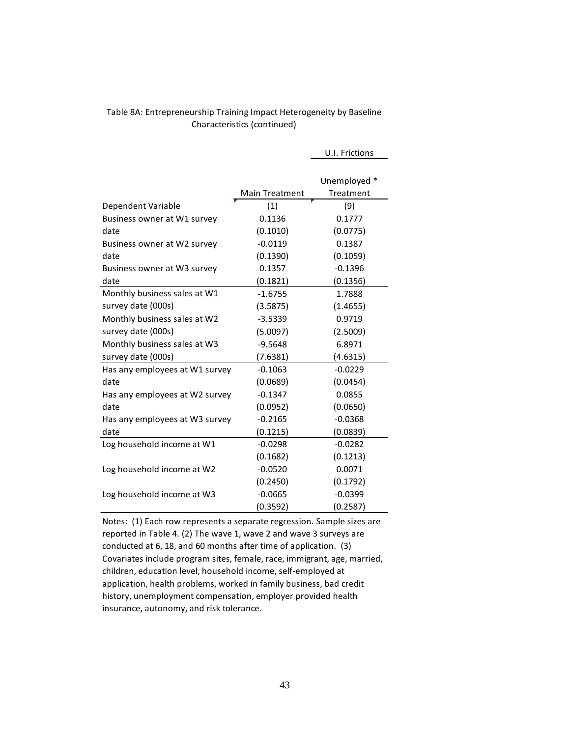#### Table 8A: Entrepreneurship Training Impact Heterogeneity by Baseline Characteristics (continued)

|                                |                       | U.I. Frictions |
|--------------------------------|-----------------------|----------------|
|                                |                       |                |
|                                |                       | Unemployed *   |
|                                | <b>Main Treatment</b> | Treatment      |
| Dependent Variable             | (1)                   | (9)            |
| Business owner at W1 survey    | 0.1136                | 0.1777         |
| date                           | (0.1010)              | (0.0775)       |
| Business owner at W2 survey    | $-0.0119$             | 0.1387         |
| date                           | (0.1390)              | (0.1059)       |
| Business owner at W3 survey    | 0.1357                | $-0.1396$      |
| date                           | (0.1821)              | (0.1356)       |
| Monthly business sales at W1   | $-1.6755$             | 1.7888         |
| survey date (000s)             | (3.5875)              | (1.4655)       |
| Monthly business sales at W2   | $-3.5339$             | 0.9719         |
| survey date (000s)             | (5.0097)              | (2.5009)       |
| Monthly business sales at W3   | $-9.5648$             | 6.8971         |
| survey date (000s)             | (7.6381)              | (4.6315)       |
| Has any employees at W1 survey | $-0.1063$             | $-0.0229$      |
| date                           | (0.0689)              | (0.0454)       |
| Has any employees at W2 survey | $-0.1347$             | 0.0855         |
| date                           | (0.0952)              | (0.0650)       |
| Has any employees at W3 survey | $-0.2165$             | $-0.0368$      |
| date                           | (0.1215)              | (0.0839)       |
| Log household income at W1     | $-0.0298$             | $-0.0282$      |
|                                | (0.1682)              | (0.1213)       |
| Log household income at W2     | $-0.0520$             | 0.0071         |
|                                | (0.2450)              | (0.1792)       |
| Log household income at W3     | $-0.0665$             | $-0.0399$      |
|                                | (0.3592)              | (0.2587)       |

Notes: (1) Each row represents a separate regression. Sample sizes are reported in Table 4. (2) The wave 1, wave 2 and wave 3 surveys are conducted at 6, 18, and 60 months after time of application. (3) Covariates include program sites, female, race, immigrant, age, married, children, education level, household income, self-employed at application, health problems, worked in family business, bad credit history, unemployment compensation, employer provided health insurance, autonomy, and risk tolerance.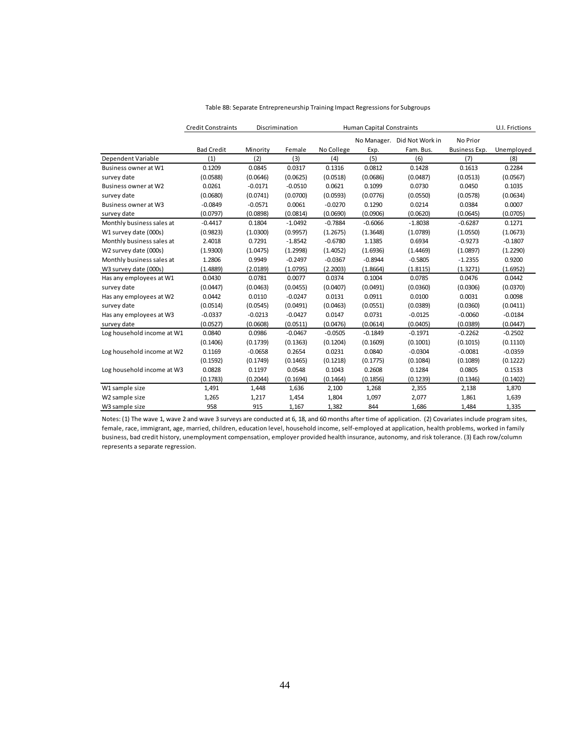|                            | <b>Credit Constraints</b> |           | Discrimination |            | <b>Human Capital Constraints</b> |                             |               | U.I. Frictions |
|----------------------------|---------------------------|-----------|----------------|------------|----------------------------------|-----------------------------|---------------|----------------|
|                            |                           |           |                |            |                                  | No Manager. Did Not Work in | No Prior      |                |
|                            | <b>Bad Credit</b>         | Minority  | Female         | No College | Exp.                             | Fam. Bus.                   | Business Exp. | Unemployed     |
| Dependent Variable         | (1)                       | (2)       | (3)            | (4)        | (5)                              | (6)                         | (7)           | (8)            |
| Business owner at W1       | 0.1209                    | 0.0845    | 0.0317         | 0.1316     | 0.0812                           | 0.1428                      | 0.1613        | 0.2284         |
| survey date                | (0.0588)                  | (0.0646)  | (0.0625)       | (0.0518)   | (0.0686)                         | (0.0487)                    | (0.0513)      | (0.0567)       |
| Business owner at W2       | 0.0261                    | $-0.0171$ | $-0.0510$      | 0.0621     | 0.1099                           | 0.0730                      | 0.0450        | 0.1035         |
| survey date                | (0.0680)                  | (0.0741)  | (0.0700)       | (0.0593)   | (0.0776)                         | (0.0550)                    | (0.0578)      | (0.0634)       |
| Business owner at W3       | $-0.0849$                 | $-0.0571$ | 0.0061         | $-0.0270$  | 0.1290                           | 0.0214                      | 0.0384        | 0.0007         |
| survey date                | (0.0797)                  | (0.0898)  | (0.0814)       | (0.0690)   | (0.0906)                         | (0.0620)                    | (0.0645)      | (0.0705)       |
| Monthly business sales at  | $-0.4417$                 | 0.1804    | $-1.0492$      | $-0.7884$  | $-0.6066$                        | $-1.8038$                   | $-0.6287$     | 0.1271         |
| W1 survey date (000s)      | (0.9823)                  | (1.0300)  | (0.9957)       | (1.2675)   | (1.3648)                         | (1.0789)                    | (1.0550)      | (1.0673)       |
| Monthly business sales at  | 2.4018                    | 0.7291    | $-1.8542$      | $-0.6780$  | 1.1385                           | 0.6934                      | $-0.9273$     | $-0.1807$      |
| W2 survey date (000s)      | (1.9300)                  | (1.0475)  | (1.2998)       | (1.4052)   | (1.6936)                         | (1.4469)                    | (1.0897)      | (1.2290)       |
| Monthly business sales at  | 1.2806                    | 0.9949    | $-0.2497$      | $-0.0367$  | $-0.8944$                        | $-0.5805$                   | $-1.2355$     | 0.9200         |
| W3 survey date (000s)      | (1.4889)                  | (2.0189)  | (1.0795)       | (2.2003)   | (1.8664)                         | (1.8115)                    | (1.3271)      | (1.6952)       |
| Has any employees at W1    | 0.0430                    | 0.0781    | 0.0077         | 0.0374     | 0.1004                           | 0.0785                      | 0.0476        | 0.0442         |
| survey date                | (0.0447)                  | (0.0463)  | (0.0455)       | (0.0407)   | (0.0491)                         | (0.0360)                    | (0.0306)      | (0.0370)       |
| Has any employees at W2    | 0.0442                    | 0.0110    | $-0.0247$      | 0.0131     | 0.0911                           | 0.0100                      | 0.0031        | 0.0098         |
| survey date                | (0.0514)                  | (0.0545)  | (0.0491)       | (0.0463)   | (0.0551)                         | (0.0389)                    | (0.0360)      | (0.0411)       |
| Has any employees at W3    | $-0.0337$                 | $-0.0213$ | $-0.0427$      | 0.0147     | 0.0731                           | $-0.0125$                   | $-0.0060$     | $-0.0184$      |
| survey date                | (0.0527)                  | (0.0608)  | (0.0511)       | (0.0476)   | (0.0614)                         | (0.0405)                    | (0.0389)      | (0.0447)       |
| Log household income at W1 | 0.0840                    | 0.0986    | $-0.0467$      | $-0.0505$  | $-0.1849$                        | $-0.1971$                   | $-0.2262$     | $-0.2502$      |
|                            | (0.1406)                  | (0.1739)  | (0.1363)       | (0.1204)   | (0.1609)                         | (0.1001)                    | (0.1015)      | (0.1110)       |
| Log household income at W2 | 0.1169                    | $-0.0658$ | 0.2654         | 0.0231     | 0.0840                           | $-0.0304$                   | $-0.0081$     | $-0.0359$      |
|                            | (0.1592)                  | (0.1749)  | (0.1465)       | (0.1218)   | (0.1775)                         | (0.1084)                    | (0.1089)      | (0.1222)       |
| Log household income at W3 | 0.0828                    | 0.1197    | 0.0548         | 0.1043     | 0.2608                           | 0.1284                      | 0.0805        | 0.1533         |
|                            | (0.1783)                  | (0.2044)  | (0.1694)       | (0.1464)   | (0.1856)                         | (0.1239)                    | (0.1346)      | (0.1402)       |
| W1 sample size             | 1,491                     | 1,448     | 1,636          | 2,100      | 1,268                            | 2,355                       | 2,138         | 1,870          |
| W2 sample size             | 1,265                     | 1,217     | 1,454          | 1,804      | 1,097                            | 2,077                       | 1,861         | 1,639          |
| W3 sample size             | 958                       | 915       | 1,167          | 1,382      | 844                              | 1,686                       | 1,484         | 1,335          |

#### Table 8B: Separate Entrepreneurship Training Impact Regressions for Subgroups

Notes: (1) The wave 1, wave 2 and wave 3 surveys are conducted at 6, 18, and 60 months after time of application. (2) Covariates include program sites, female, race, immigrant, age, married, children, education level, household income, self-employed at application, health problems, worked in family business, bad credit history, unemployment compensation, employer provided health insurance, autonomy, and risk tolerance. (3) Each row/column represents a separate regression.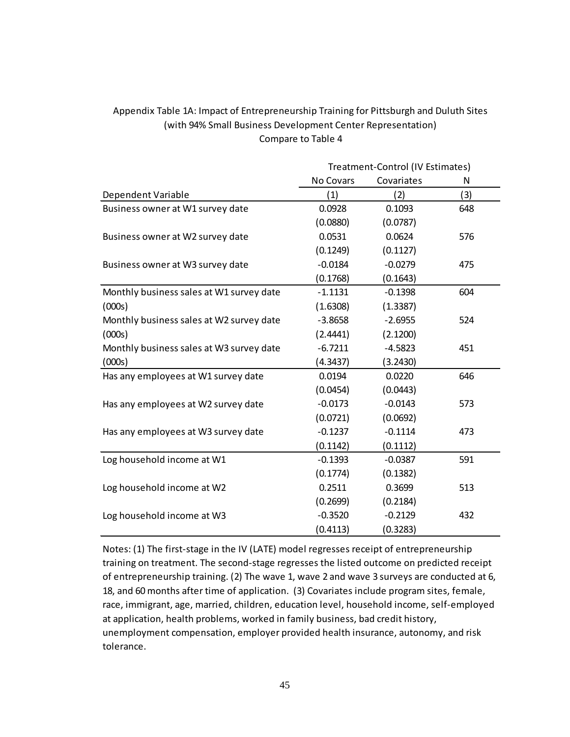### Appendix Table 1A: Impact of Entrepreneurship Training for Pittsburgh and Duluth Sites (with 94% Small Business Development Center Representation) Compare to Table 4

|                                          | Treatment-Control (IV Estimates) |            |     |  |
|------------------------------------------|----------------------------------|------------|-----|--|
|                                          | No Covars                        | Covariates | N   |  |
| Dependent Variable                       | (1)                              | (2)        | (3) |  |
| Business owner at W1 survey date         | 0.0928                           | 0.1093     | 648 |  |
|                                          | (0.0880)                         | (0.0787)   |     |  |
| Business owner at W2 survey date         | 0.0531                           | 0.0624     | 576 |  |
|                                          | (0.1249)                         | (0.1127)   |     |  |
| Business owner at W3 survey date         | $-0.0184$                        | $-0.0279$  | 475 |  |
|                                          | (0.1768)                         | (0.1643)   |     |  |
| Monthly business sales at W1 survey date | $-1.1131$                        | $-0.1398$  | 604 |  |
| (000s)                                   | (1.6308)                         | (1.3387)   |     |  |
| Monthly business sales at W2 survey date | $-3.8658$                        | $-2.6955$  | 524 |  |
| (000s)                                   | (2.4441)                         | (2.1200)   |     |  |
| Monthly business sales at W3 survey date | $-6.7211$                        | $-4.5823$  | 451 |  |
| (000s)                                   | (4.3437)                         | (3.2430)   |     |  |
| Has any employees at W1 survey date      | 0.0194                           | 0.0220     | 646 |  |
|                                          | (0.0454)                         | (0.0443)   |     |  |
| Has any employees at W2 survey date      | $-0.0173$                        | $-0.0143$  | 573 |  |
|                                          | (0.0721)                         | (0.0692)   |     |  |
| Has any employees at W3 survey date      | $-0.1237$                        | $-0.1114$  | 473 |  |
|                                          | (0.1142)                         | (0.1112)   |     |  |
| Log household income at W1               | $-0.1393$                        | $-0.0387$  | 591 |  |
|                                          | (0.1774)                         | (0.1382)   |     |  |
| Log household income at W2               | 0.2511                           | 0.3699     | 513 |  |
|                                          | (0.2699)                         | (0.2184)   |     |  |
| Log household income at W3               | $-0.3520$                        | $-0.2129$  | 432 |  |
|                                          | (0.4113)                         | (0.3283)   |     |  |

Notes: (1) The first-stage in the IV (LATE) model regresses receipt of entrepreneurship training on treatment. The second-stage regresses the listed outcome on predicted receipt of entrepreneurship training. (2) The wave 1, wave 2 and wave 3 surveys are conducted at 6, 18, and 60 months after time of application. (3) Covariates include program sites, female, race, immigrant, age, married, children, education level, household income, self-employed at application, health problems, worked in family business, bad credit history, unemployment compensation, employer provided health insurance, autonomy, and risk tolerance.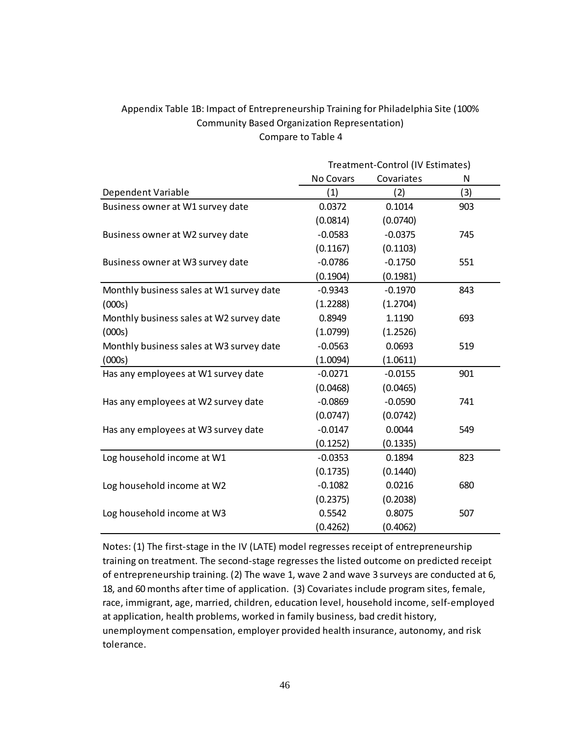### Appendix Table 1B: Impact of Entrepreneurship Training for Philadelphia Site (100% Community Based Organization Representation) Compare to Table 4

|                                          | Treatment-Control (IV Estimates) |            |     |  |  |
|------------------------------------------|----------------------------------|------------|-----|--|--|
|                                          | No Covars                        | Covariates | N   |  |  |
| Dependent Variable                       | (1)                              | (2)        | (3) |  |  |
| Business owner at W1 survey date         | 0.0372                           | 0.1014     | 903 |  |  |
|                                          | (0.0814)                         | (0.0740)   |     |  |  |
| Business owner at W2 survey date         | $-0.0583$                        | $-0.0375$  | 745 |  |  |
|                                          | (0.1167)                         | (0.1103)   |     |  |  |
| Business owner at W3 survey date         | $-0.0786$                        | $-0.1750$  | 551 |  |  |
|                                          | (0.1904)                         | (0.1981)   |     |  |  |
| Monthly business sales at W1 survey date | $-0.9343$                        | $-0.1970$  | 843 |  |  |
| (000s)                                   | (1.2288)                         | (1.2704)   |     |  |  |
| Monthly business sales at W2 survey date | 0.8949                           | 1.1190     | 693 |  |  |
| (000s)                                   | (1.0799)                         | (1.2526)   |     |  |  |
| Monthly business sales at W3 survey date | $-0.0563$                        | 0.0693     | 519 |  |  |
| (000s)                                   | (1.0094)                         | (1.0611)   |     |  |  |
| Has any employees at W1 survey date      | $-0.0271$                        | $-0.0155$  | 901 |  |  |
|                                          | (0.0468)                         | (0.0465)   |     |  |  |
| Has any employees at W2 survey date      | $-0.0869$                        | $-0.0590$  | 741 |  |  |
|                                          | (0.0747)                         | (0.0742)   |     |  |  |
| Has any employees at W3 survey date      | $-0.0147$                        | 0.0044     | 549 |  |  |
|                                          | (0.1252)                         | (0.1335)   |     |  |  |
| Log household income at W1               | $-0.0353$                        | 0.1894     | 823 |  |  |
|                                          | (0.1735)                         | (0.1440)   |     |  |  |
| Log household income at W2               | $-0.1082$                        | 0.0216     | 680 |  |  |
|                                          | (0.2375)                         | (0.2038)   |     |  |  |
| Log household income at W3               | 0.5542                           | 0.8075     | 507 |  |  |
|                                          | (0.4262)                         | (0.4062)   |     |  |  |

Notes: (1) The first-stage in the IV (LATE) model regresses receipt of entrepreneurship training on treatment. The second-stage regresses the listed outcome on predicted receipt of entrepreneurship training. (2) The wave 1, wave 2 and wave 3 surveys are conducted at 6, 18, and 60 months after time of application. (3) Covariates include program sites, female, race, immigrant, age, married, children, education level, household income, self-employed at application, health problems, worked in family business, bad credit history, unemployment compensation, employer provided health insurance, autonomy, and risk tolerance.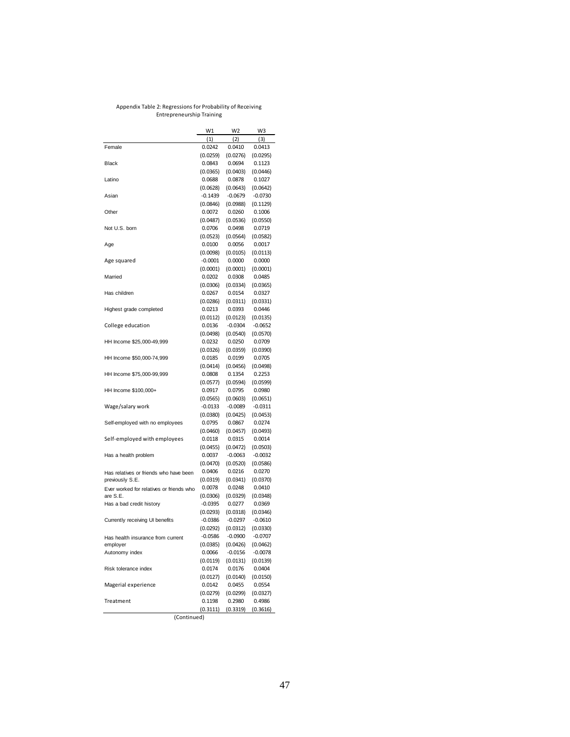#### Appendix Table 2: Regressions for Probability of Receiving Entrepreneurship Training

|                                          | W1        | W <sub>2</sub> | W3        |
|------------------------------------------|-----------|----------------|-----------|
|                                          | (1)       | (2)            | (3)       |
| Female                                   | 0.0242    | 0.0410         | 0.0413    |
|                                          | (0.0259)  | (0.0276)       | (0.0295)  |
| Black                                    | 0.0843    | 0.0694         | 0.1123    |
|                                          | (0.0365)  | (0.0403)       | (0.0446)  |
| Latino                                   | 0.0688    | 0.0878         | 0.1027    |
|                                          | (0.0628)  | (0.0643)       | (0.0642)  |
| Asian                                    | $-0.1439$ | $-0.0679$      | $-0.0730$ |
|                                          | (0.0846)  | (0.0988)       | (0.1129)  |
| Other                                    | 0.0072    | 0.0260         | 0.1006    |
|                                          | (0.0487)  | (0.0536)       | (0.0550)  |
| Not U.S. born                            | 0.0706    | 0.0498         | 0.0719    |
|                                          | (0.0523)  | (0.0564)       | (0.0582)  |
| Age                                      | 0.0100    | 0.0056         | 0.0017    |
|                                          | (0.0098)  | (0.0105)       | (0.0113)  |
| Age squared                              | $-0.0001$ | 0.0000         | 0.0000    |
|                                          | (0.0001)  | (0.0001)       | (0.0001)  |
| Married                                  | 0.0202    | 0.0308         | 0.0485    |
|                                          | (0.0306)  | (0.0334)       | (0.0365)  |
| Has children                             | 0.0267    | 0.0154         | 0.0327    |
|                                          | (0.0286)  | (0.0311)       | (0.0331)  |
| Highest grade completed                  | 0.0213    | 0.0393         | 0.0446    |
|                                          | (0.0112)  | (0.0123)       | (0.0135)  |
| College education                        | 0.0136    | $-0.0304$      | $-0.0652$ |
|                                          | (0.0498)  | (0.0540)       | (0.0570)  |
| HH Income \$25,000-49,999                | 0.0232    | 0.0250         | 0.0709    |
|                                          | (0.0326)  | (0.0359)       | (0.0390)  |
| HH Income \$50,000-74,999                | 0.0185    | 0.0199         | 0.0705    |
|                                          | (0.0414)  | (0.0456)       | (0.0498)  |
| HH Income \$75,000-99,999                | 0.0808    | 0.1354         | 0.2253    |
|                                          | (0.0577)  | (0.0594)       | (0.0599)  |
| HH Income \$100,000+                     | 0.0917    | 0.0795         | 0.0980    |
|                                          | (0.0565)  | (0.0603)       | (0.0651)  |
| Wage/salary work                         | $-0.0133$ | $-0.0089$      | $-0.0311$ |
|                                          | (0.0380)  | (0.0425)       | (0.0453)  |
| Self-employed with no employees          | 0.0795    | 0.0867         | 0.0274    |
|                                          | (0.0460)  | (0.0457)       | (0.0493)  |
| Self-employed with employees             | 0.0118    | 0.0315         | 0.0014    |
|                                          | (0.0455)  | (0.0472)       | (0.0503)  |
| Has a health problem                     | 0.0037    | $-0.0063$      | $-0.0032$ |
|                                          | (0.0470)  | (0.0520)       | (0.0586)  |
| Has relatives or friends who have been   | 0.0406    | 0.0216         | 0.0270    |
| previously S.E.                          | (0.0319)  | (0.0341)       | (0.0370)  |
| Ever worked for relatives or friends who | 0.0078    | 0.0248         | 0.0410    |
| are S.E.                                 | (0.0306)  | (0.0329)       | (0.0348)  |
| Has a bad credit history                 | $-0.0395$ | 0.0277         | 0.0369    |
|                                          | (0.0293)  | (0.0318)       | (0.0346)  |
| Currently receiving UI benefits          | $-0.0386$ | $-0.0297$      | $-0.0610$ |
|                                          | (0.0292)  | (0.0312)       | (0.0330)  |
| Has health insurance from current        | $-0.0586$ | $-0.0900$      | $-0.0707$ |
| employer                                 | (0.0385)  | (0.0426)       | (0.0462)  |
| Autonomy index                           | 0.0066    | $-0.0156$      | $-0.0078$ |
|                                          | (0.0119)  | (0.0131)       | (0.0139)  |
| Risk tolerance index                     | 0.0174    | 0.0176         | 0.0404    |
|                                          | (0.0127)  | (0.0140)       | (0.0150)  |
| Magerial experience                      | 0.0142    | 0.0455         | 0.0554    |
|                                          | (0.0279)  | (0.0299)       | (0.0327)  |
| Treatment                                | 0.1198    | 0.2980         | 0.4986    |
|                                          | (0.3111)  | (0.3319)       | (0.3616)  |

(Continued)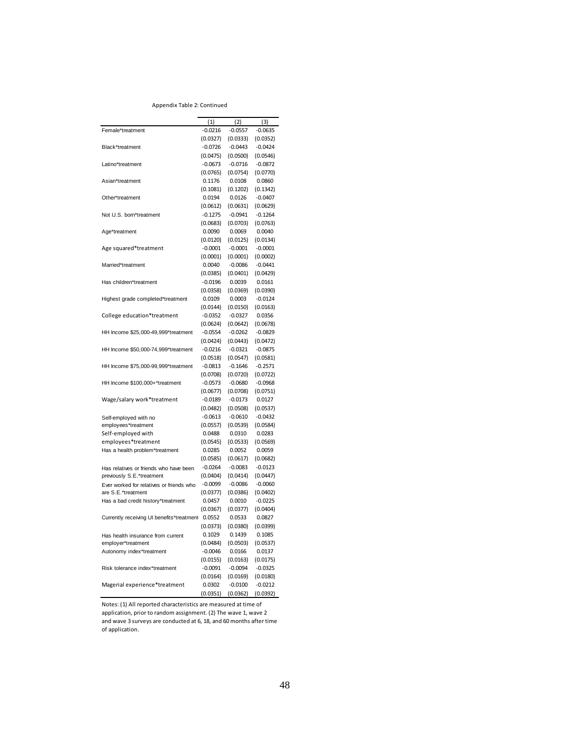#### Appendix Table 2: Continued

|                                                         | (1)       | (2)       | (3)       |
|---------------------------------------------------------|-----------|-----------|-----------|
| Female*treatment                                        | $-0.0216$ | $-0.0557$ | $-0.0635$ |
|                                                         | (0.0327)  | (0.0333)  | (0.0352)  |
| Black*treatment                                         | $-0.0726$ | $-0.0443$ | $-0.0424$ |
|                                                         | (0.0475)  | (0.0500)  | (0.0546)  |
| Latino*treatment                                        | $-0.0673$ | $-0.0716$ | $-0.0872$ |
|                                                         | (0.0765)  | (0.0754)  | (0.0770)  |
| Asian*treatment                                         | 0.1176    | 0.0108    | 0.0860    |
|                                                         | (0.1081)  | (0.1202)  | (0.1342)  |
| Other*treatment                                         | 0.0194    | 0.0126    | $-0.0407$ |
|                                                         | (0.0612)  | (0.0631)  | (0.0629)  |
| Not U.S. born*treatment                                 | $-0.1275$ | $-0.0941$ | $-0.1264$ |
|                                                         | (0.0683)  | (0.0703)  | (0.0763)  |
| Age*treatment                                           | 0.0090    | 0.0069    | 0.0040    |
|                                                         | (0.0120)  | (0.0125)  | (0.0134)  |
| Age squared*treatment                                   | $-0.0001$ | $-0.0001$ | $-0.0001$ |
|                                                         | (0.0001)  | (0.0001)  | (0.0002)  |
| Married*treatment                                       | 0.0040    | $-0.0086$ | $-0.0441$ |
|                                                         | (0.0385)  | (0.0401)  | (0.0429)  |
| Has children*treatment                                  | $-0.0196$ | 0.0039    | 0.0161    |
|                                                         | (0.0358)  | (0.0369)  | (0.0390)  |
| Highest grade completed*treatment                       | 0.0109    | 0.0003    | $-0.0124$ |
|                                                         | (0.0144)  | (0.0150)  | (0.0163)  |
|                                                         |           |           |           |
| College education*treatment                             | $-0.0352$ | $-0.0327$ | 0.0356    |
|                                                         | (0.0624)  | (0.0642)  | (0.0678)  |
| HH Income \$25,000-49,999*treatment                     | $-0.0554$ | $-0.0262$ | $-0.0829$ |
|                                                         | (0.0424)  | (0.0443)  | (0.0472)  |
| HH Income \$50,000-74,999*treatment                     | $-0.0216$ | $-0.0321$ | $-0.0875$ |
|                                                         | (0.0518)  | (0.0547)  | (0.0581)  |
| HH Income \$75,000-99,999*treatment                     | $-0.0813$ | $-0.1646$ | $-0.2571$ |
|                                                         | (0.0708)  | (0.0720)  | (0.0722)  |
| HH Income \$100,000+*treatment                          | $-0.0573$ | $-0.0680$ | $-0.0968$ |
|                                                         | (0.0677)  | (0.0708)  | (0.0751)  |
| Wage/salary work*treatment                              | $-0.0189$ | $-0.0173$ | 0.0127    |
|                                                         | (0.0482)  | (0.0508)  | (0.0537)  |
| Self-employed with no                                   | $-0.0613$ | $-0.0610$ | $-0.0432$ |
| employees*treatment                                     | (0.0557)  | (0.0539)  | (0.0584)  |
| Self-employed with                                      | 0.0488    | 0.0310    | 0.0283    |
| employees*treatment                                     | (0.0545)  | (0.0533)  | (0.0569)  |
| Has a health problem*treatment                          | 0.0285    | 0.0052    | 0.0059    |
|                                                         | (0.0585)  | (0.0617)  | (0.0682)  |
| Has relatives or friends who have been                  | $-0.0264$ | $-0.0083$ | $-0.0123$ |
| previously S.E.*treatment                               | (0.0404)  | (0.0414)  | (0.0447)  |
| Ever worked for relatives or friends who                | $-0.0099$ | $-0.0086$ | $-0.0060$ |
| are S.E.*treatment                                      | (0.0377)  | (0.0386)  | (0.0402)  |
| Has a bad credit history*treatment                      | 0.0457    | 0.0010    | $-0.0225$ |
|                                                         | (0.0367)  | (0.0377)  | (0.0404)  |
| Currently receiving UI benefits*treatment               | 0.0552    | 0.0533    | 0.0827    |
|                                                         | (0.0373)  | (0.0380)  | (0.0399)  |
|                                                         | 0.1029    | 0.1439    | 0.1085    |
| Has health insurance from current<br>employer*treatment | (0.0484)  | (0.0503)  | (0.0537)  |
|                                                         |           |           |           |
| Autonomy index*treatment                                | $-0.0046$ | 0.0166    | 0.0137    |
|                                                         | (0.0155)  | (0.0163)  | (0.0175)  |
| Risk tolerance index*treatment                          | $-0.0091$ | $-0.0094$ | $-0.0325$ |
|                                                         | (0.0164)  | (0.0169)  | (0.0180)  |
| Magerial experience*treatment                           | 0.0302    | $-0.0100$ | $-0.0212$ |
|                                                         | (0.0351)  | (0.0362)  | (0.0392)  |

Notes: (1) All reported characteristics are measured at time of application, prior to random assignment. (2) The wave 1, wave 2 and wave 3 surveys are conducted at 6, 18, and 60 months after time of application.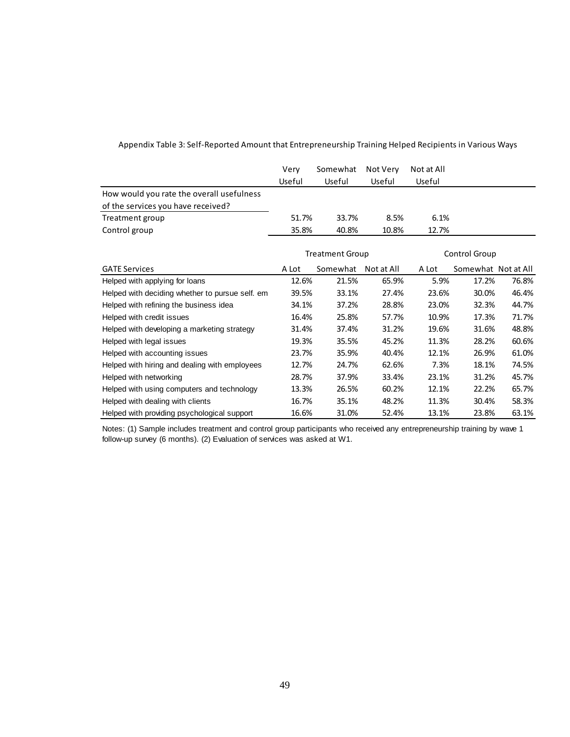|                                                 | Very<br>Useful         | Somewhat<br>Useful | Not Very<br>Useful | Not at All<br>Useful |                     |       |
|-------------------------------------------------|------------------------|--------------------|--------------------|----------------------|---------------------|-------|
| How would you rate the overall usefulness       |                        |                    |                    |                      |                     |       |
| of the services you have received?              |                        |                    |                    |                      |                     |       |
| Treatment group                                 | 51.7%                  | 33.7%              | 8.5%               | 6.1%                 |                     |       |
| Control group                                   | 35.8%                  | 40.8%              | 10.8%              | 12.7%                |                     |       |
|                                                 | <b>Treatment Group</b> |                    |                    | Control Group        |                     |       |
| <b>GATE Services</b>                            | A Lot                  | Somewhat           | Not at All         | A Lot                | Somewhat Not at All |       |
| Helped with applying for loans                  | 12.6%                  | 21.5%              | 65.9%              | 5.9%                 | 17.2%               | 76.8% |
| Helped with deciding whether to pursue self. em | 39.5%                  | 33.1%              | 27.4%              | 23.6%                | 30.0%               | 46.4% |
| Helped with refining the business idea          | 34.1%                  | 37.2%              | 28.8%              | 23.0%                | 32.3%               | 44.7% |
| Helped with credit issues                       | 16.4%                  | 25.8%              | 57.7%              | 10.9%                | 17.3%               | 71.7% |
| Helped with developing a marketing strategy     | 31.4%                  | 37.4%              | 31.2%              | 19.6%                | 31.6%               | 48.8% |
| Helped with legal issues                        | 19.3%                  | 35.5%              | 45.2%              | 11.3%                | 28.2%               | 60.6% |
| Helped with accounting issues                   | 23.7%                  | 35.9%              | 40.4%              | 12.1%                | 26.9%               | 61.0% |
| Helped with hiring and dealing with employees   | 12.7%                  | 24.7%              | 62.6%              | 7.3%                 | 18.1%               | 74.5% |
| Helped with networking                          | 28.7%                  | 37.9%              | 33.4%              | 23.1%                | 31.2%               | 45.7% |
| Helped with using computers and technology      | 13.3%                  | 26.5%              | 60.2%              | 12.1%                | 22.2%               | 65.7% |
| Helped with dealing with clients                | 16.7%                  | 35.1%              | 48.2%              | 11.3%                | 30.4%               | 58.3% |
| Helped with providing psychological support     | 16.6%                  | 31.0%              | 52.4%              | 13.1%                | 23.8%               | 63.1% |

#### Appendix Table 3: Self-Reported Amount that Entrepreneurship Training Helped Recipients in Various Ways

Notes: (1) Sample includes treatment and control group participants who received any entrepreneurship training by wave 1 follow-up survey (6 months). (2) Evaluation of services was asked at W1.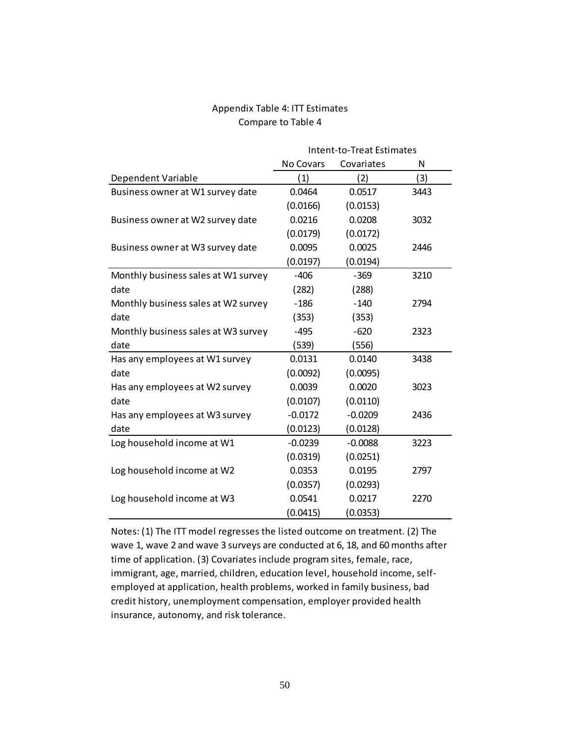### Appendix Table 4: ITT Estimates Compare to Table 4

|                                     | Intent-to-Treat Estimates |            |      |  |
|-------------------------------------|---------------------------|------------|------|--|
|                                     | No Covars                 | Covariates | N    |  |
| Dependent Variable                  | (1)                       | (2)        | (3)  |  |
| Business owner at W1 survey date    | 0.0464                    | 0.0517     | 3443 |  |
|                                     | (0.0166)                  | (0.0153)   |      |  |
| Business owner at W2 survey date    | 0.0216                    | 0.0208     | 3032 |  |
|                                     | (0.0179)                  | (0.0172)   |      |  |
| Business owner at W3 survey date    | 0.0095                    | 0.0025     | 2446 |  |
|                                     | (0.0197)                  | (0.0194)   |      |  |
| Monthly business sales at W1 survey | $-406$                    | $-369$     | 3210 |  |
| date                                | (282)                     | (288)      |      |  |
| Monthly business sales at W2 survey | $-186$                    | $-140$     | 2794 |  |
| date                                | (353)                     | (353)      |      |  |
| Monthly business sales at W3 survey | $-495$                    | $-620$     | 2323 |  |
| date                                | (539)                     | (556)      |      |  |
| Has any employees at W1 survey      | 0.0131                    | 0.0140     | 3438 |  |
| date                                | (0.0092)                  | (0.0095)   |      |  |
| Has any employees at W2 survey      | 0.0039                    | 0.0020     | 3023 |  |
| date                                | (0.0107)                  | (0.0110)   |      |  |
| Has any employees at W3 survey      | $-0.0172$                 | $-0.0209$  | 2436 |  |
| date                                | (0.0123)                  | (0.0128)   |      |  |
| Log household income at W1          | $-0.0239$                 | $-0.0088$  | 3223 |  |
|                                     | (0.0319)                  | (0.0251)   |      |  |
| Log household income at W2          | 0.0353                    | 0.0195     | 2797 |  |
|                                     | (0.0357)                  | (0.0293)   |      |  |
| Log household income at W3          | 0.0541                    | 0.0217     | 2270 |  |
|                                     | (0.0415)                  | (0.0353)   |      |  |

Notes: (1) The ITT model regresses the listed outcome on treatment. (2) The wave 1, wave 2 and wave 3 surveys are conducted at 6, 18, and 60 months after time of application. (3) Covariates include program sites, female, race, immigrant, age, married, children, education level, household income, selfemployed at application, health problems, worked in family business, bad credit history, unemployment compensation, employer provided health insurance, autonomy, and risk tolerance.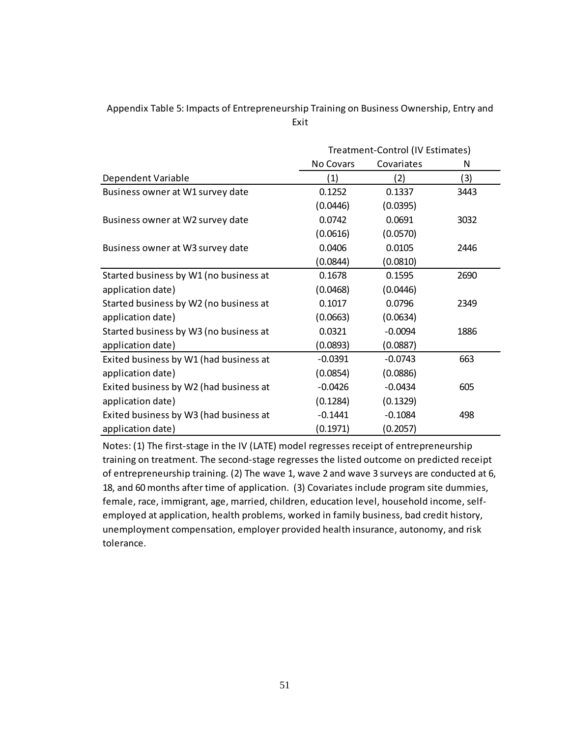### Appendix Table 5: Impacts of Entrepreneurship Training on Business Ownership, Entry and Exit

|                                        | Treatment-Control (IV Estimates) |            |      |  |  |
|----------------------------------------|----------------------------------|------------|------|--|--|
|                                        | No Covars                        | Covariates | N    |  |  |
| Dependent Variable                     | (1)                              | (2)        | (3)  |  |  |
| Business owner at W1 survey date       | 0.1252                           | 0.1337     | 3443 |  |  |
|                                        | (0.0446)                         | (0.0395)   |      |  |  |
| Business owner at W2 survey date       | 0.0742                           | 0.0691     | 3032 |  |  |
|                                        | (0.0616)                         | (0.0570)   |      |  |  |
| Business owner at W3 survey date       | 0.0406                           | 0.0105     | 2446 |  |  |
|                                        | (0.0844)                         | (0.0810)   |      |  |  |
| Started business by W1 (no business at | 0.1678                           | 0.1595     | 2690 |  |  |
| application date)                      | (0.0468)                         | (0.0446)   |      |  |  |
| Started business by W2 (no business at | 0.1017                           | 0.0796     | 2349 |  |  |
| application date)                      | (0.0663)                         | (0.0634)   |      |  |  |
| Started business by W3 (no business at | 0.0321                           | $-0.0094$  | 1886 |  |  |
| application date)                      | (0.0893)                         | (0.0887)   |      |  |  |
| Exited business by W1 (had business at | $-0.0391$                        | $-0.0743$  | 663  |  |  |
| application date)                      | (0.0854)                         | (0.0886)   |      |  |  |
| Exited business by W2 (had business at | $-0.0426$                        | $-0.0434$  | 605  |  |  |
| application date)                      | (0.1284)                         | (0.1329)   |      |  |  |
| Exited business by W3 (had business at | $-0.1441$                        | $-0.1084$  | 498  |  |  |
| application date)                      | (0.1971)                         | (0.2057)   |      |  |  |

Notes: (1) The first-stage in the IV (LATE) model regresses receipt of entrepreneurship training on treatment. The second-stage regresses the listed outcome on predicted receipt of entrepreneurship training. (2) The wave 1, wave 2 and wave 3 surveys are conducted at 6, 18, and 60 months after time of application. (3) Covariates include program site dummies, female, race, immigrant, age, married, children, education level, household income, selfemployed at application, health problems, worked in family business, bad credit history, unemployment compensation, employer provided health insurance, autonomy, and risk tolerance.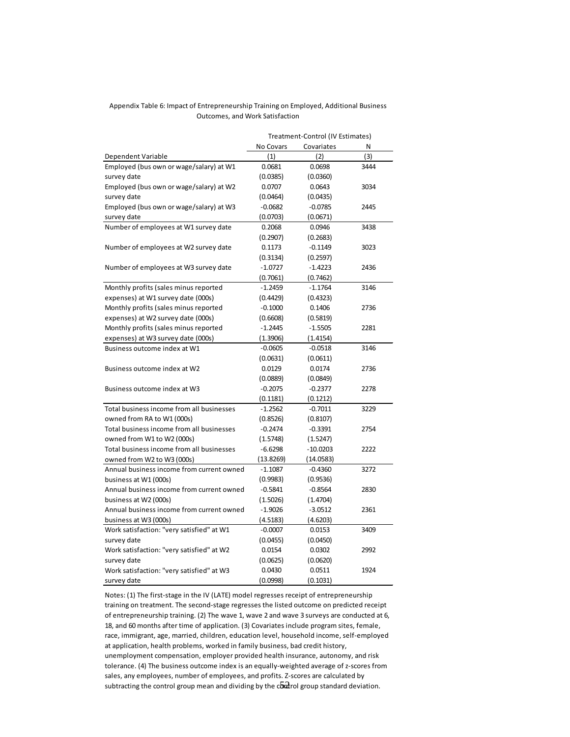#### Appendix Table 6: Impact of Entrepreneurship Training on Employed, Additional Business Outcomes, and Work Satisfaction

|                                           |           | Treatment-Control (IV Estimates) |      |
|-------------------------------------------|-----------|----------------------------------|------|
|                                           | No Covars | Covariates                       | N    |
| Dependent Variable                        | (1)       | (2)                              | (3)  |
| Employed (bus own or wage/salary) at W1   | 0.0681    | 0.0698                           | 3444 |
| survey date                               | (0.0385)  | (0.0360)                         |      |
| Employed (bus own or wage/salary) at W2   | 0.0707    | 0.0643                           | 3034 |
| survey date                               | (0.0464)  | (0.0435)                         |      |
| Employed (bus own or wage/salary) at W3   | $-0.0682$ | $-0.0785$                        | 2445 |
| survey date                               | (0.0703)  | (0.0671)                         |      |
| Number of employees at W1 survey date     | 0.2068    | 0.0946                           | 3438 |
|                                           | (0.2907)  | (0.2683)                         |      |
| Number of employees at W2 survey date     | 0.1173    | $-0.1149$                        | 3023 |
|                                           | (0.3134)  | (0.2597)                         |      |
| Number of employees at W3 survey date     | $-1.0727$ | $-1.4223$                        | 2436 |
|                                           | (0.7061)  | (0.7462)                         |      |
| Monthly profits (sales minus reported     | $-1.2459$ | $-1.1764$                        | 3146 |
| expenses) at W1 survey date (000s)        | (0.4429)  | (0.4323)                         |      |
| Monthly profits (sales minus reported     | $-0.1000$ | 0.1406                           | 2736 |
| expenses) at W2 survey date (000s)        | (0.6608)  | (0.5819)                         |      |
| Monthly profits (sales minus reported     | $-1.2445$ | $-1.5505$                        | 2281 |
| expenses) at W3 survey date (000s)        | (1.3906)  | (1.4154)                         |      |
| Business outcome index at W1              | $-0.0605$ | $-0.0518$                        | 3146 |
|                                           | (0.0631)  | (0.0611)                         |      |
| Business outcome index at W2              | 0.0129    | 0.0174                           | 2736 |
|                                           | (0.0889)  | (0.0849)                         |      |
| Business outcome index at W3              | $-0.2075$ | $-0.2377$                        | 2278 |
|                                           | (0.1181)  | (0.1212)                         |      |
| Total business income from all businesses | $-1.2562$ | $-0.7011$                        | 3229 |
| owned from RA to W1 (000s)                | (0.8526)  | (0.8107)                         |      |
| Total business income from all businesses | $-0.2474$ | $-0.3391$                        | 2754 |
| owned from W1 to W2 (000s)                | (1.5748)  | (1.5247)                         |      |
| Total business income from all businesses | $-6.6298$ | $-10.0203$                       | 2222 |
| owned from W2 to W3 (000s)                | (13.8269) | (14.0583)                        |      |
| Annual business income from current owned | $-1.1087$ | $-0.4360$                        | 3272 |
| business at W1 (000s)                     | (0.9983)  | (0.9536)                         |      |
| Annual business income from current owned | $-0.5841$ | $-0.8564$                        | 2830 |
| business at W2 (000s)                     | (1.5026)  | (1.4704)                         |      |
| Annual business income from current owned | $-1.9026$ | $-3.0512$                        | 2361 |
| business at W3 (000s)                     | (4.5183)  | (4.6203)                         |      |
| Work satisfaction: "very satisfied" at W1 | $-0.0007$ | 0.0153                           | 3409 |
| survey date                               | (0.0455)  | (0.0450)                         |      |
| Work satisfaction: "very satisfied" at W2 | 0.0154    | 0.0302                           | 2992 |
| survey date                               | (0.0625)  | (0.0620)                         |      |
| Work satisfaction: "very satisfied" at W3 | 0.0430    | 0.0511                           | 1924 |
| survey date                               | (0.0998)  | (0.1031)                         |      |

subtracting the control group mean and dividing by the c $\tilde{\delta\!\mathrm{u}}$ rol group standard deviation. Notes: (1) The first-stage in the IV (LATE) model regresses receipt of entrepreneurship training on treatment. The second-stage regresses the listed outcome on predicted receipt of entrepreneurship training. (2) The wave 1, wave 2 and wave 3 surveys are conducted at 6, 18, and 60 months after time of application. (3) Covariates include program sites, female, race, immigrant, age, married, children, education level, household income, self-employed at application, health problems, worked in family business, bad credit history, unemployment compensation, employer provided health insurance, autonomy, and risk tolerance. (4) The business outcome index is an equally-weighted average of z-scores from sales, any employees, number of employees, and profits. Z-scores are calculated by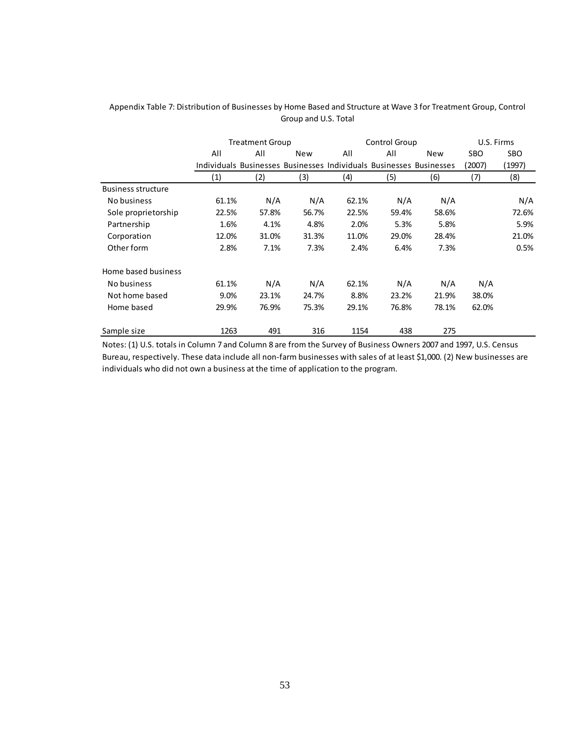|                           | <b>Treatment Group</b>                                              |       |            | Control Group |       |            | U.S. Firms |        |
|---------------------------|---------------------------------------------------------------------|-------|------------|---------------|-------|------------|------------|--------|
|                           | All                                                                 | All   | <b>New</b> | All           | All   | <b>New</b> | SBO        | SBO.   |
|                           | Individuals Businesses Businesses Individuals Businesses Businesses |       |            |               |       |            | (2007)     | (1997) |
|                           | $\left( 1\right)$                                                   | (2)   | (3)        | (4)           | (5)   | (6)        | (7)        | (8)    |
| <b>Business structure</b> |                                                                     |       |            |               |       |            |            |        |
| No business               | 61.1%                                                               | N/A   | N/A        | 62.1%         | N/A   | N/A        |            | N/A    |
| Sole proprietorship       | 22.5%                                                               | 57.8% | 56.7%      | 22.5%         | 59.4% | 58.6%      |            | 72.6%  |
| Partnership               | 1.6%                                                                | 4.1%  | 4.8%       | 2.0%          | 5.3%  | 5.8%       |            | 5.9%   |
| Corporation               | 12.0%                                                               | 31.0% | 31.3%      | 11.0%         | 29.0% | 28.4%      |            | 21.0%  |
| Other form                | 2.8%                                                                | 7.1%  | 7.3%       | 2.4%          | 6.4%  | 7.3%       |            | 0.5%   |
| Home based business       |                                                                     |       |            |               |       |            |            |        |
| No business               | 61.1%                                                               | N/A   | N/A        | 62.1%         | N/A   | N/A        | N/A        |        |
| Not home based            | 9.0%                                                                | 23.1% | 24.7%      | 8.8%          | 23.2% | 21.9%      | 38.0%      |        |
| Home based                | 29.9%                                                               | 76.9% | 75.3%      | 29.1%         | 76.8% | 78.1%      | 62.0%      |        |
| Sample size               | 1263                                                                | 491   | 316        | 1154          | 438   | 275        |            |        |

#### Appendix Table 7: Distribution of Businesses by Home Based and Structure at Wave 3 for Treatment Group, Control Group and U.S. Total

Notes: (1) U.S. totals in Column 7 and Column 8 are from the Survey of Business Owners 2007 and 1997, U.S. Census Bureau, respectively. These data include all non-farm businesses with sales of at least \$1,000. (2) New businesses are individuals who did not own a business at the time of application to the program.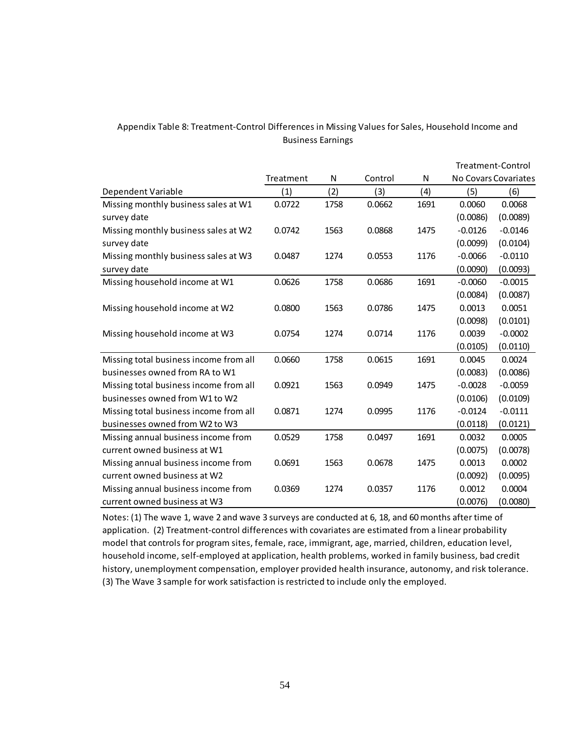### Appendix Table 8: Treatment-Control Differences in Missing Values for Sales, Household Income and Business Earnings

|                                        |           |      |         |      |           | Treatment-Control    |
|----------------------------------------|-----------|------|---------|------|-----------|----------------------|
|                                        | Treatment | N    | Control | N    |           | No Covars Covariates |
| Dependent Variable                     | (1)       | (2)  | (3)     | (4)  | (5)       | (6)                  |
| Missing monthly business sales at W1   | 0.0722    | 1758 | 0.0662  | 1691 | 0.0060    | 0.0068               |
| survey date                            |           |      |         |      | (0.0086)  | (0.0089)             |
| Missing monthly business sales at W2   | 0.0742    | 1563 | 0.0868  | 1475 | $-0.0126$ | $-0.0146$            |
| survey date                            |           |      |         |      | (0.0099)  | (0.0104)             |
| Missing monthly business sales at W3   | 0.0487    | 1274 | 0.0553  | 1176 | $-0.0066$ | $-0.0110$            |
| survey date                            |           |      |         |      | (0.0090)  | (0.0093)             |
| Missing household income at W1         | 0.0626    | 1758 | 0.0686  | 1691 | $-0.0060$ | $-0.0015$            |
|                                        |           |      |         |      | (0.0084)  | (0.0087)             |
| Missing household income at W2         | 0.0800    | 1563 | 0.0786  | 1475 | 0.0013    | 0.0051               |
|                                        |           |      |         |      | (0.0098)  | (0.0101)             |
| Missing household income at W3         | 0.0754    | 1274 | 0.0714  | 1176 | 0.0039    | $-0.0002$            |
|                                        |           |      |         |      | (0.0105)  | (0.0110)             |
| Missing total business income from all | 0.0660    | 1758 | 0.0615  | 1691 | 0.0045    | 0.0024               |
| businesses owned from RA to W1         |           |      |         |      | (0.0083)  | (0.0086)             |
| Missing total business income from all | 0.0921    | 1563 | 0.0949  | 1475 | $-0.0028$ | $-0.0059$            |
| businesses owned from W1 to W2         |           |      |         |      | (0.0106)  | (0.0109)             |
| Missing total business income from all | 0.0871    | 1274 | 0.0995  | 1176 | $-0.0124$ | $-0.0111$            |
| businesses owned from W2 to W3         |           |      |         |      | (0.0118)  | (0.0121)             |
| Missing annual business income from    | 0.0529    | 1758 | 0.0497  | 1691 | 0.0032    | 0.0005               |
| current owned business at W1           |           |      |         |      | (0.0075)  | (0.0078)             |
| Missing annual business income from    | 0.0691    | 1563 | 0.0678  | 1475 | 0.0013    | 0.0002               |
| current owned business at W2           |           |      |         |      | (0.0092)  | (0.0095)             |
| Missing annual business income from    | 0.0369    | 1274 | 0.0357  | 1176 | 0.0012    | 0.0004               |
| current owned business at W3           |           |      |         |      | (0.0076)  | (0.0080)             |

Notes: (1) The wave 1, wave 2 and wave 3 surveys are conducted at 6, 18, and 60 months after time of application. (2) Treatment-control differences with covariates are estimated from a linear probability model that controls for program sites, female, race, immigrant, age, married, children, education level, household income, self-employed at application, health problems, worked in family business, bad credit history, unemployment compensation, employer provided health insurance, autonomy, and risk tolerance. (3) The Wave 3 sample for work satisfaction is restricted to include only the employed.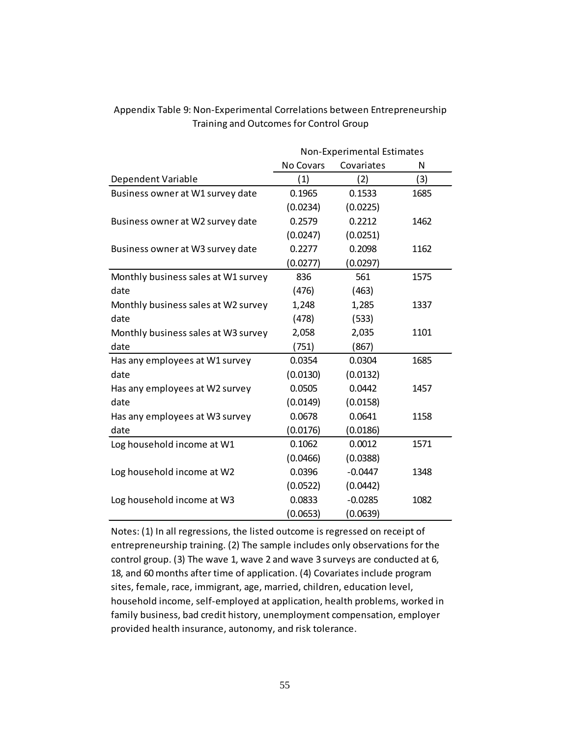|                                     | Non-Experimental Estimates |            |      |  |
|-------------------------------------|----------------------------|------------|------|--|
|                                     | No Covars                  | Covariates | N    |  |
| Dependent Variable                  | (1)                        | (2)        | (3)  |  |
| Business owner at W1 survey date    | 0.1965                     | 0.1533     | 1685 |  |
|                                     | (0.0234)                   | (0.0225)   |      |  |
| Business owner at W2 survey date    | 0.2579                     | 0.2212     | 1462 |  |
|                                     | (0.0247)                   | (0.0251)   |      |  |
| Business owner at W3 survey date    | 0.2277                     | 0.2098     | 1162 |  |
|                                     | (0.0277)                   | (0.0297)   |      |  |
| Monthly business sales at W1 survey | 836                        | 561        | 1575 |  |
| date                                | (476)                      | (463)      |      |  |
| Monthly business sales at W2 survey | 1,248                      | 1,285      | 1337 |  |
| date                                | (478)                      | (533)      |      |  |
| Monthly business sales at W3 survey | 2,058                      | 2,035      | 1101 |  |
| date                                | (751)                      | (867)      |      |  |
| Has any employees at W1 survey      | 0.0354                     | 0.0304     | 1685 |  |
| date                                | (0.0130)                   | (0.0132)   |      |  |
| Has any employees at W2 survey      | 0.0505                     | 0.0442     | 1457 |  |
| date                                | (0.0149)                   | (0.0158)   |      |  |
| Has any employees at W3 survey      | 0.0678                     | 0.0641     | 1158 |  |
| date                                | (0.0176)                   | (0.0186)   |      |  |
| Log household income at W1          | 0.1062                     | 0.0012     | 1571 |  |
|                                     | (0.0466)                   | (0.0388)   |      |  |
| Log household income at W2          | 0.0396                     | $-0.0447$  | 1348 |  |
|                                     | (0.0522)                   | (0.0442)   |      |  |
| Log household income at W3          | 0.0833                     | $-0.0285$  | 1082 |  |
|                                     | (0.0653)                   | (0.0639)   |      |  |

### Appendix Table 9: Non-Experimental Correlations between Entrepreneurship Training and Outcomes for Control Group

Notes: (1) In all regressions, the listed outcome is regressed on receipt of entrepreneurship training. (2) The sample includes only observations for the control group. (3) The wave 1, wave 2 and wave 3 surveys are conducted at 6, 18, and 60 months after time of application. (4) Covariates include program sites, female, race, immigrant, age, married, children, education level, household income, self-employed at application, health problems, worked in family business, bad credit history, unemployment compensation, employer provided health insurance, autonomy, and risk tolerance.